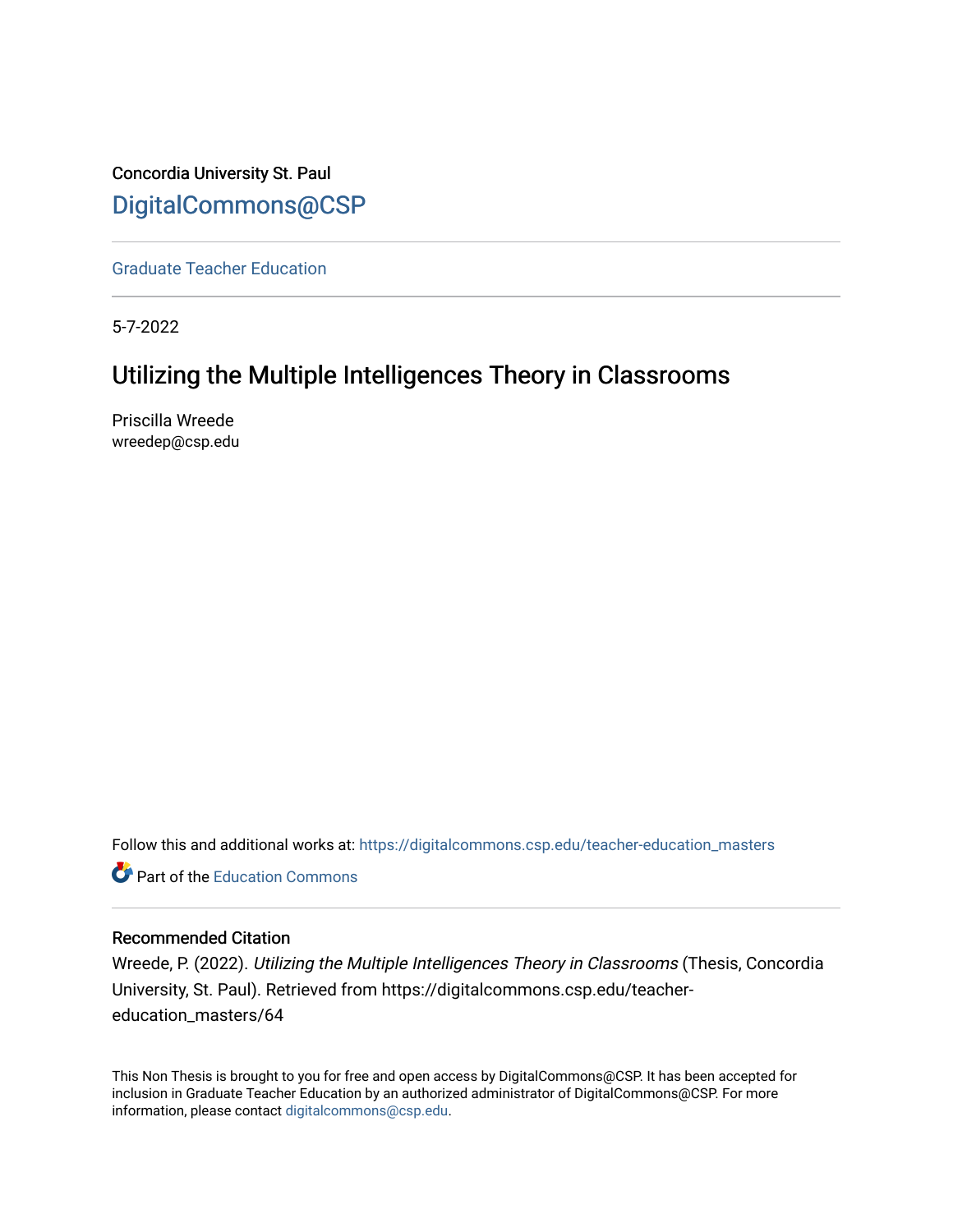Concordia University St. Paul [DigitalCommons@CSP](https://digitalcommons.csp.edu/)

[Graduate Teacher Education](https://digitalcommons.csp.edu/teacher-education_masters)

5-7-2022

# Utilizing the Multiple Intelligences Theory in Classrooms

Priscilla Wreede wreedep@csp.edu

Follow this and additional works at: [https://digitalcommons.csp.edu/teacher-education\\_masters](https://digitalcommons.csp.edu/teacher-education_masters?utm_source=digitalcommons.csp.edu%2Fteacher-education_masters%2F64&utm_medium=PDF&utm_campaign=PDFCoverPages)

**P** Part of the [Education Commons](http://network.bepress.com/hgg/discipline/784?utm_source=digitalcommons.csp.edu%2Fteacher-education_masters%2F64&utm_medium=PDF&utm_campaign=PDFCoverPages)

## Recommended Citation

Wreede, P. (2022). Utilizing the Multiple Intelligences Theory in Classrooms (Thesis, Concordia University, St. Paul). Retrieved from https://digitalcommons.csp.edu/teachereducation\_masters/64

This Non Thesis is brought to you for free and open access by DigitalCommons@CSP. It has been accepted for inclusion in Graduate Teacher Education by an authorized administrator of DigitalCommons@CSP. For more information, please contact [digitalcommons@csp.edu](mailto:digitalcommons@csp.edu).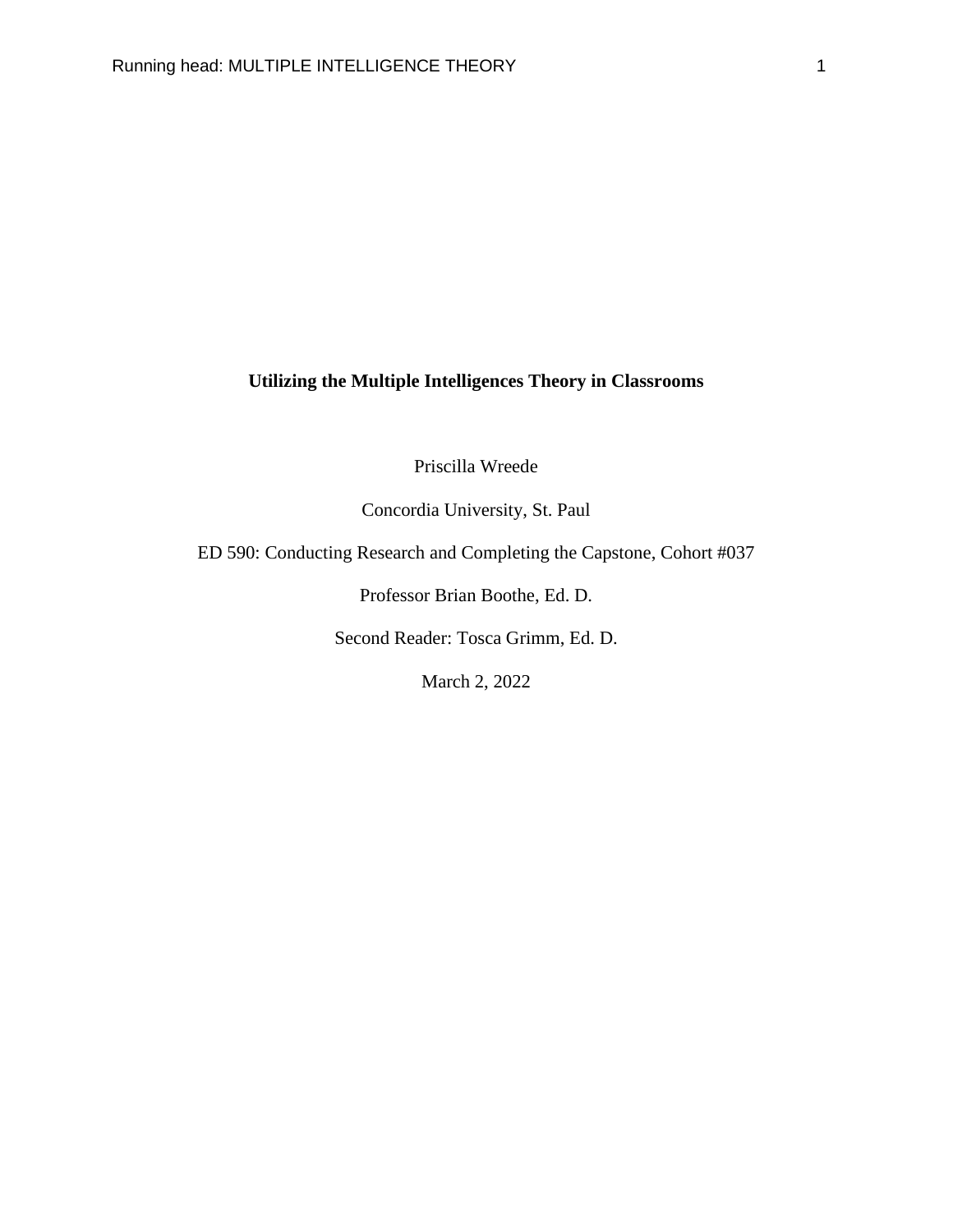## **Utilizing the Multiple Intelligences Theory in Classrooms**

Priscilla Wreede

Concordia University, St. Paul

ED 590: Conducting Research and Completing the Capstone, Cohort #037

Professor Brian Boothe, Ed. D.

Second Reader: Tosca Grimm, Ed. D.

March 2, 2022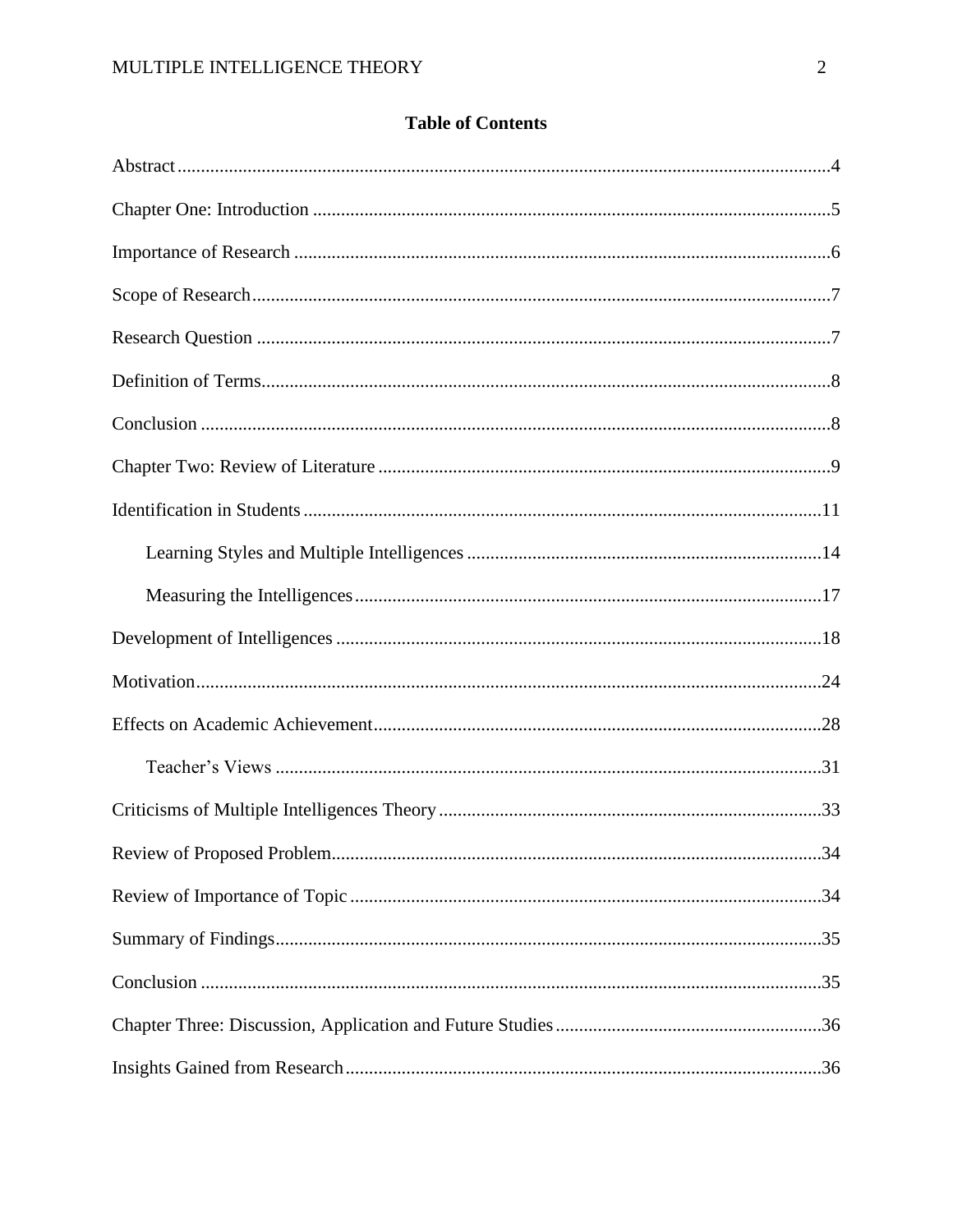| 34 |
|----|
|    |
|    |
|    |
|    |
|    |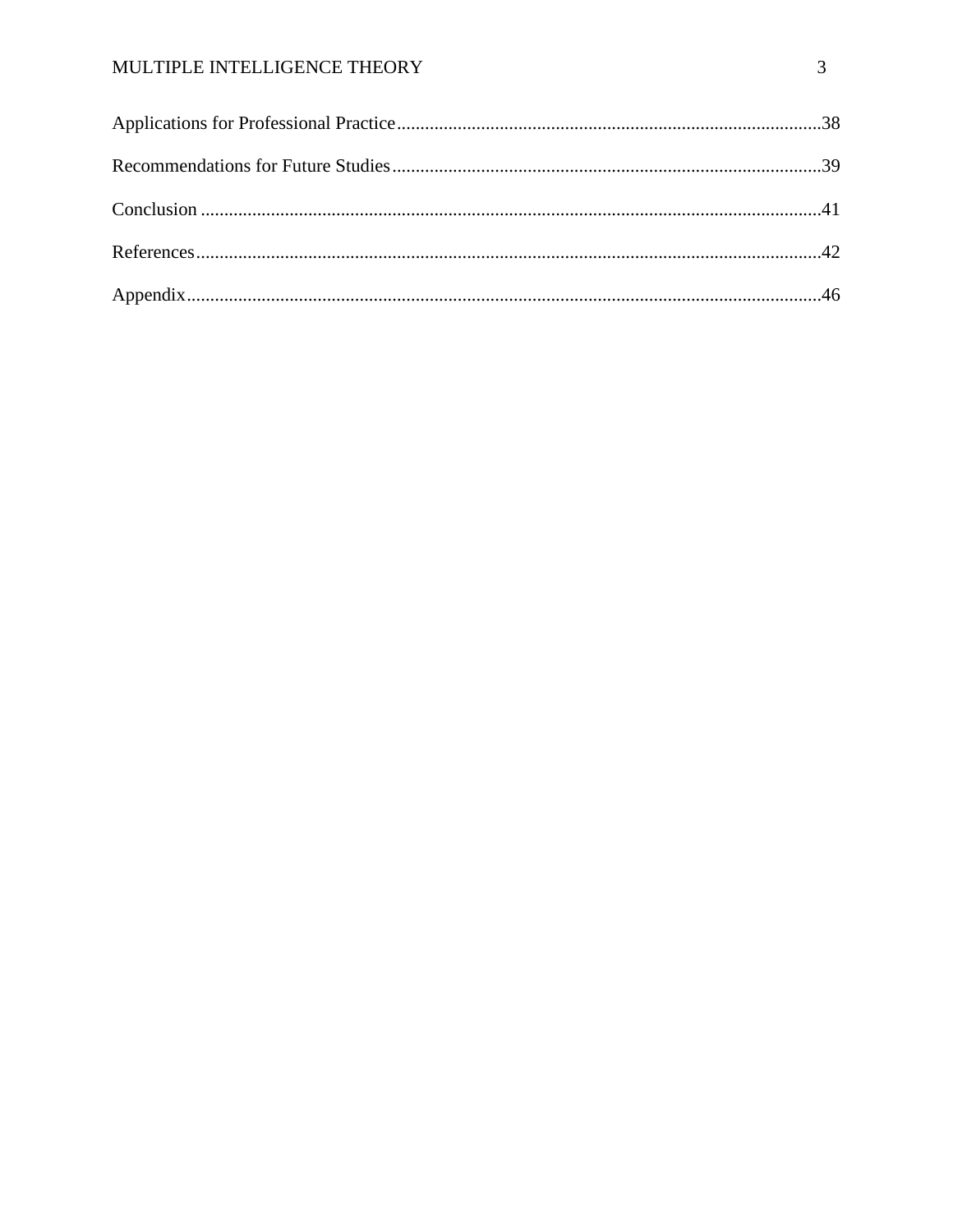## MULTIPLE INTELLIGENCE THEORY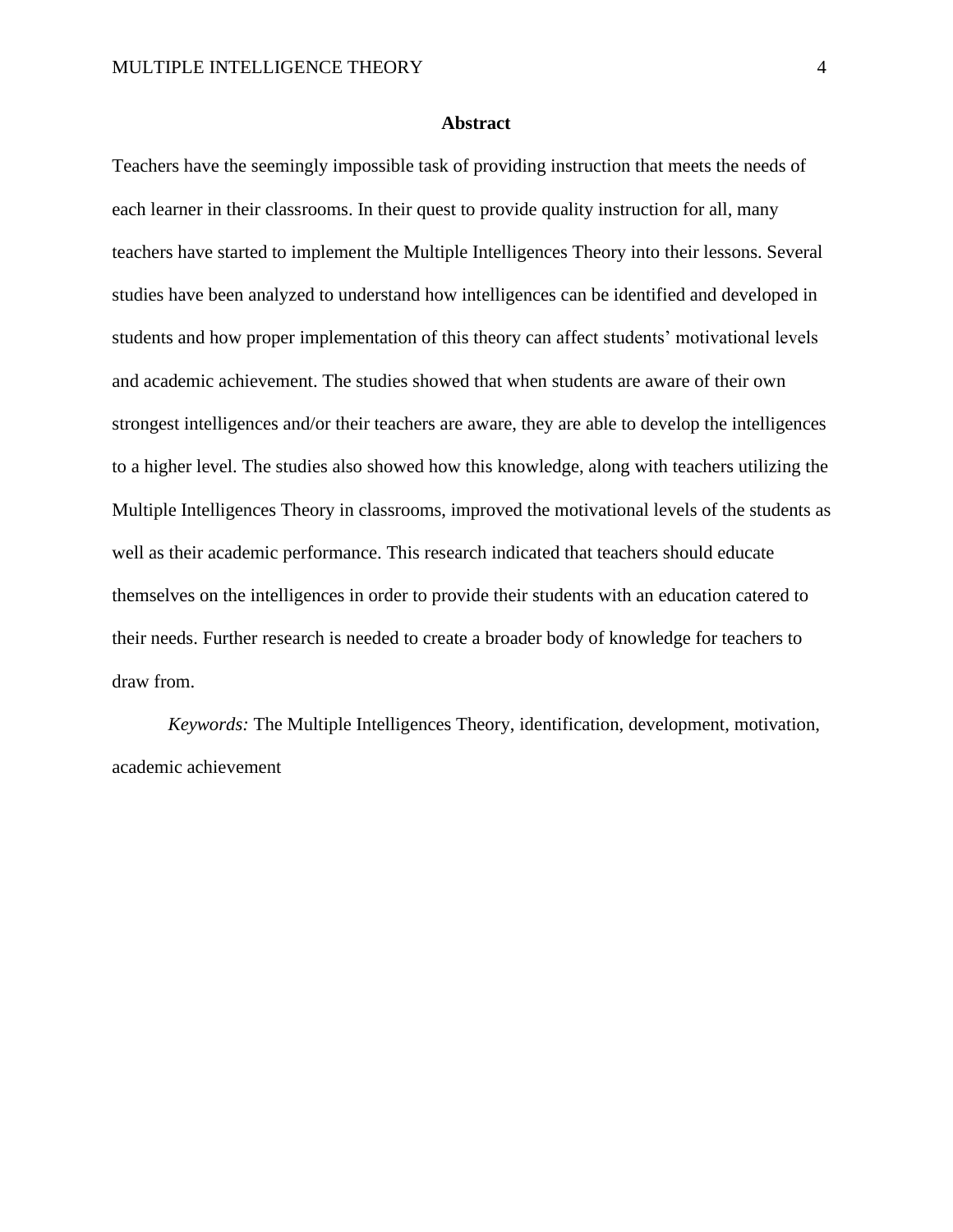#### **Abstract**

Teachers have the seemingly impossible task of providing instruction that meets the needs of each learner in their classrooms. In their quest to provide quality instruction for all, many teachers have started to implement the Multiple Intelligences Theory into their lessons. Several studies have been analyzed to understand how intelligences can be identified and developed in students and how proper implementation of this theory can affect students' motivational levels and academic achievement. The studies showed that when students are aware of their own strongest intelligences and/or their teachers are aware, they are able to develop the intelligences to a higher level. The studies also showed how this knowledge, along with teachers utilizing the Multiple Intelligences Theory in classrooms, improved the motivational levels of the students as well as their academic performance. This research indicated that teachers should educate themselves on the intelligences in order to provide their students with an education catered to their needs. Further research is needed to create a broader body of knowledge for teachers to draw from.

*Keywords:* The Multiple Intelligences Theory, identification, development, motivation, academic achievement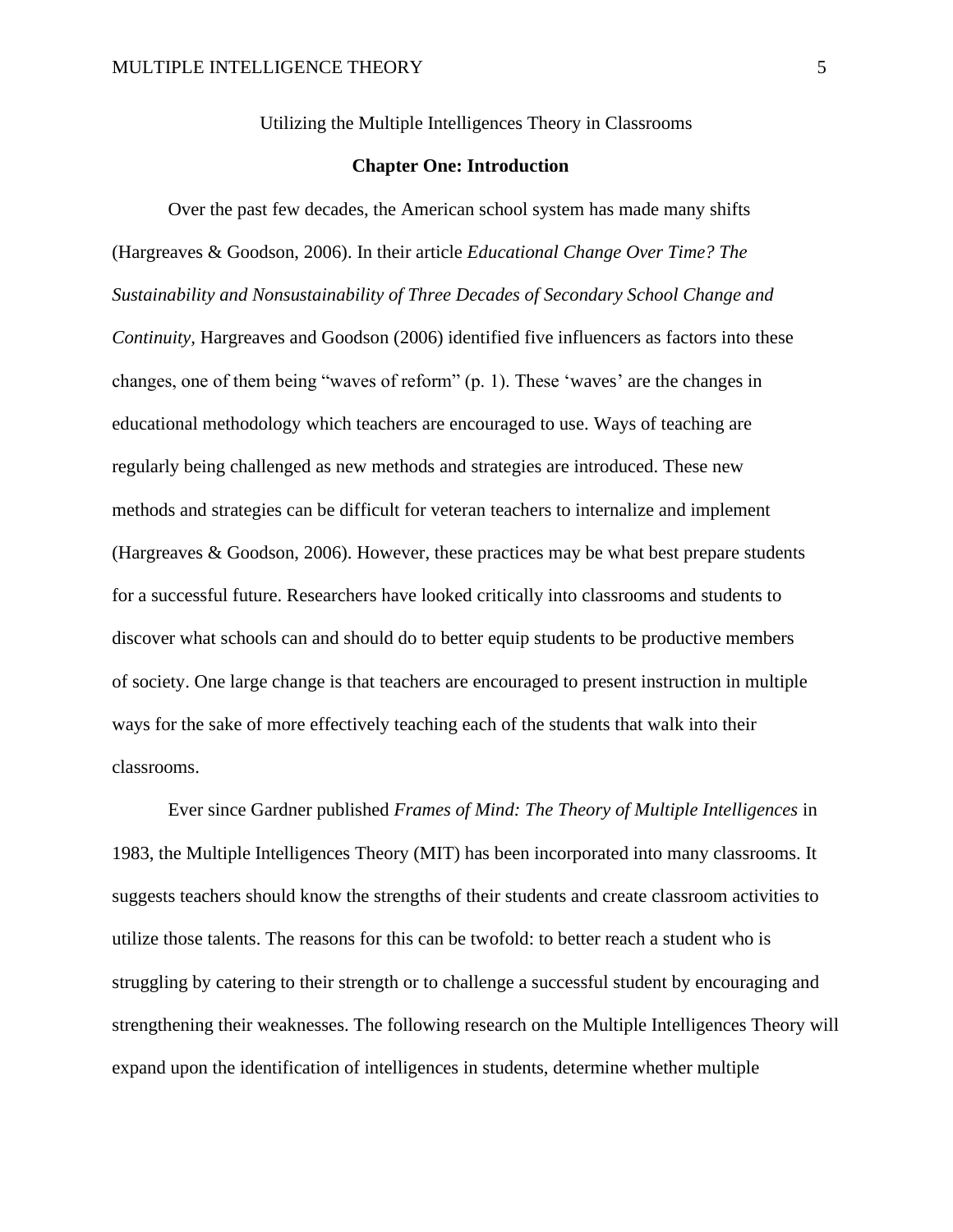Utilizing the Multiple Intelligences Theory in Classrooms

#### **Chapter One: Introduction**

Over the past few decades, the American school system has made many shifts (Hargreaves & Goodson, 2006). In their article *Educational Change Over Time? The Sustainability and Nonsustainability of Three Decades of Secondary School Change and Continuity*, Hargreaves and Goodson (2006) identified five influencers as factors into these changes, one of them being "waves of reform" (p. 1). These 'waves' are the changes in educational methodology which teachers are encouraged to use. Ways of teaching are regularly being challenged as new methods and strategies are introduced. These new methods and strategies can be difficult for veteran teachers to internalize and implement (Hargreaves & Goodson, 2006). However, these practices may be what best prepare students for a successful future. Researchers have looked critically into classrooms and students to discover what schools can and should do to better equip students to be productive members of society. One large change is that teachers are encouraged to present instruction in multiple ways for the sake of more effectively teaching each of the students that walk into their classrooms.

Ever since Gardner published *Frames of Mind: The Theory of Multiple Intelligences* in 1983, the Multiple Intelligences Theory (MIT) has been incorporated into many classrooms. It suggests teachers should know the strengths of their students and create classroom activities to utilize those talents. The reasons for this can be twofold: to better reach a student who is struggling by catering to their strength or to challenge a successful student by encouraging and strengthening their weaknesses. The following research on the Multiple Intelligences Theory will expand upon the identification of intelligences in students, determine whether multiple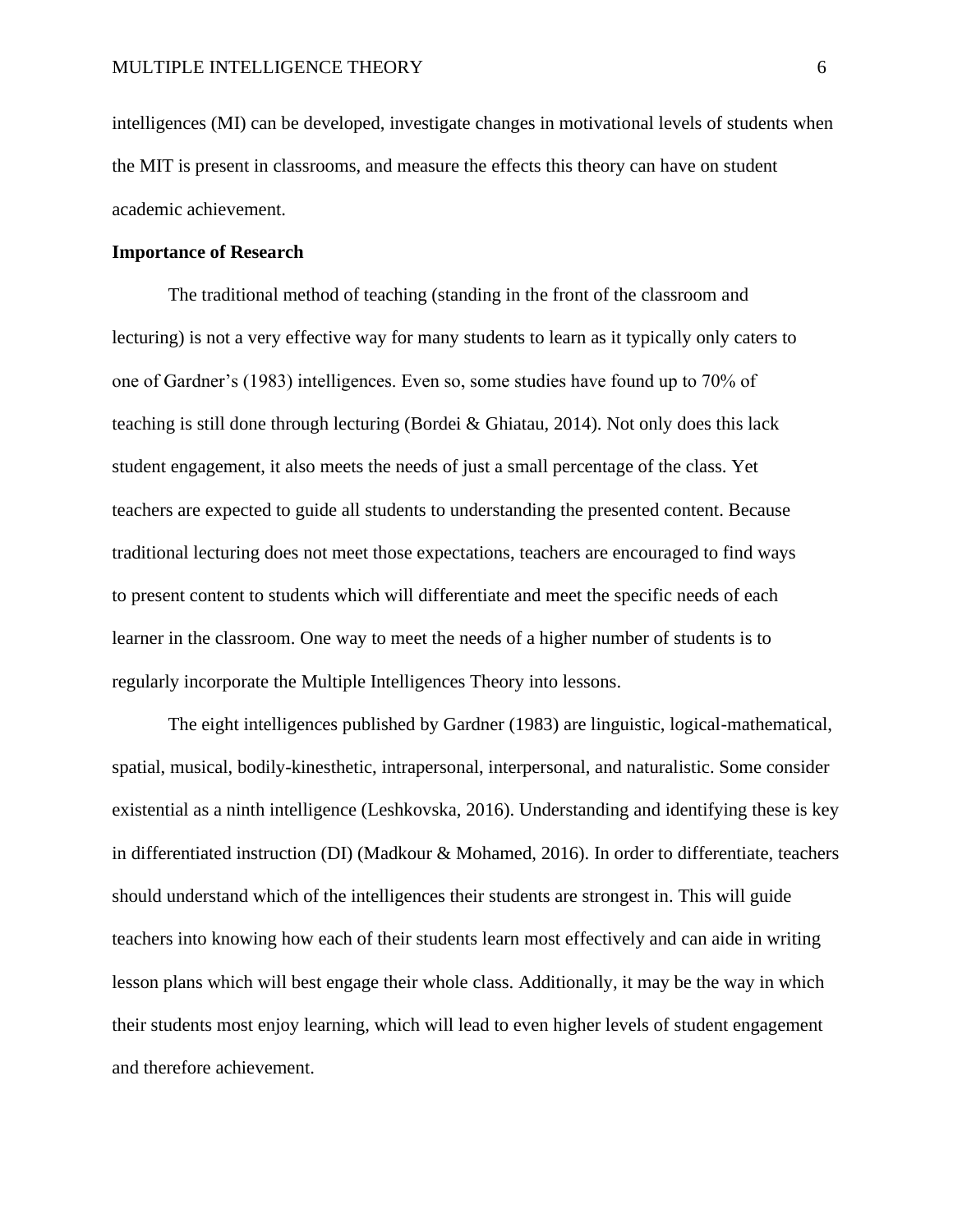intelligences (MI) can be developed, investigate changes in motivational levels of students when the MIT is present in classrooms, and measure the effects this theory can have on student academic achievement.

#### **Importance of Research**

The traditional method of teaching (standing in the front of the classroom and lecturing) is not a very effective way for many students to learn as it typically only caters to one of Gardner's (1983) intelligences. Even so, some studies have found up to 70% of teaching is still done through lecturing (Bordei & Ghiatau, 2014). Not only does this lack student engagement, it also meets the needs of just a small percentage of the class. Yet teachers are expected to guide all students to understanding the presented content. Because traditional lecturing does not meet those expectations, teachers are encouraged to find ways to present content to students which will differentiate and meet the specific needs of each learner in the classroom. One way to meet the needs of a higher number of students is to regularly incorporate the Multiple Intelligences Theory into lessons.

The eight intelligences published by Gardner (1983) are linguistic, logical-mathematical, spatial, musical, bodily-kinesthetic, intrapersonal, interpersonal, and naturalistic. Some consider existential as a ninth intelligence (Leshkovska, 2016). Understanding and identifying these is key in differentiated instruction (DI) (Madkour & Mohamed, 2016). In order to differentiate, teachers should understand which of the intelligences their students are strongest in. This will guide teachers into knowing how each of their students learn most effectively and can aide in writing lesson plans which will best engage their whole class. Additionally, it may be the way in which their students most enjoy learning, which will lead to even higher levels of student engagement and therefore achievement.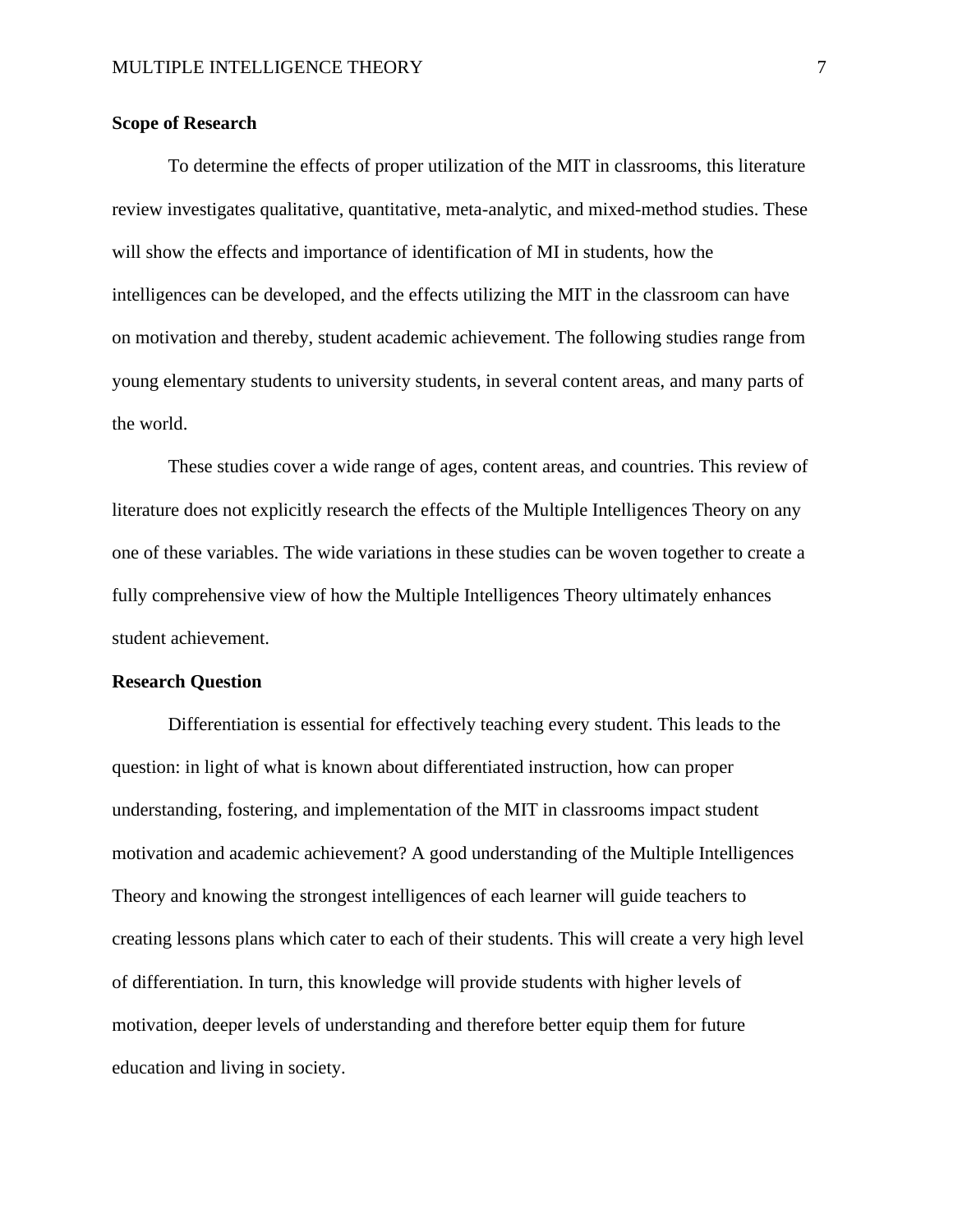## **Scope of Research**

To determine the effects of proper utilization of the MIT in classrooms, this literature review investigates qualitative, quantitative, meta-analytic, and mixed-method studies. These will show the effects and importance of identification of MI in students, how the intelligences can be developed, and the effects utilizing the MIT in the classroom can have on motivation and thereby, student academic achievement. The following studies range from young elementary students to university students, in several content areas, and many parts of the world.

These studies cover a wide range of ages, content areas, and countries. This review of literature does not explicitly research the effects of the Multiple Intelligences Theory on any one of these variables. The wide variations in these studies can be woven together to create a fully comprehensive view of how the Multiple Intelligences Theory ultimately enhances student achievement.

#### **Research Question**

Differentiation is essential for effectively teaching every student. This leads to the question: in light of what is known about differentiated instruction, how can proper understanding, fostering, and implementation of the MIT in classrooms impact student motivation and academic achievement? A good understanding of the Multiple Intelligences Theory and knowing the strongest intelligences of each learner will guide teachers to creating lessons plans which cater to each of their students. This will create a very high level of differentiation. In turn, this knowledge will provide students with higher levels of motivation, deeper levels of understanding and therefore better equip them for future education and living in society.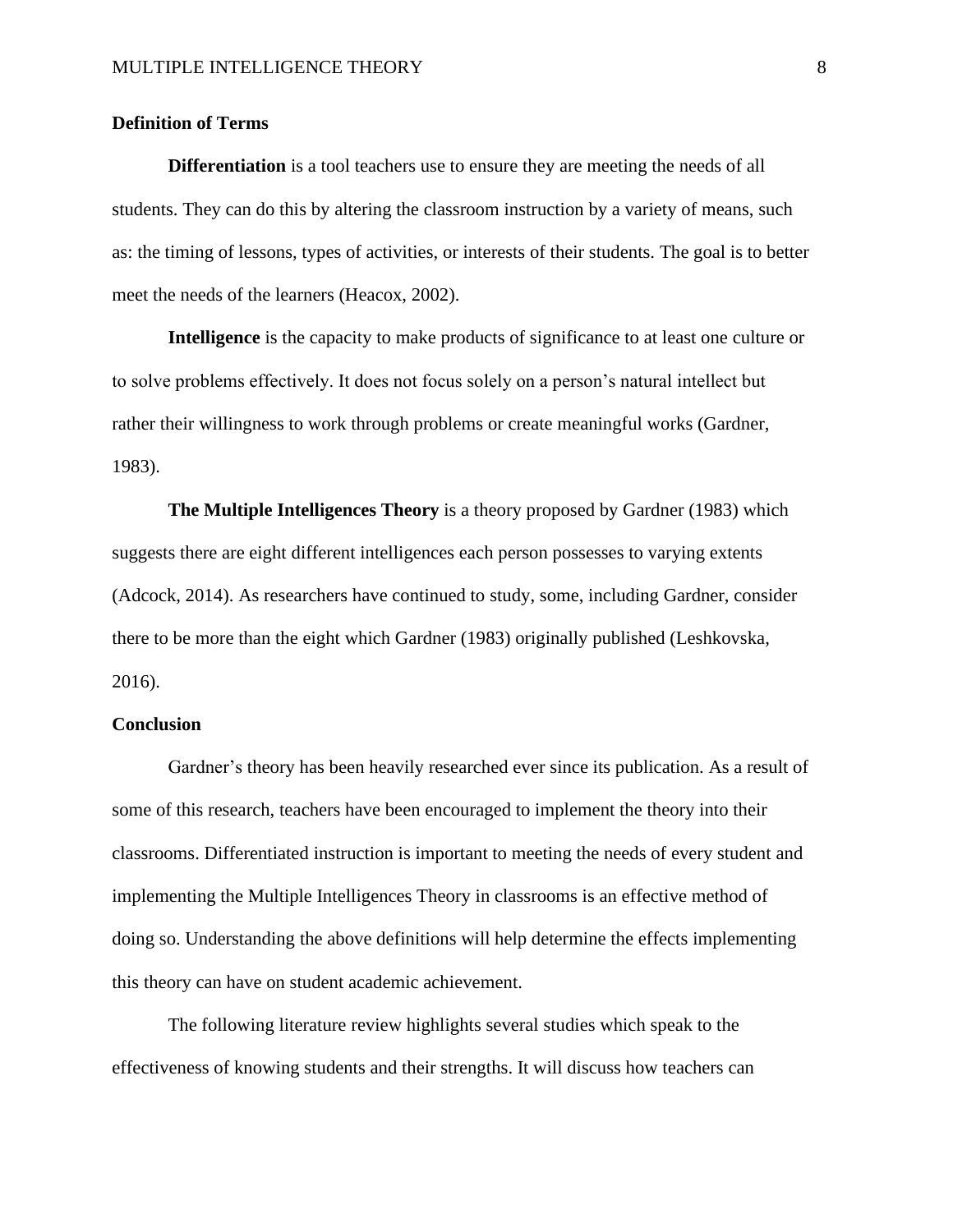## **Definition of Terms**

**Differentiation** is a tool teachers use to ensure they are meeting the needs of all students. They can do this by altering the classroom instruction by a variety of means, such as: the timing of lessons, types of activities, or interests of their students. The goal is to better meet the needs of the learners (Heacox, 2002).

**Intelligence** is the capacity to make products of significance to at least one culture or to solve problems effectively. It does not focus solely on a person's natural intellect but rather their willingness to work through problems or create meaningful works (Gardner, 1983).

**The Multiple Intelligences Theory** is a theory proposed by Gardner (1983) which suggests there are eight different intelligences each person possesses to varying extents (Adcock, 2014). As researchers have continued to study, some, including Gardner, consider there to be more than the eight which Gardner (1983) originally published (Leshkovska, 2016).

## **Conclusion**

Gardner's theory has been heavily researched ever since its publication. As a result of some of this research, teachers have been encouraged to implement the theory into their classrooms. Differentiated instruction is important to meeting the needs of every student and implementing the Multiple Intelligences Theory in classrooms is an effective method of doing so. Understanding the above definitions will help determine the effects implementing this theory can have on student academic achievement.

The following literature review highlights several studies which speak to the effectiveness of knowing students and their strengths. It will discuss how teachers can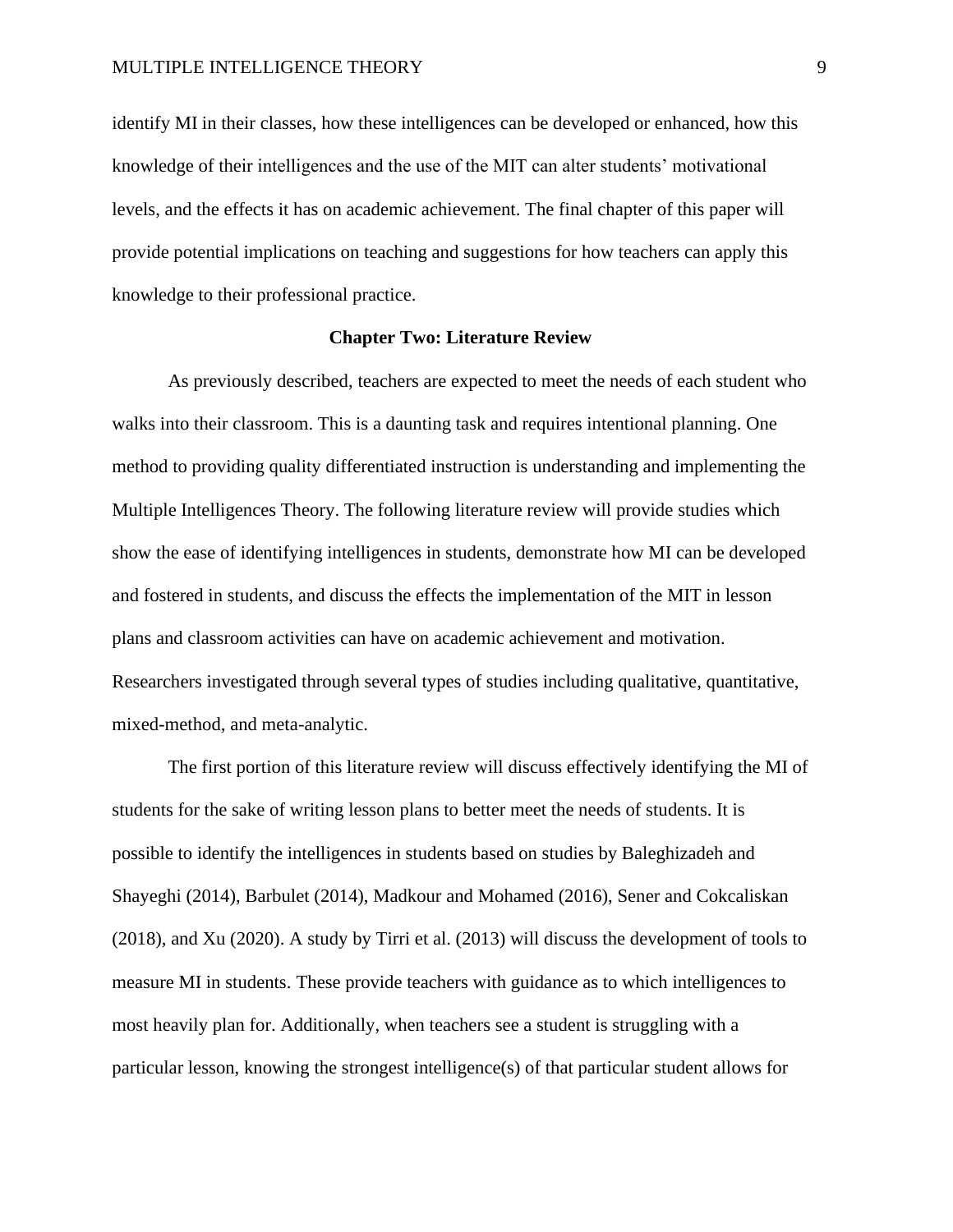identify MI in their classes, how these intelligences can be developed or enhanced, how this knowledge of their intelligences and the use of the MIT can alter students' motivational levels, and the effects it has on academic achievement. The final chapter of this paper will provide potential implications on teaching and suggestions for how teachers can apply this knowledge to their professional practice.

## **Chapter Two: Literature Review**

As previously described, teachers are expected to meet the needs of each student who walks into their classroom. This is a daunting task and requires intentional planning. One method to providing quality differentiated instruction is understanding and implementing the Multiple Intelligences Theory. The following literature review will provide studies which show the ease of identifying intelligences in students, demonstrate how MI can be developed and fostered in students, and discuss the effects the implementation of the MIT in lesson plans and classroom activities can have on academic achievement and motivation. Researchers investigated through several types of studies including qualitative, quantitative, mixed-method, and meta-analytic.

The first portion of this literature review will discuss effectively identifying the MI of students for the sake of writing lesson plans to better meet the needs of students. It is possible to identify the intelligences in students based on studies by Baleghizadeh and Shayeghi (2014), Barbulet (2014), Madkour and Mohamed (2016), Sener and Cokcaliskan (2018), and Xu (2020). A study by Tirri et al. (2013) will discuss the development of tools to measure MI in students. These provide teachers with guidance as to which intelligences to most heavily plan for. Additionally, when teachers see a student is struggling with a particular lesson, knowing the strongest intelligence(s) of that particular student allows for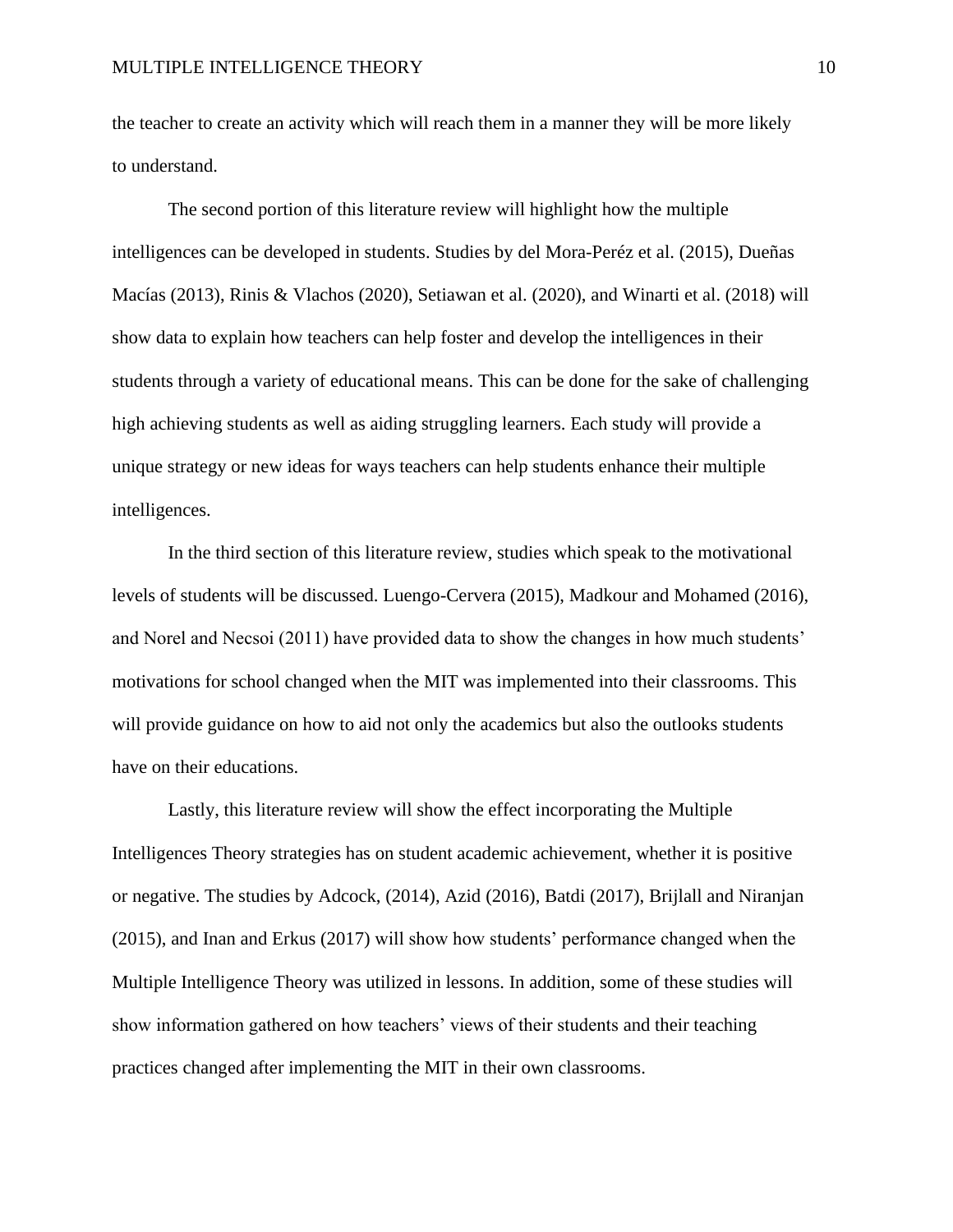the teacher to create an activity which will reach them in a manner they will be more likely to understand.

The second portion of this literature review will highlight how the multiple intelligences can be developed in students. Studies by del Mora-Peréz et al. (2015), Dueñas Macías (2013), Rinis & Vlachos (2020), Setiawan et al. (2020), and Winarti et al. (2018) will show data to explain how teachers can help foster and develop the intelligences in their students through a variety of educational means. This can be done for the sake of challenging high achieving students as well as aiding struggling learners. Each study will provide a unique strategy or new ideas for ways teachers can help students enhance their multiple intelligences.

In the third section of this literature review, studies which speak to the motivational levels of students will be discussed. Luengo-Cervera (2015), Madkour and Mohamed (2016), and Norel and Necsoi (2011) have provided data to show the changes in how much students' motivations for school changed when the MIT was implemented into their classrooms. This will provide guidance on how to aid not only the academics but also the outlooks students have on their educations.

Lastly, this literature review will show the effect incorporating the Multiple Intelligences Theory strategies has on student academic achievement, whether it is positive or negative. The studies by Adcock, (2014), Azid (2016), Batdi (2017), Brijlall and Niranjan (2015), and Inan and Erkus (2017) will show how students' performance changed when the Multiple Intelligence Theory was utilized in lessons. In addition, some of these studies will show information gathered on how teachers' views of their students and their teaching practices changed after implementing the MIT in their own classrooms.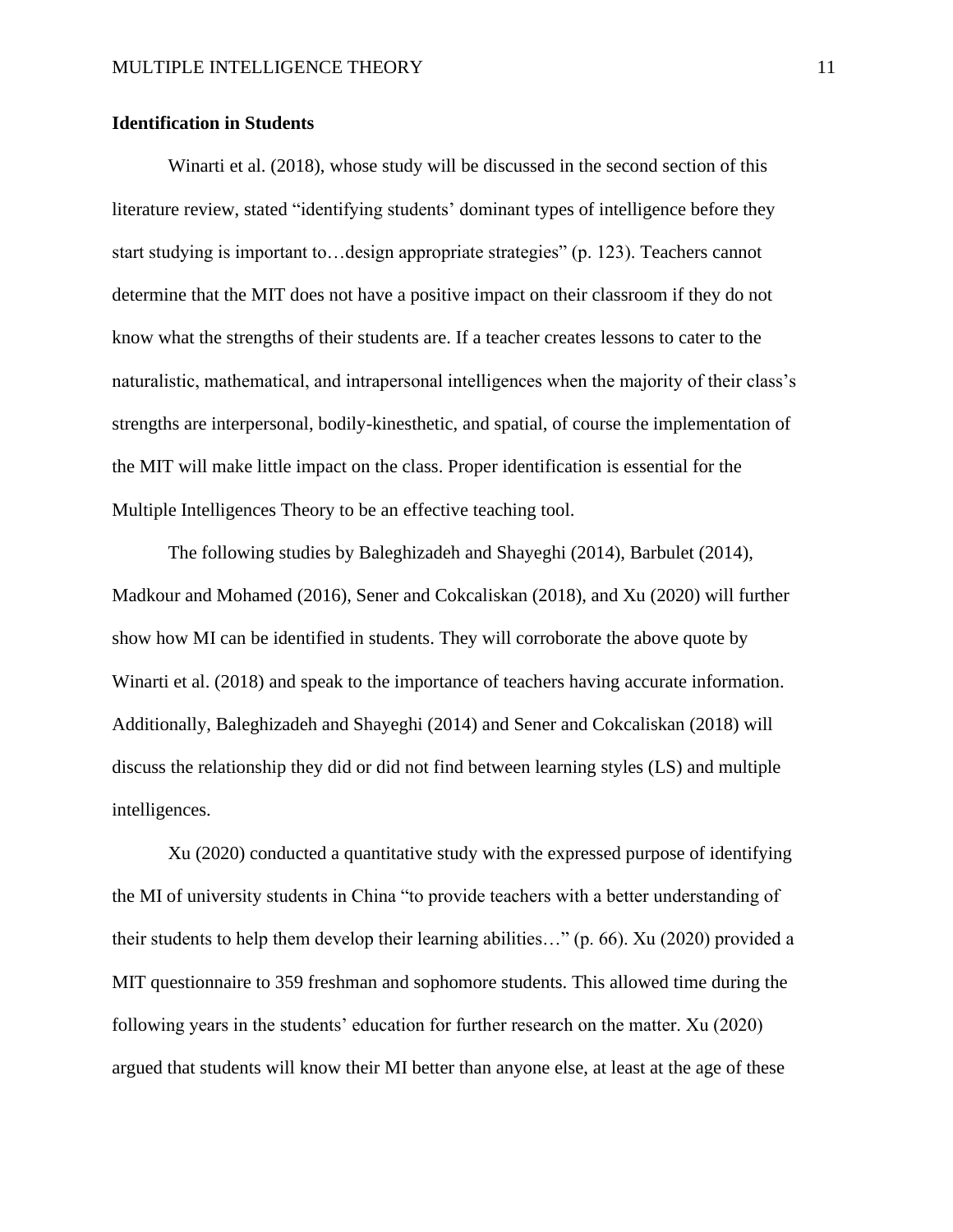## **Identification in Students**

Winarti et al. (2018), whose study will be discussed in the second section of this literature review, stated "identifying students' dominant types of intelligence before they start studying is important to…design appropriate strategies" (p. 123). Teachers cannot determine that the MIT does not have a positive impact on their classroom if they do not know what the strengths of their students are. If a teacher creates lessons to cater to the naturalistic, mathematical, and intrapersonal intelligences when the majority of their class's strengths are interpersonal, bodily-kinesthetic, and spatial, of course the implementation of the MIT will make little impact on the class. Proper identification is essential for the Multiple Intelligences Theory to be an effective teaching tool.

The following studies by Baleghizadeh and Shayeghi (2014), Barbulet (2014), Madkour and Mohamed (2016), Sener and Cokcaliskan (2018), and Xu (2020) will further show how MI can be identified in students. They will corroborate the above quote by Winarti et al. (2018) and speak to the importance of teachers having accurate information. Additionally, Baleghizadeh and Shayeghi (2014) and Sener and Cokcaliskan (2018) will discuss the relationship they did or did not find between learning styles (LS) and multiple intelligences.

Xu (2020) conducted a quantitative study with the expressed purpose of identifying the MI of university students in China "to provide teachers with a better understanding of their students to help them develop their learning abilities…" (p. 66). Xu (2020) provided a MIT questionnaire to 359 freshman and sophomore students. This allowed time during the following years in the students' education for further research on the matter. Xu (2020) argued that students will know their MI better than anyone else, at least at the age of these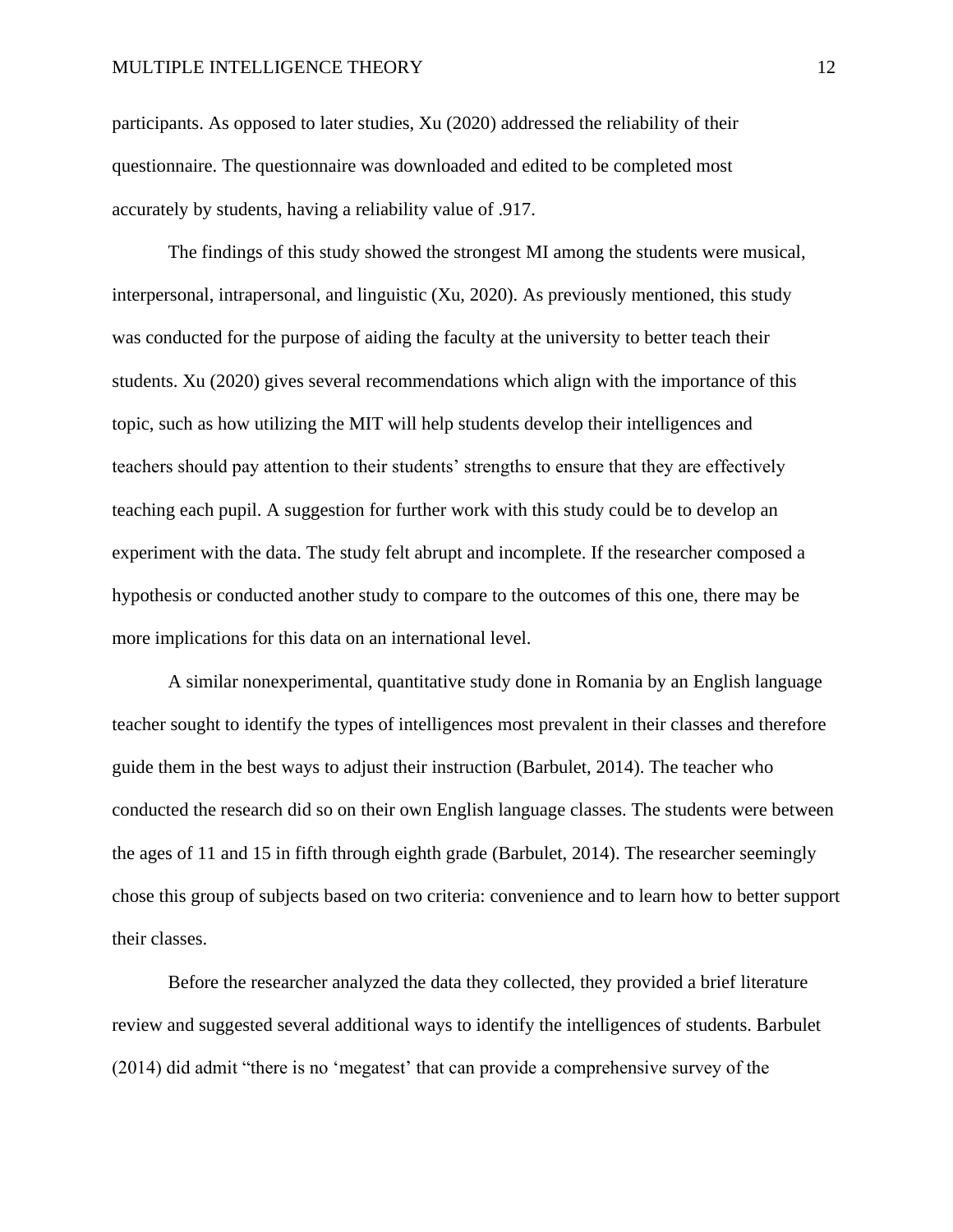participants. As opposed to later studies, Xu (2020) addressed the reliability of their questionnaire. The questionnaire was downloaded and edited to be completed most accurately by students, having a reliability value of .917.

The findings of this study showed the strongest MI among the students were musical, interpersonal, intrapersonal, and linguistic (Xu, 2020). As previously mentioned, this study was conducted for the purpose of aiding the faculty at the university to better teach their students. Xu (2020) gives several recommendations which align with the importance of this topic, such as how utilizing the MIT will help students develop their intelligences and teachers should pay attention to their students' strengths to ensure that they are effectively teaching each pupil. A suggestion for further work with this study could be to develop an experiment with the data. The study felt abrupt and incomplete. If the researcher composed a hypothesis or conducted another study to compare to the outcomes of this one, there may be more implications for this data on an international level.

A similar nonexperimental, quantitative study done in Romania by an English language teacher sought to identify the types of intelligences most prevalent in their classes and therefore guide them in the best ways to adjust their instruction (Barbulet, 2014). The teacher who conducted the research did so on their own English language classes. The students were between the ages of 11 and 15 in fifth through eighth grade (Barbulet, 2014). The researcher seemingly chose this group of subjects based on two criteria: convenience and to learn how to better support their classes.

 Before the researcher analyzed the data they collected, they provided a brief literature review and suggested several additional ways to identify the intelligences of students. Barbulet (2014) did admit "there is no 'megatest' that can provide a comprehensive survey of the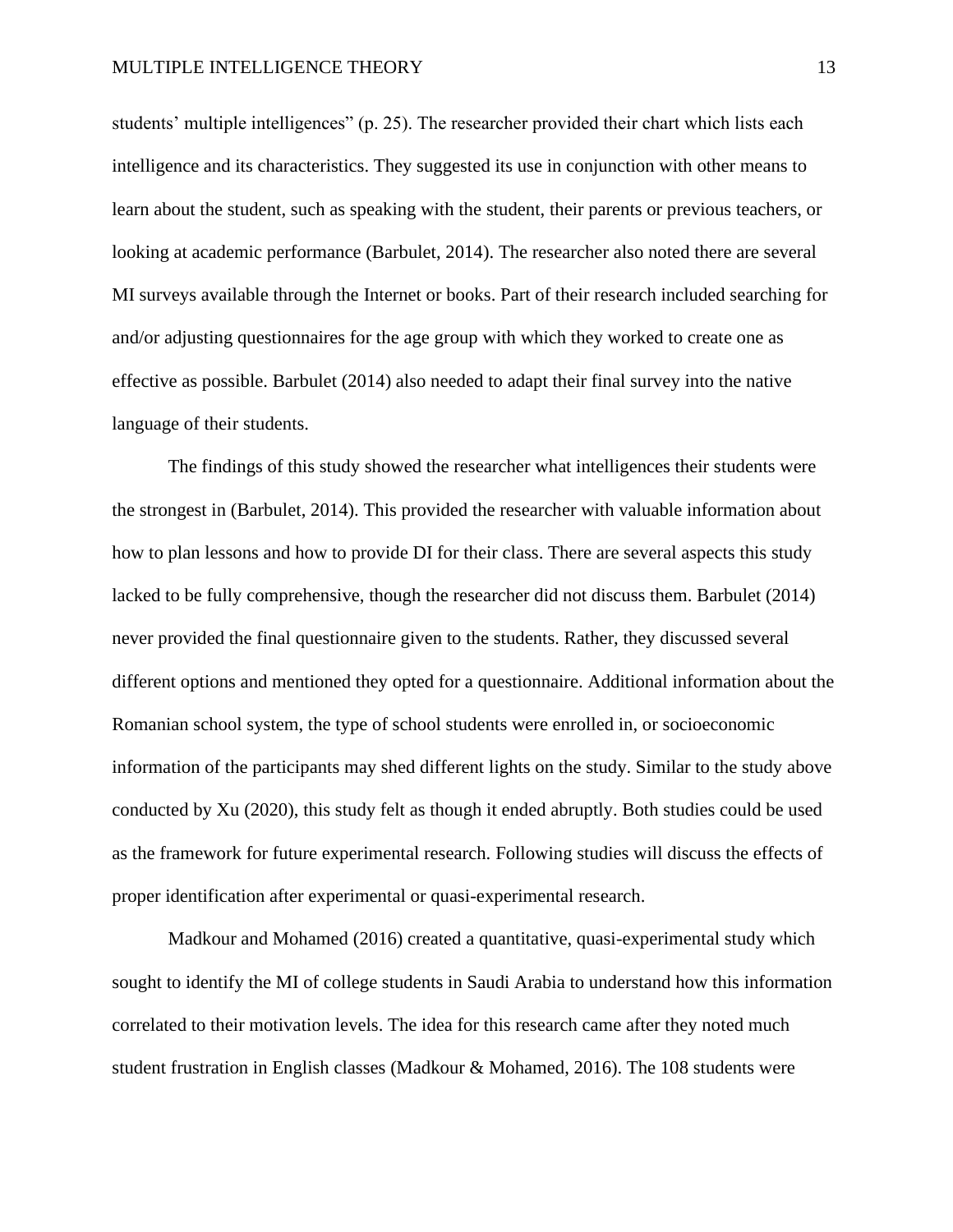students' multiple intelligences" (p. 25). The researcher provided their chart which lists each intelligence and its characteristics. They suggested its use in conjunction with other means to learn about the student, such as speaking with the student, their parents or previous teachers, or looking at academic performance (Barbulet, 2014). The researcher also noted there are several MI surveys available through the Internet or books. Part of their research included searching for and/or adjusting questionnaires for the age group with which they worked to create one as effective as possible. Barbulet (2014) also needed to adapt their final survey into the native language of their students.

The findings of this study showed the researcher what intelligences their students were the strongest in (Barbulet, 2014). This provided the researcher with valuable information about how to plan lessons and how to provide DI for their class. There are several aspects this study lacked to be fully comprehensive, though the researcher did not discuss them. Barbulet (2014) never provided the final questionnaire given to the students. Rather, they discussed several different options and mentioned they opted for a questionnaire. Additional information about the Romanian school system, the type of school students were enrolled in, or socioeconomic information of the participants may shed different lights on the study. Similar to the study above conducted by Xu (2020), this study felt as though it ended abruptly. Both studies could be used as the framework for future experimental research. Following studies will discuss the effects of proper identification after experimental or quasi-experimental research.

Madkour and Mohamed (2016) created a quantitative, quasi-experimental study which sought to identify the MI of college students in Saudi Arabia to understand how this information correlated to their motivation levels. The idea for this research came after they noted much student frustration in English classes (Madkour & Mohamed, 2016). The 108 students were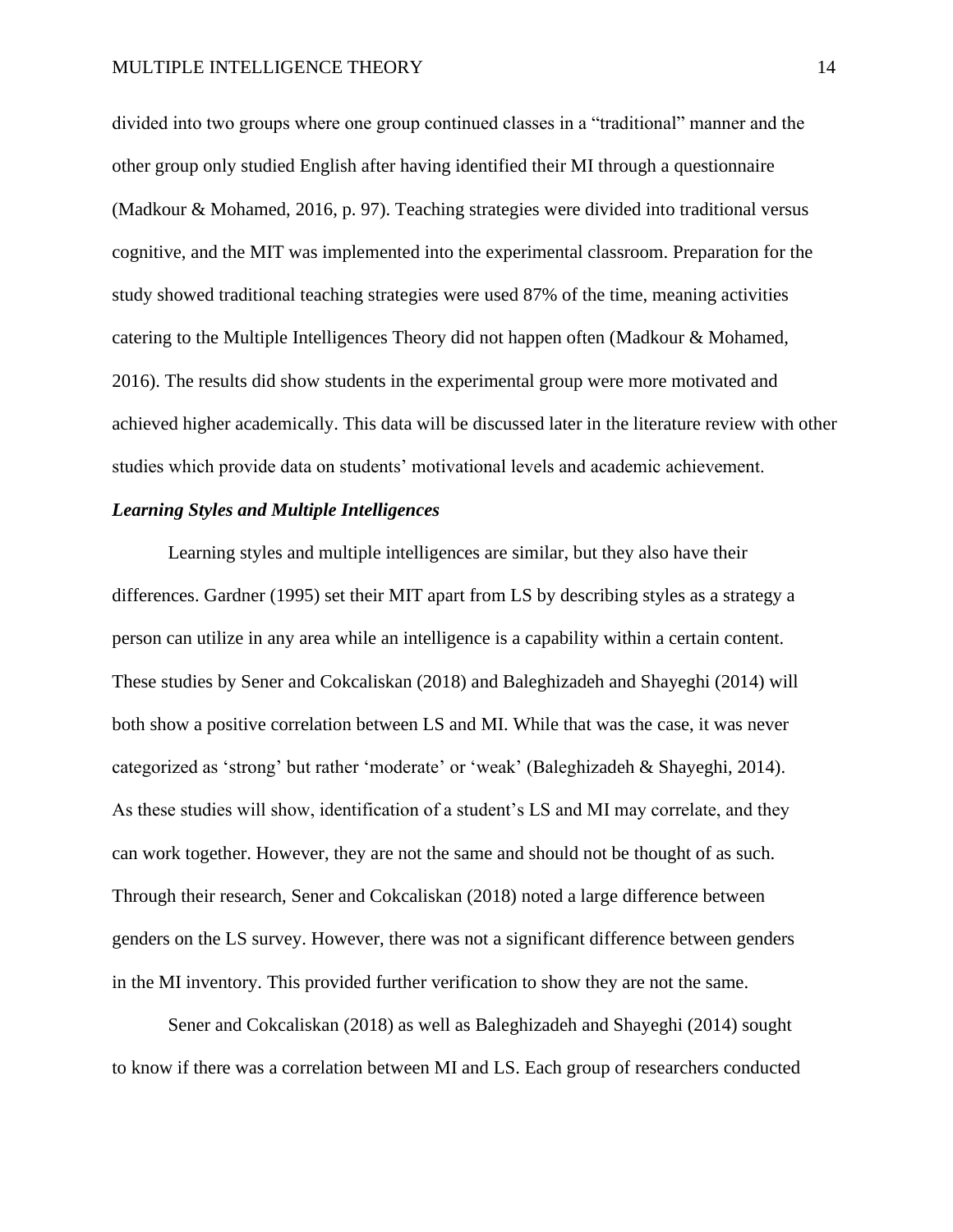divided into two groups where one group continued classes in a "traditional" manner and the other group only studied English after having identified their MI through a questionnaire (Madkour & Mohamed, 2016, p. 97). Teaching strategies were divided into traditional versus cognitive, and the MIT was implemented into the experimental classroom. Preparation for the study showed traditional teaching strategies were used 87% of the time, meaning activities catering to the Multiple Intelligences Theory did not happen often (Madkour & Mohamed, 2016). The results did show students in the experimental group were more motivated and achieved higher academically. This data will be discussed later in the literature review with other studies which provide data on students' motivational levels and academic achievement.

## *Learning Styles and Multiple Intelligences*

Learning styles and multiple intelligences are similar, but they also have their differences. Gardner (1995) set their MIT apart from LS by describing styles as a strategy a person can utilize in any area while an intelligence is a capability within a certain content. These studies by Sener and Cokcaliskan (2018) and Baleghizadeh and Shayeghi (2014) will both show a positive correlation between LS and MI. While that was the case, it was never categorized as 'strong' but rather 'moderate' or 'weak' (Baleghizadeh & Shayeghi, 2014). As these studies will show, identification of a student's LS and MI may correlate, and they can work together. However, they are not the same and should not be thought of as such. Through their research, Sener and Cokcaliskan (2018) noted a large difference between genders on the LS survey. However, there was not a significant difference between genders in the MI inventory. This provided further verification to show they are not the same.

Sener and Cokcaliskan (2018) as well as Baleghizadeh and Shayeghi (2014) sought to know if there was a correlation between MI and LS. Each group of researchers conducted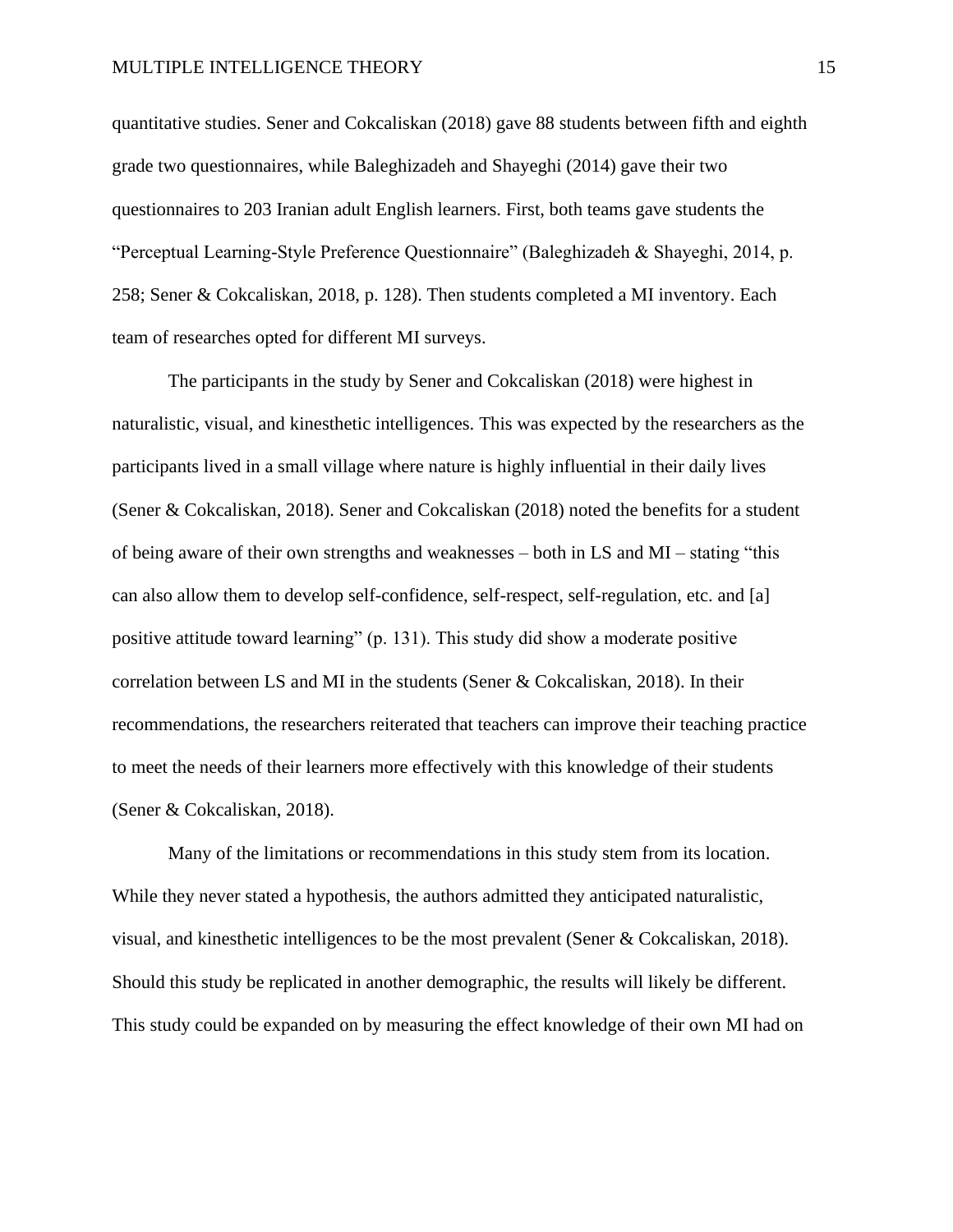quantitative studies. Sener and Cokcaliskan (2018) gave 88 students between fifth and eighth grade two questionnaires, while Baleghizadeh and Shayeghi (2014) gave their two questionnaires to 203 Iranian adult English learners. First, both teams gave students the "Perceptual Learning-Style Preference Questionnaire" (Baleghizadeh & Shayeghi, 2014, p. 258; Sener & Cokcaliskan, 2018, p. 128). Then students completed a MI inventory. Each team of researches opted for different MI surveys.

The participants in the study by Sener and Cokcaliskan (2018) were highest in naturalistic, visual, and kinesthetic intelligences. This was expected by the researchers as the participants lived in a small village where nature is highly influential in their daily lives (Sener & Cokcaliskan, 2018). Sener and Cokcaliskan (2018) noted the benefits for a student of being aware of their own strengths and weaknesses – both in LS and MI – stating "this can also allow them to develop self-confidence, self-respect, self-regulation, etc. and [a] positive attitude toward learning" (p. 131). This study did show a moderate positive correlation between LS and MI in the students (Sener & Cokcaliskan, 2018). In their recommendations, the researchers reiterated that teachers can improve their teaching practice to meet the needs of their learners more effectively with this knowledge of their students (Sener & Cokcaliskan, 2018).

Many of the limitations or recommendations in this study stem from its location. While they never stated a hypothesis, the authors admitted they anticipated naturalistic, visual, and kinesthetic intelligences to be the most prevalent (Sener & Cokcaliskan, 2018). Should this study be replicated in another demographic, the results will likely be different. This study could be expanded on by measuring the effect knowledge of their own MI had on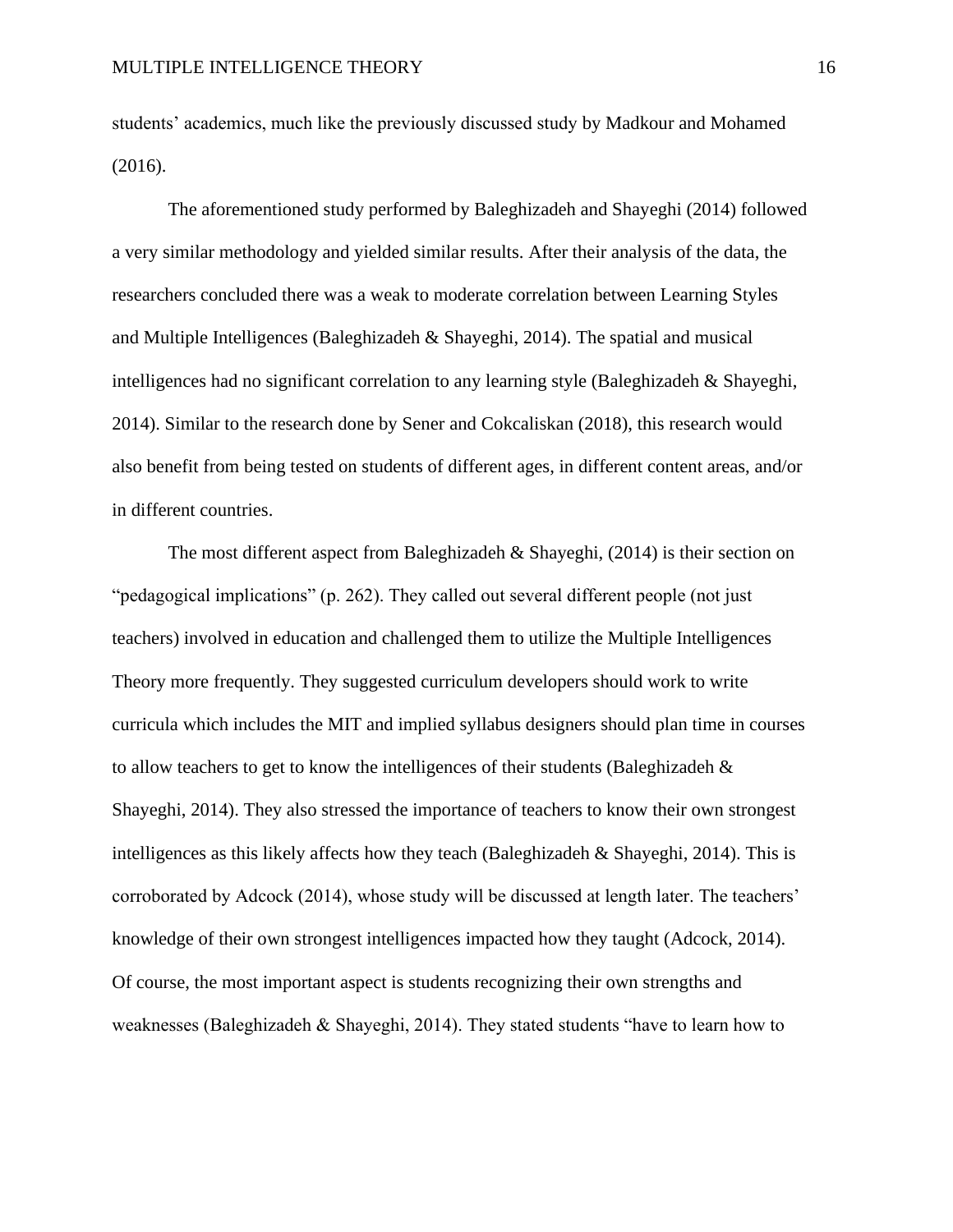students' academics, much like the previously discussed study by Madkour and Mohamed (2016).

The aforementioned study performed by Baleghizadeh and Shayeghi (2014) followed a very similar methodology and yielded similar results. After their analysis of the data, the researchers concluded there was a weak to moderate correlation between Learning Styles and Multiple Intelligences (Baleghizadeh & Shayeghi, 2014). The spatial and musical intelligences had no significant correlation to any learning style (Baleghizadeh & Shayeghi, 2014). Similar to the research done by Sener and Cokcaliskan (2018), this research would also benefit from being tested on students of different ages, in different content areas, and/or in different countries.

The most different aspect from Baleghizadeh & Shayeghi,  $(2014)$  is their section on "pedagogical implications" (p. 262). They called out several different people (not just teachers) involved in education and challenged them to utilize the Multiple Intelligences Theory more frequently. They suggested curriculum developers should work to write curricula which includes the MIT and implied syllabus designers should plan time in courses to allow teachers to get to know the intelligences of their students (Baleghizadeh  $\&$ Shayeghi, 2014). They also stressed the importance of teachers to know their own strongest intelligences as this likely affects how they teach (Baleghizadeh  $\&$  Shayeghi, 2014). This is corroborated by Adcock (2014), whose study will be discussed at length later. The teachers' knowledge of their own strongest intelligences impacted how they taught (Adcock, 2014). Of course, the most important aspect is students recognizing their own strengths and weaknesses (Baleghizadeh & Shayeghi, 2014). They stated students "have to learn how to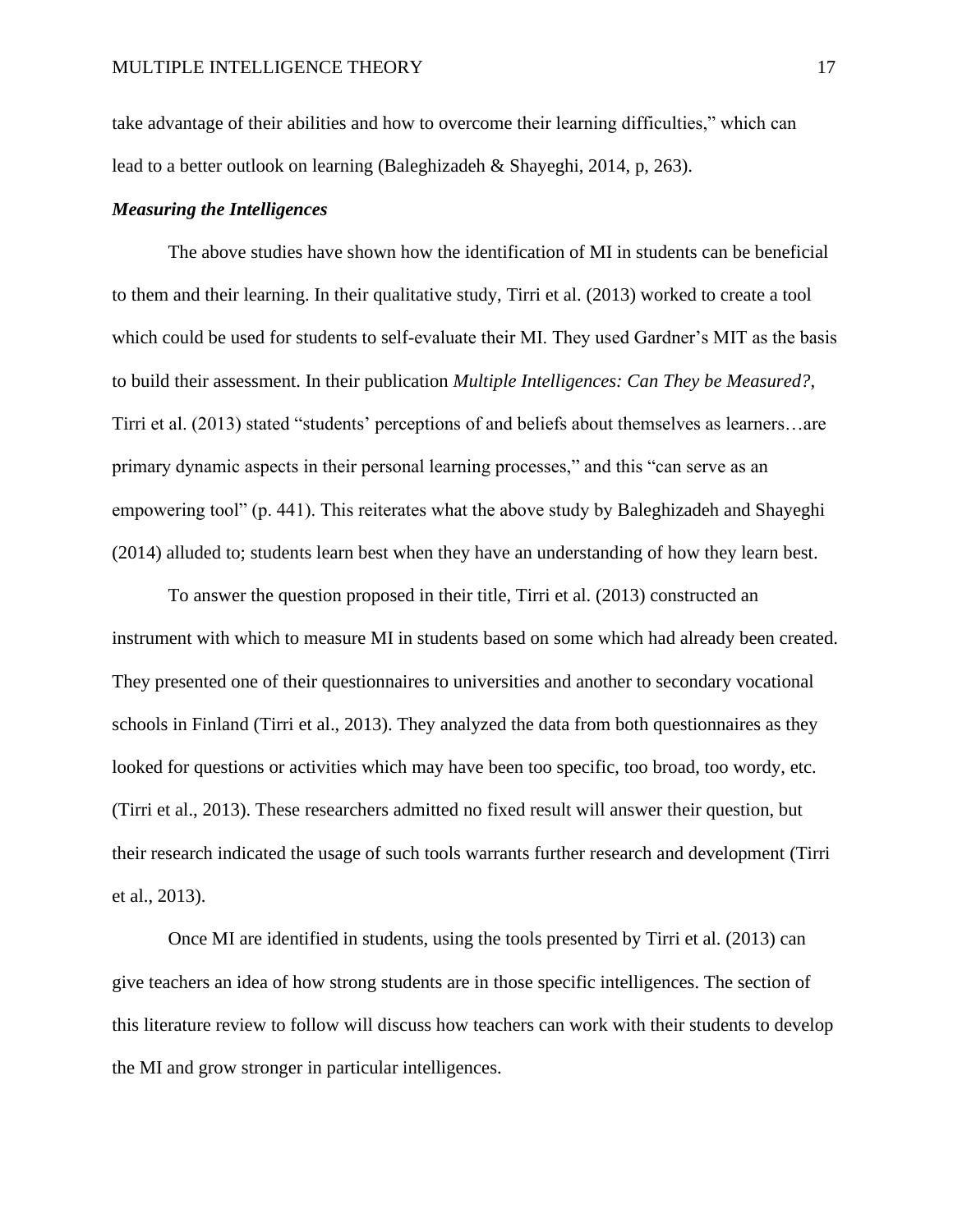take advantage of their abilities and how to overcome their learning difficulties," which can lead to a better outlook on learning (Baleghizadeh & Shayeghi, 2014, p, 263).

## *Measuring the Intelligences*

The above studies have shown how the identification of MI in students can be beneficial to them and their learning. In their qualitative study, Tirri et al. (2013) worked to create a tool which could be used for students to self-evaluate their MI. They used Gardner's MIT as the basis to build their assessment. In their publication *Multiple Intelligences: Can They be Measured?*, Tirri et al. (2013) stated "students' perceptions of and beliefs about themselves as learners…are primary dynamic aspects in their personal learning processes," and this "can serve as an empowering tool" (p. 441). This reiterates what the above study by Baleghizadeh and Shayeghi (2014) alluded to; students learn best when they have an understanding of how they learn best.

To answer the question proposed in their title, Tirri et al. (2013) constructed an instrument with which to measure MI in students based on some which had already been created. They presented one of their questionnaires to universities and another to secondary vocational schools in Finland (Tirri et al., 2013). They analyzed the data from both questionnaires as they looked for questions or activities which may have been too specific, too broad, too wordy, etc. (Tirri et al., 2013). These researchers admitted no fixed result will answer their question, but their research indicated the usage of such tools warrants further research and development (Tirri et al., 2013).

Once MI are identified in students, using the tools presented by Tirri et al. (2013) can give teachers an idea of how strong students are in those specific intelligences. The section of this literature review to follow will discuss how teachers can work with their students to develop the MI and grow stronger in particular intelligences.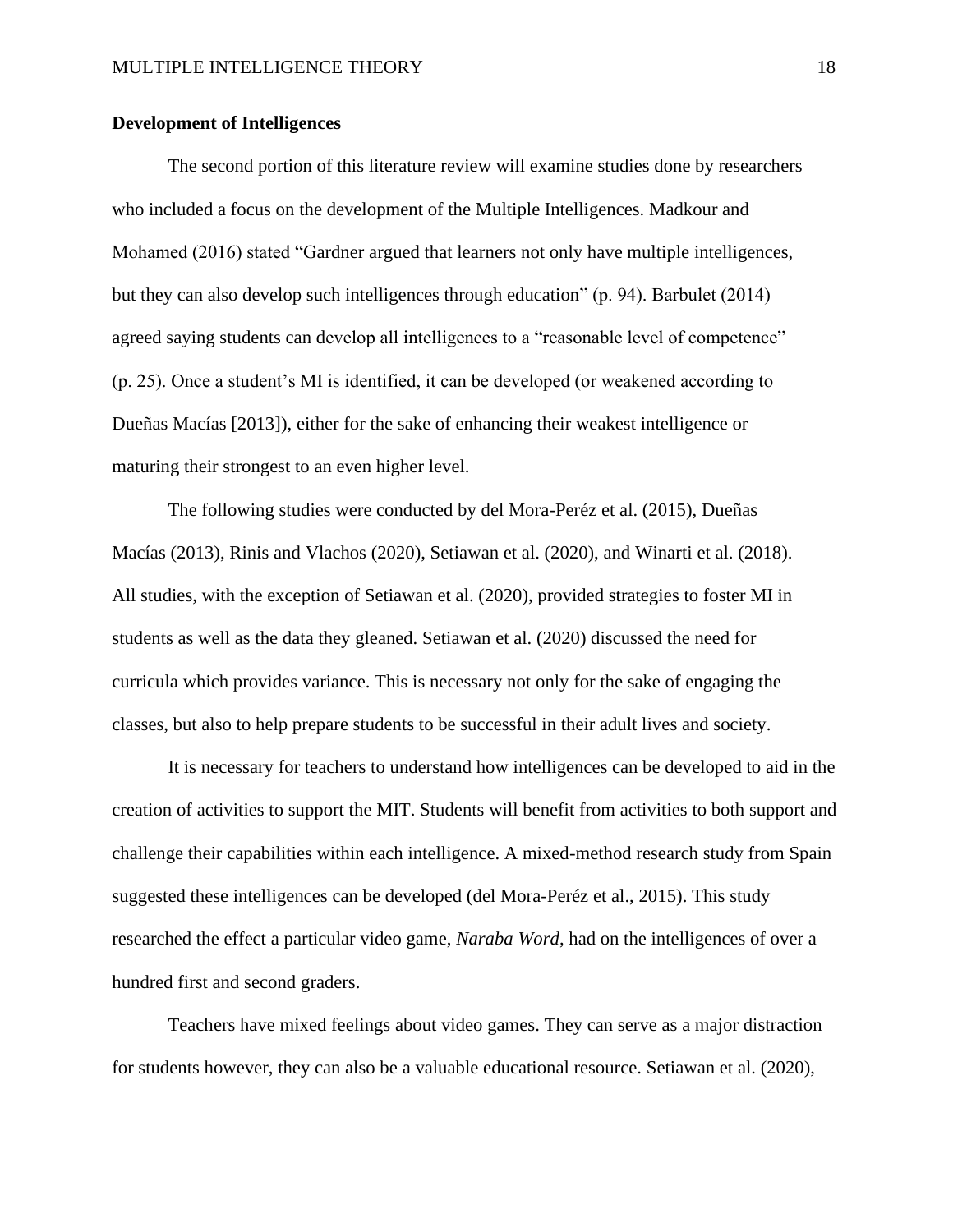## **Development of Intelligences**

The second portion of this literature review will examine studies done by researchers who included a focus on the development of the Multiple Intelligences. Madkour and Mohamed (2016) stated "Gardner argued that learners not only have multiple intelligences, but they can also develop such intelligences through education" (p. 94). Barbulet (2014) agreed saying students can develop all intelligences to a "reasonable level of competence" (p. 25). Once a student's MI is identified, it can be developed (or weakened according to Dueñas Macías [2013]), either for the sake of enhancing their weakest intelligence or maturing their strongest to an even higher level.

The following studies were conducted by del Mora-Peréz et al. (2015), Dueñas Macías (2013), Rinis and Vlachos (2020), Setiawan et al. (2020), and Winarti et al. (2018). All studies, with the exception of Setiawan et al. (2020), provided strategies to foster MI in students as well as the data they gleaned. Setiawan et al. (2020) discussed the need for curricula which provides variance. This is necessary not only for the sake of engaging the classes, but also to help prepare students to be successful in their adult lives and society.

It is necessary for teachers to understand how intelligences can be developed to aid in the creation of activities to support the MIT. Students will benefit from activities to both support and challenge their capabilities within each intelligence. A mixed-method research study from Spain suggested these intelligences can be developed (del Mora-Peréz et al., 2015). This study researched the effect a particular video game, *Naraba Word*, had on the intelligences of over a hundred first and second graders.

 Teachers have mixed feelings about video games. They can serve as a major distraction for students however, they can also be a valuable educational resource. Setiawan et al. (2020),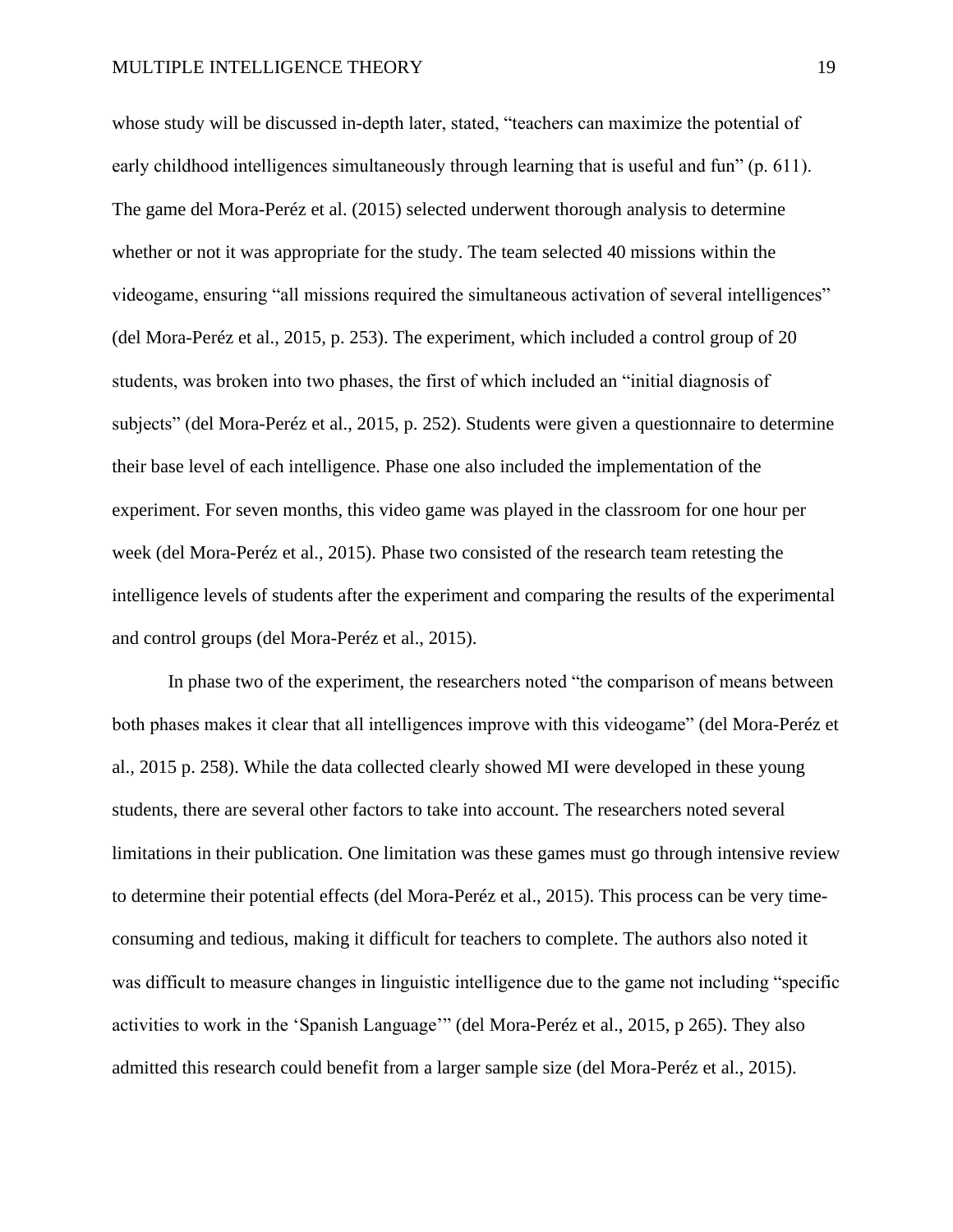whose study will be discussed in-depth later, stated, "teachers can maximize the potential of early childhood intelligences simultaneously through learning that is useful and fun" (p. 611). The game del Mora-Peréz et al. (2015) selected underwent thorough analysis to determine whether or not it was appropriate for the study. The team selected 40 missions within the videogame, ensuring "all missions required the simultaneous activation of several intelligences" (del Mora-Peréz et al., 2015, p. 253). The experiment, which included a control group of 20 students, was broken into two phases, the first of which included an "initial diagnosis of subjects" (del Mora-Peréz et al., 2015, p. 252). Students were given a questionnaire to determine their base level of each intelligence. Phase one also included the implementation of the experiment. For seven months, this video game was played in the classroom for one hour per week (del Mora-Peréz et al., 2015). Phase two consisted of the research team retesting the intelligence levels of students after the experiment and comparing the results of the experimental and control groups (del Mora-Peréz et al., 2015).

 In phase two of the experiment, the researchers noted "the comparison of means between both phases makes it clear that all intelligences improve with this videogame" (del Mora-Peréz et al., 2015 p. 258). While the data collected clearly showed MI were developed in these young students, there are several other factors to take into account. The researchers noted several limitations in their publication. One limitation was these games must go through intensive review to determine their potential effects (del Mora-Peréz et al., 2015). This process can be very timeconsuming and tedious, making it difficult for teachers to complete. The authors also noted it was difficult to measure changes in linguistic intelligence due to the game not including "specific activities to work in the 'Spanish Language'" (del Mora-Peréz et al., 2015, p 265). They also admitted this research could benefit from a larger sample size (del Mora-Peréz et al., 2015).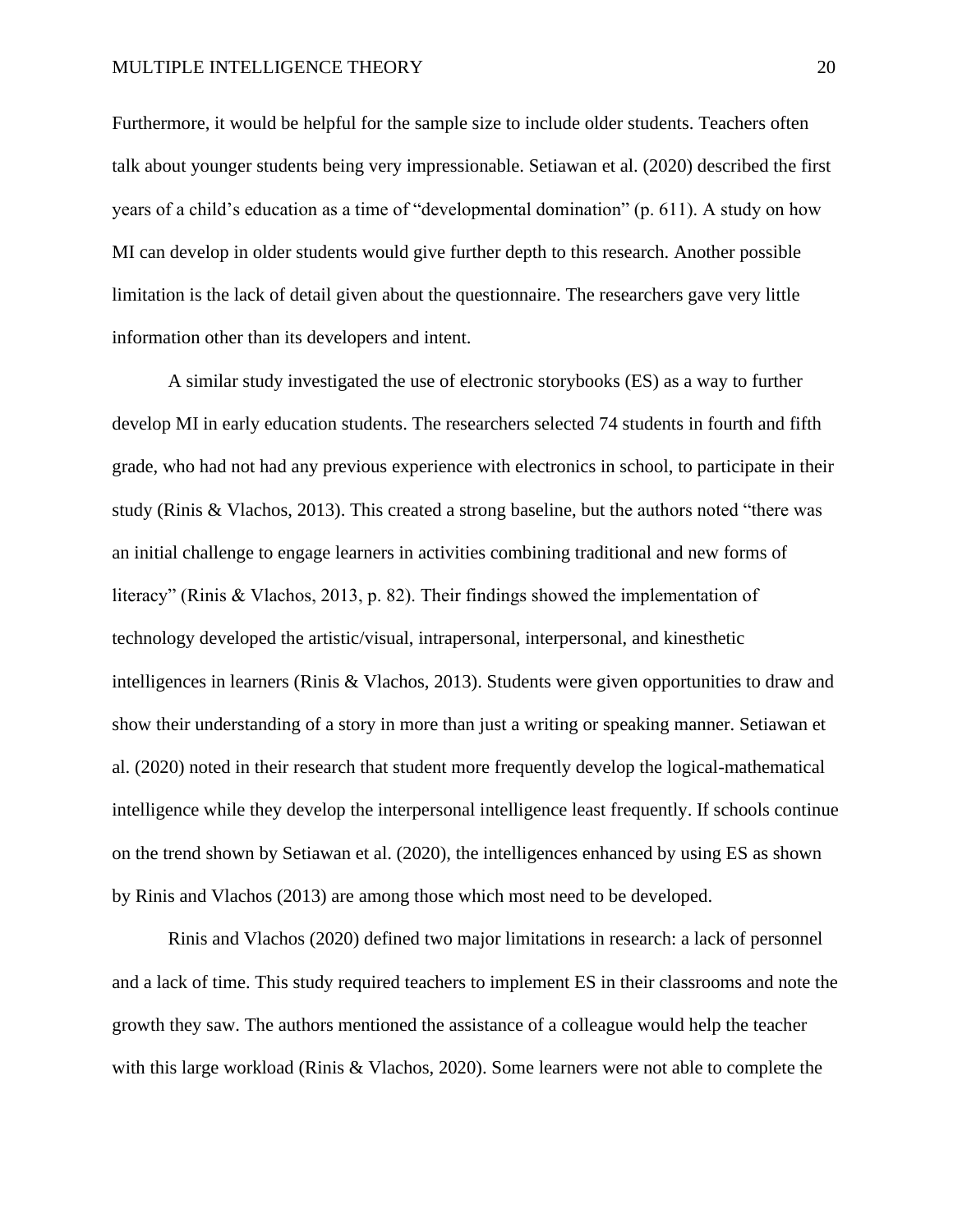#### MULTIPLE INTELLIGENCE THEORY20

Furthermore, it would be helpful for the sample size to include older students. Teachers often talk about younger students being very impressionable. Setiawan et al. (2020) described the first years of a child's education as a time of "developmental domination" (p. 611). A study on how MI can develop in older students would give further depth to this research. Another possible limitation is the lack of detail given about the questionnaire. The researchers gave very little information other than its developers and intent.

 A similar study investigated the use of electronic storybooks (ES) as a way to further develop MI in early education students. The researchers selected 74 students in fourth and fifth grade, who had not had any previous experience with electronics in school, to participate in their study (Rinis & Vlachos, 2013). This created a strong baseline, but the authors noted "there was an initial challenge to engage learners in activities combining traditional and new forms of literacy" (Rinis & Vlachos, 2013, p. 82). Their findings showed the implementation of technology developed the artistic/visual, intrapersonal, interpersonal, and kinesthetic intelligences in learners (Rinis & Vlachos, 2013). Students were given opportunities to draw and show their understanding of a story in more than just a writing or speaking manner. Setiawan et al. (2020) noted in their research that student more frequently develop the logical-mathematical intelligence while they develop the interpersonal intelligence least frequently. If schools continue on the trend shown by Setiawan et al. (2020), the intelligences enhanced by using ES as shown by Rinis and Vlachos (2013) are among those which most need to be developed.

 Rinis and Vlachos (2020) defined two major limitations in research: a lack of personnel and a lack of time. This study required teachers to implement ES in their classrooms and note the growth they saw. The authors mentioned the assistance of a colleague would help the teacher with this large workload (Rinis & Vlachos, 2020). Some learners were not able to complete the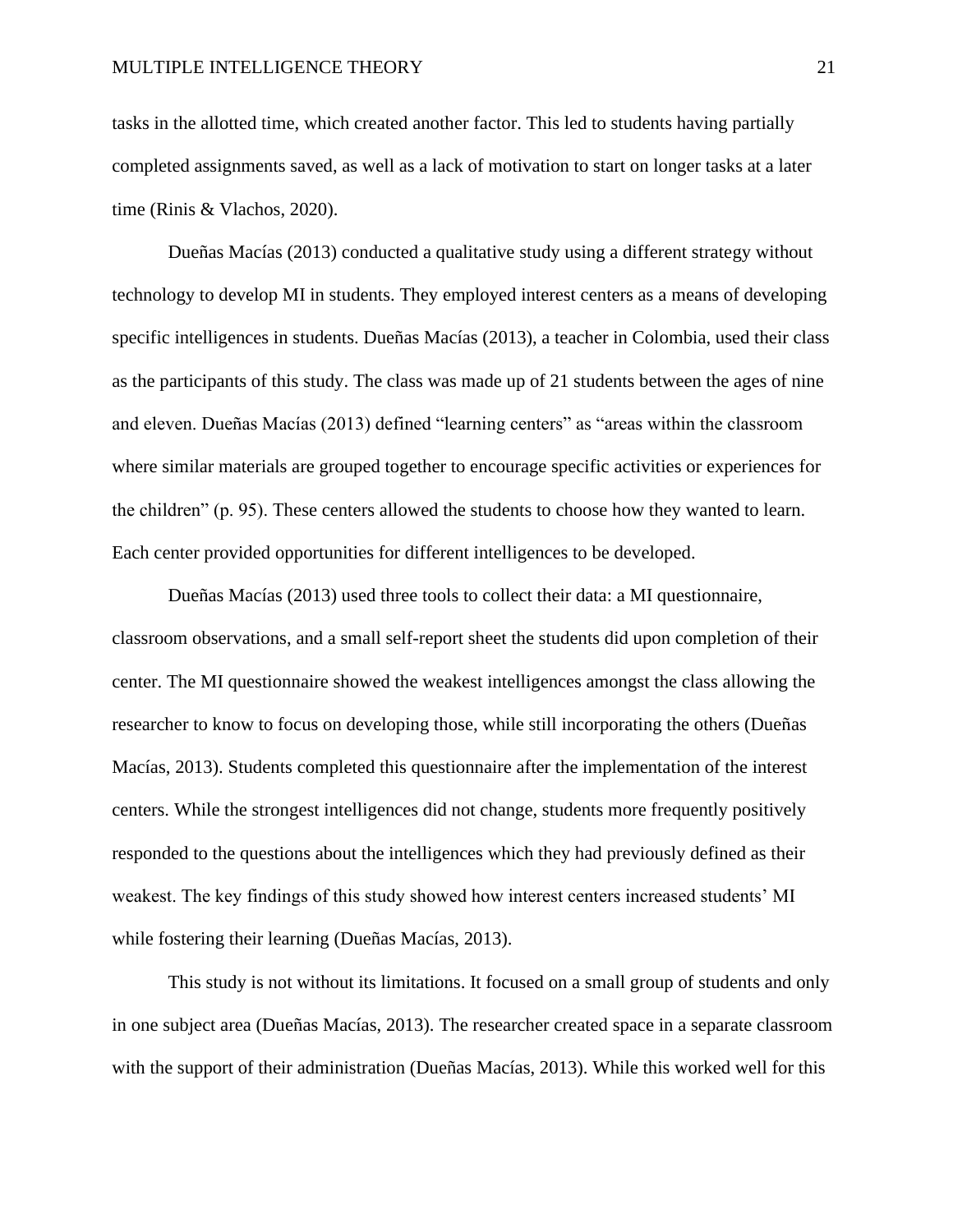tasks in the allotted time, which created another factor. This led to students having partially completed assignments saved, as well as a lack of motivation to start on longer tasks at a later time (Rinis & Vlachos, 2020).

Dueñas Macías (2013) conducted a qualitative study using a different strategy without technology to develop MI in students. They employed interest centers as a means of developing specific intelligences in students. Dueñas Macías (2013), a teacher in Colombia, used their class as the participants of this study. The class was made up of 21 students between the ages of nine and eleven. Dueñas Macías (2013) defined "learning centers" as "areas within the classroom where similar materials are grouped together to encourage specific activities or experiences for the children" (p. 95). These centers allowed the students to choose how they wanted to learn. Each center provided opportunities for different intelligences to be developed.

Dueñas Macías (2013) used three tools to collect their data: a MI questionnaire, classroom observations, and a small self-report sheet the students did upon completion of their center. The MI questionnaire showed the weakest intelligences amongst the class allowing the researcher to know to focus on developing those, while still incorporating the others (Dueñas Macías, 2013). Students completed this questionnaire after the implementation of the interest centers. While the strongest intelligences did not change, students more frequently positively responded to the questions about the intelligences which they had previously defined as their weakest. The key findings of this study showed how interest centers increased students' MI while fostering their learning (Dueñas Macías, 2013).

This study is not without its limitations. It focused on a small group of students and only in one subject area (Dueñas Macías, 2013). The researcher created space in a separate classroom with the support of their administration (Dueñas Macías, 2013). While this worked well for this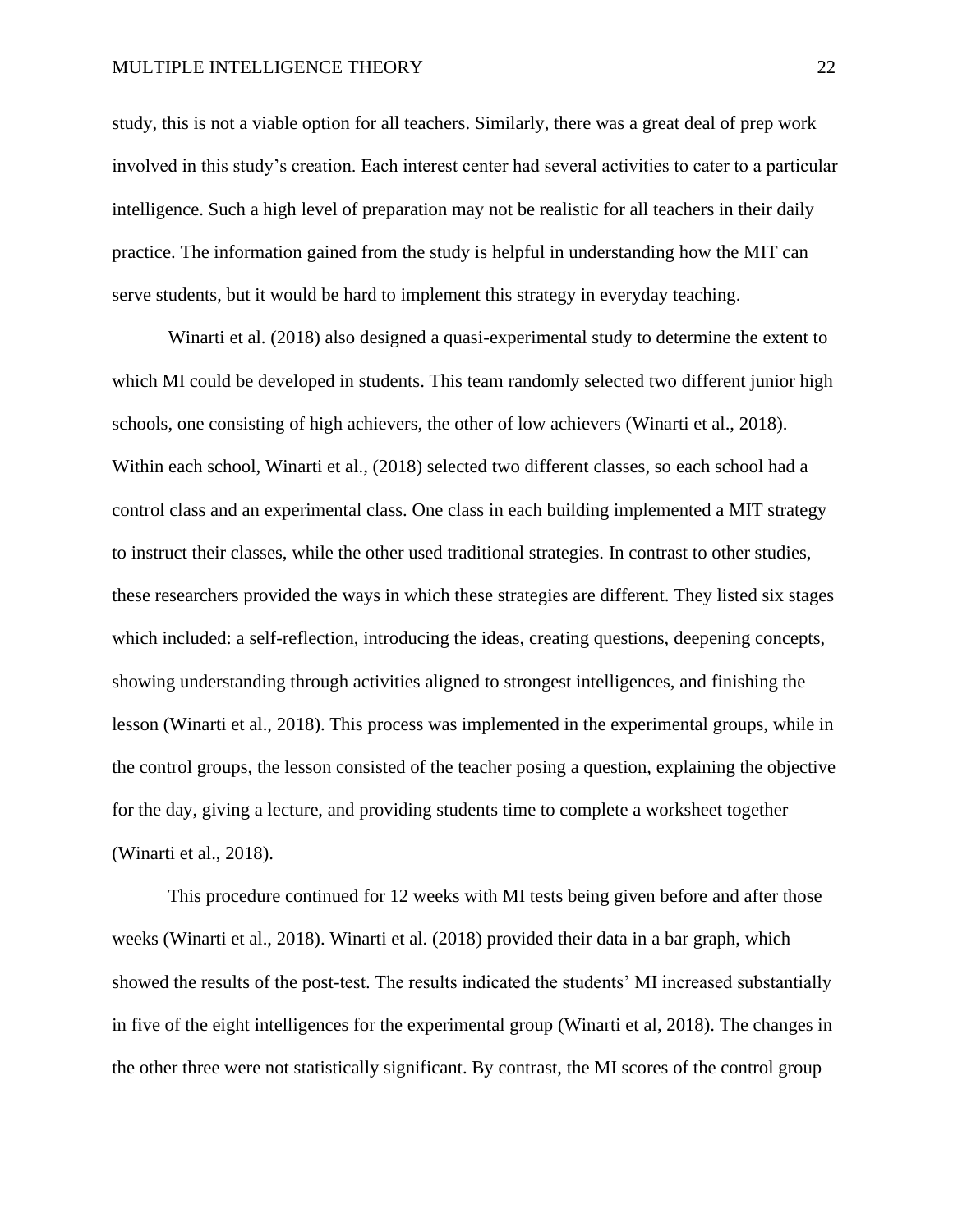#### MULTIPLE INTELLIGENCE THEORY22

study, this is not a viable option for all teachers. Similarly, there was a great deal of prep work involved in this study's creation. Each interest center had several activities to cater to a particular intelligence. Such a high level of preparation may not be realistic for all teachers in their daily practice. The information gained from the study is helpful in understanding how the MIT can serve students, but it would be hard to implement this strategy in everyday teaching.

Winarti et al. (2018) also designed a quasi-experimental study to determine the extent to which MI could be developed in students. This team randomly selected two different junior high schools, one consisting of high achievers, the other of low achievers (Winarti et al., 2018). Within each school, Winarti et al., (2018) selected two different classes, so each school had a control class and an experimental class. One class in each building implemented a MIT strategy to instruct their classes, while the other used traditional strategies. In contrast to other studies, these researchers provided the ways in which these strategies are different. They listed six stages which included: a self-reflection, introducing the ideas, creating questions, deepening concepts, showing understanding through activities aligned to strongest intelligences, and finishing the lesson (Winarti et al., 2018). This process was implemented in the experimental groups, while in the control groups, the lesson consisted of the teacher posing a question, explaining the objective for the day, giving a lecture, and providing students time to complete a worksheet together (Winarti et al., 2018).

This procedure continued for 12 weeks with MI tests being given before and after those weeks (Winarti et al., 2018). Winarti et al. (2018) provided their data in a bar graph, which showed the results of the post-test. The results indicated the students' MI increased substantially in five of the eight intelligences for the experimental group (Winarti et al, 2018). The changes in the other three were not statistically significant. By contrast, the MI scores of the control group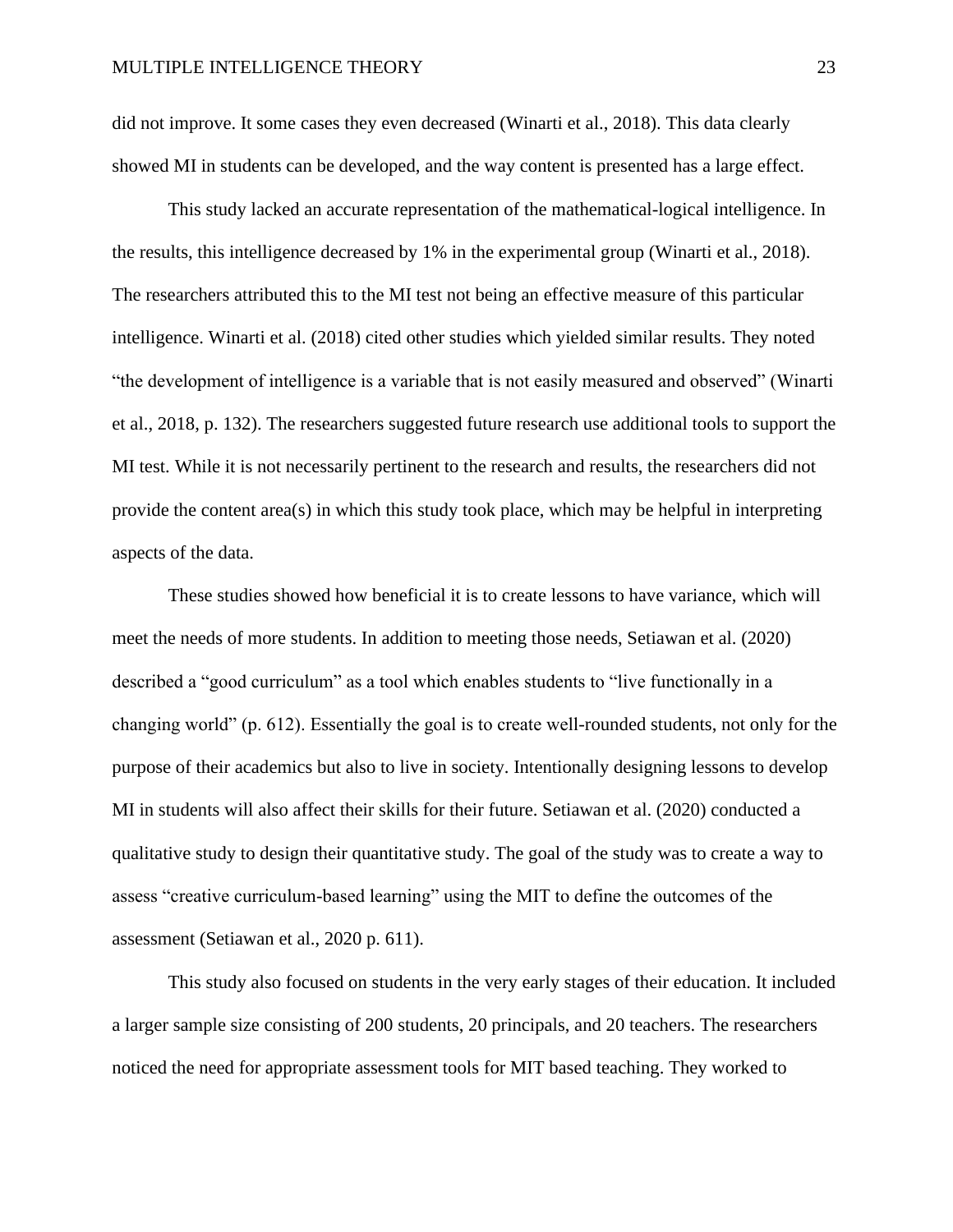did not improve. It some cases they even decreased (Winarti et al., 2018). This data clearly showed MI in students can be developed, and the way content is presented has a large effect.

This study lacked an accurate representation of the mathematical-logical intelligence. In the results, this intelligence decreased by 1% in the experimental group (Winarti et al., 2018). The researchers attributed this to the MI test not being an effective measure of this particular intelligence. Winarti et al. (2018) cited other studies which yielded similar results. They noted "the development of intelligence is a variable that is not easily measured and observed" (Winarti et al., 2018, p. 132). The researchers suggested future research use additional tools to support the MI test. While it is not necessarily pertinent to the research and results, the researchers did not provide the content area(s) in which this study took place, which may be helpful in interpreting aspects of the data.

 These studies showed how beneficial it is to create lessons to have variance, which will meet the needs of more students. In addition to meeting those needs, Setiawan et al. (2020) described a "good curriculum" as a tool which enables students to "live functionally in a changing world" (p. 612). Essentially the goal is to create well-rounded students, not only for the purpose of their academics but also to live in society. Intentionally designing lessons to develop MI in students will also affect their skills for their future. Setiawan et al. (2020) conducted a qualitative study to design their quantitative study. The goal of the study was to create a way to assess "creative curriculum-based learning" using the MIT to define the outcomes of the assessment (Setiawan et al., 2020 p. 611).

 This study also focused on students in the very early stages of their education. It included a larger sample size consisting of 200 students, 20 principals, and 20 teachers. The researchers noticed the need for appropriate assessment tools for MIT based teaching. They worked to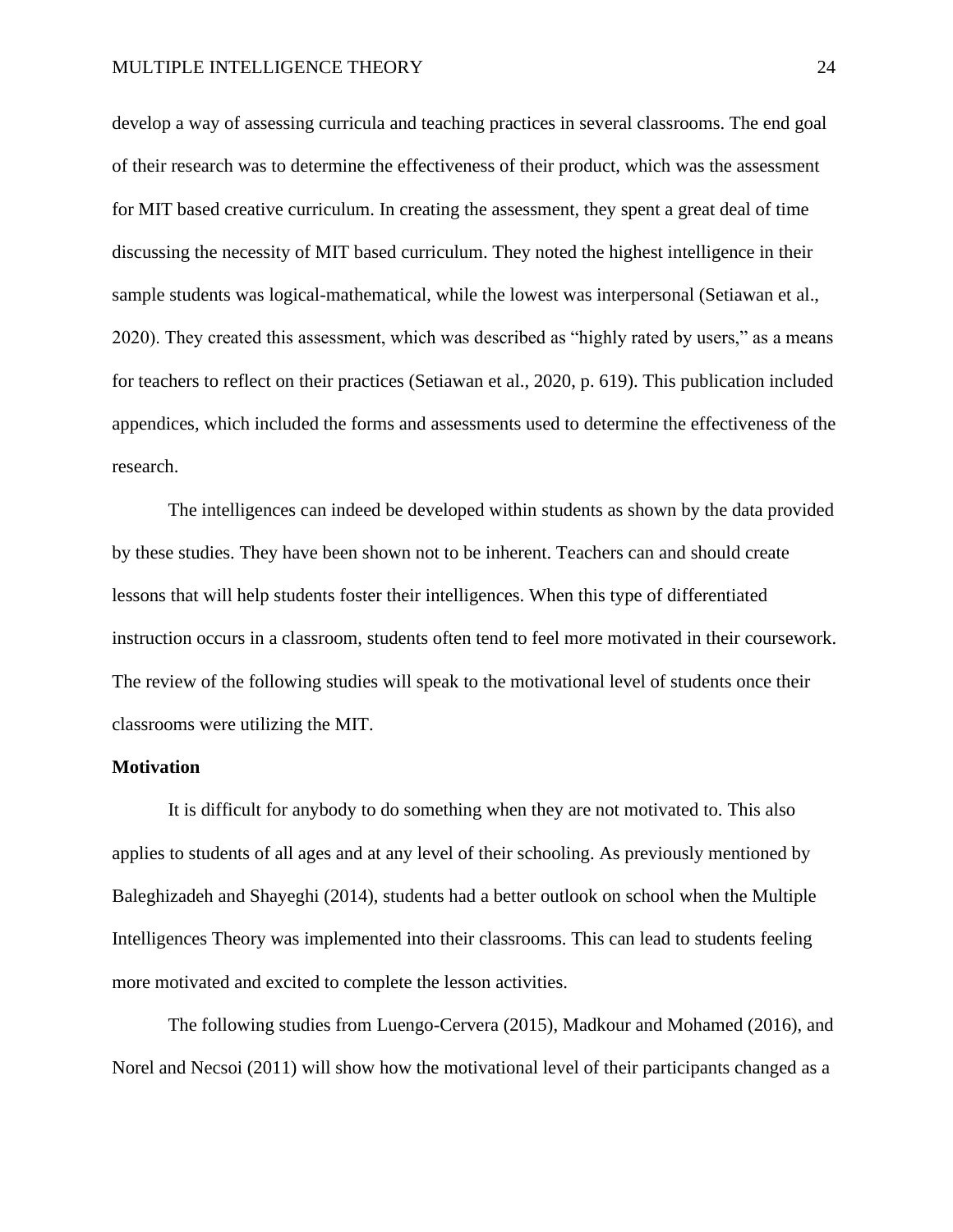develop a way of assessing curricula and teaching practices in several classrooms. The end goal of their research was to determine the effectiveness of their product, which was the assessment for MIT based creative curriculum. In creating the assessment, they spent a great deal of time discussing the necessity of MIT based curriculum. They noted the highest intelligence in their sample students was logical-mathematical, while the lowest was interpersonal (Setiawan et al., 2020). They created this assessment, which was described as "highly rated by users," as a means for teachers to reflect on their practices (Setiawan et al., 2020, p. 619). This publication included appendices, which included the forms and assessments used to determine the effectiveness of the research.

The intelligences can indeed be developed within students as shown by the data provided by these studies. They have been shown not to be inherent. Teachers can and should create lessons that will help students foster their intelligences. When this type of differentiated instruction occurs in a classroom, students often tend to feel more motivated in their coursework. The review of the following studies will speak to the motivational level of students once their classrooms were utilizing the MIT.

## **Motivation**

It is difficult for anybody to do something when they are not motivated to. This also applies to students of all ages and at any level of their schooling. As previously mentioned by Baleghizadeh and Shayeghi (2014), students had a better outlook on school when the Multiple Intelligences Theory was implemented into their classrooms. This can lead to students feeling more motivated and excited to complete the lesson activities.

The following studies from Luengo-Cervera (2015), Madkour and Mohamed (2016), and Norel and Necsoi (2011) will show how the motivational level of their participants changed as a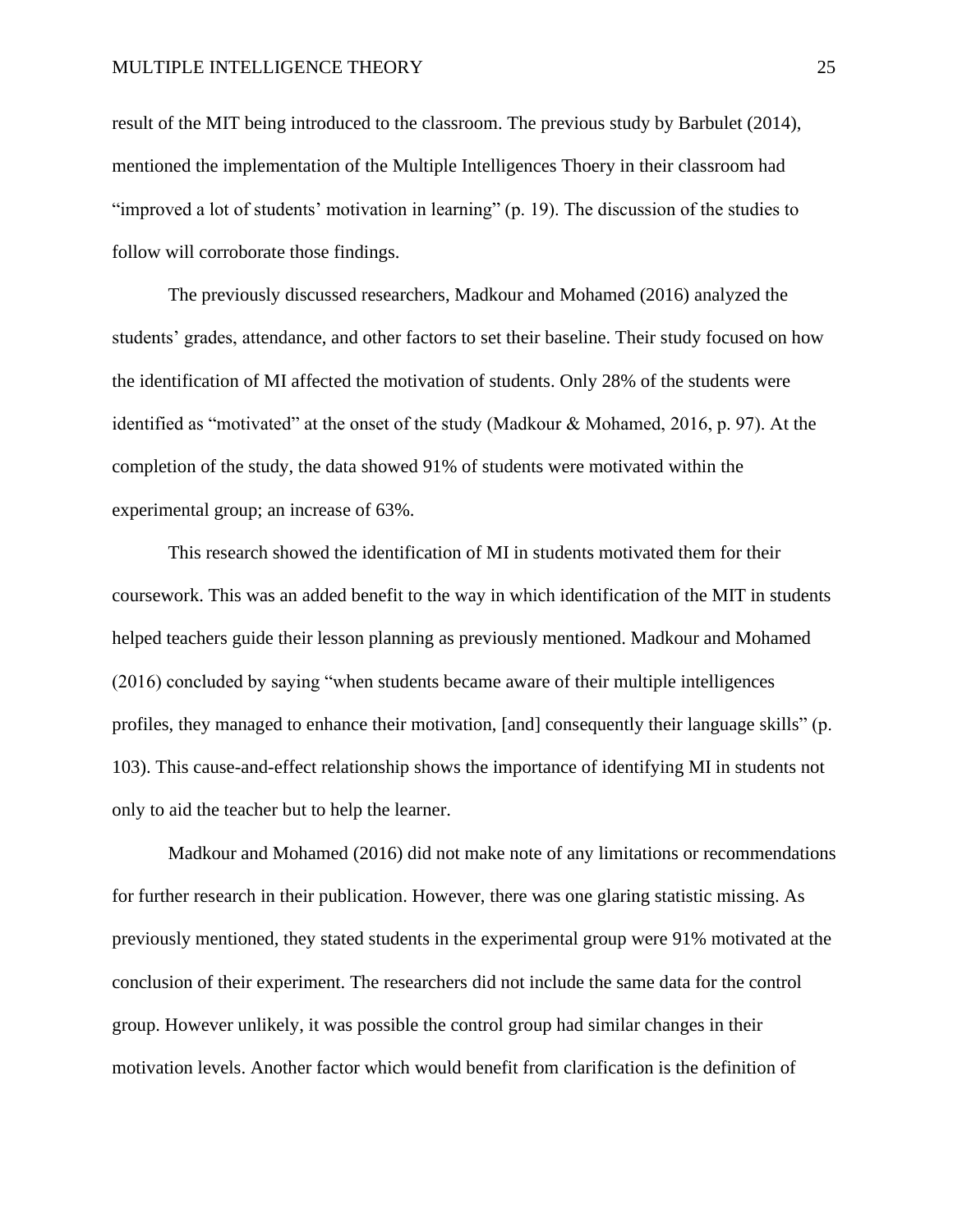#### MULTIPLE INTELLIGENCE THEORY25

result of the MIT being introduced to the classroom. The previous study by Barbulet (2014), mentioned the implementation of the Multiple Intelligences Thoery in their classroom had "improved a lot of students' motivation in learning" (p. 19). The discussion of the studies to follow will corroborate those findings.

The previously discussed researchers, Madkour and Mohamed (2016) analyzed the students' grades, attendance, and other factors to set their baseline. Their study focused on how the identification of MI affected the motivation of students. Only 28% of the students were identified as "motivated" at the onset of the study (Madkour & Mohamed, 2016, p. 97). At the completion of the study, the data showed 91% of students were motivated within the experimental group; an increase of 63%.

This research showed the identification of MI in students motivated them for their coursework. This was an added benefit to the way in which identification of the MIT in students helped teachers guide their lesson planning as previously mentioned. Madkour and Mohamed (2016) concluded by saying "when students became aware of their multiple intelligences profiles, they managed to enhance their motivation, [and] consequently their language skills" (p. 103). This cause-and-effect relationship shows the importance of identifying MI in students not only to aid the teacher but to help the learner.

Madkour and Mohamed (2016) did not make note of any limitations or recommendations for further research in their publication. However, there was one glaring statistic missing. As previously mentioned, they stated students in the experimental group were 91% motivated at the conclusion of their experiment. The researchers did not include the same data for the control group. However unlikely, it was possible the control group had similar changes in their motivation levels. Another factor which would benefit from clarification is the definition of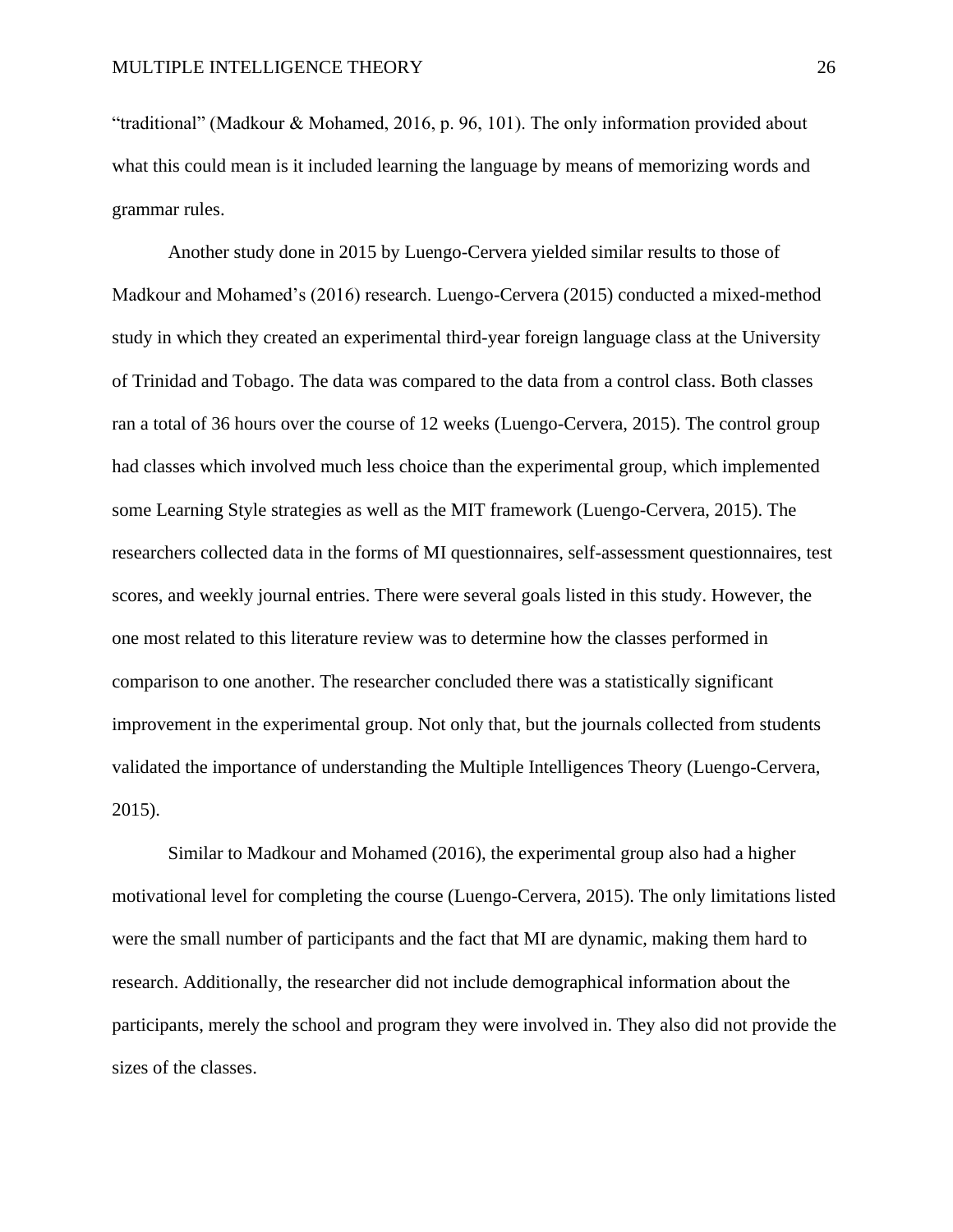"traditional" (Madkour & Mohamed, 2016, p. 96, 101). The only information provided about what this could mean is it included learning the language by means of memorizing words and grammar rules.

Another study done in 2015 by Luengo-Cervera yielded similar results to those of Madkour and Mohamed's (2016) research. Luengo-Cervera (2015) conducted a mixed-method study in which they created an experimental third-year foreign language class at the University of Trinidad and Tobago. The data was compared to the data from a control class. Both classes ran a total of 36 hours over the course of 12 weeks (Luengo-Cervera, 2015). The control group had classes which involved much less choice than the experimental group, which implemented some Learning Style strategies as well as the MIT framework (Luengo-Cervera, 2015). The researchers collected data in the forms of MI questionnaires, self-assessment questionnaires, test scores, and weekly journal entries. There were several goals listed in this study. However, the one most related to this literature review was to determine how the classes performed in comparison to one another. The researcher concluded there was a statistically significant improvement in the experimental group. Not only that, but the journals collected from students validated the importance of understanding the Multiple Intelligences Theory (Luengo-Cervera, 2015).

Similar to Madkour and Mohamed (2016), the experimental group also had a higher motivational level for completing the course (Luengo-Cervera, 2015). The only limitations listed were the small number of participants and the fact that MI are dynamic, making them hard to research. Additionally, the researcher did not include demographical information about the participants, merely the school and program they were involved in. They also did not provide the sizes of the classes.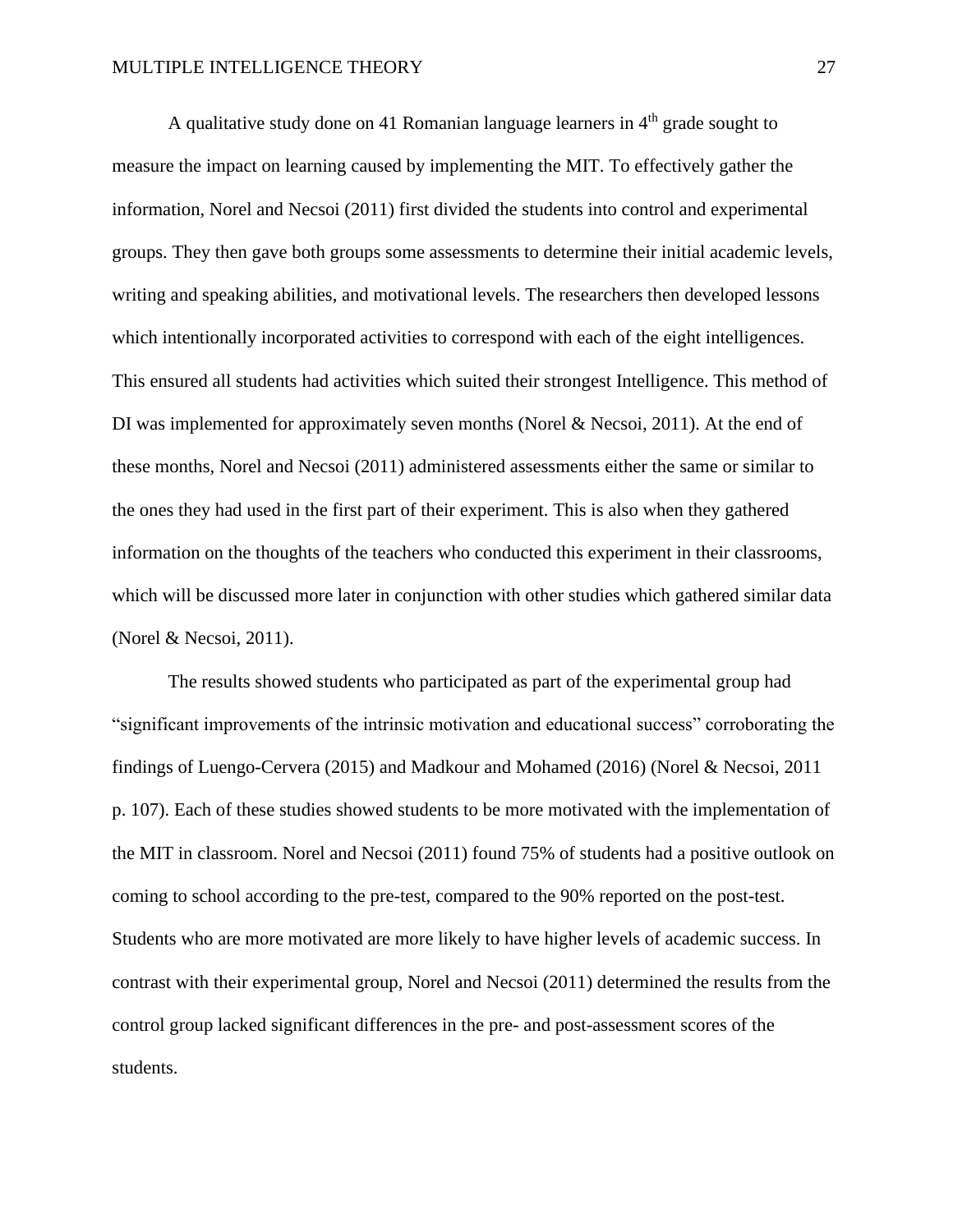A qualitative study done on 41 Romanian language learners in  $4<sup>th</sup>$  grade sought to measure the impact on learning caused by implementing the MIT. To effectively gather the information, Norel and Necsoi (2011) first divided the students into control and experimental groups. They then gave both groups some assessments to determine their initial academic levels, writing and speaking abilities, and motivational levels. The researchers then developed lessons which intentionally incorporated activities to correspond with each of the eight intelligences. This ensured all students had activities which suited their strongest Intelligence. This method of DI was implemented for approximately seven months (Norel & Necsoi, 2011). At the end of these months, Norel and Necsoi (2011) administered assessments either the same or similar to the ones they had used in the first part of their experiment. This is also when they gathered information on the thoughts of the teachers who conducted this experiment in their classrooms, which will be discussed more later in conjunction with other studies which gathered similar data (Norel & Necsoi, 2011).

The results showed students who participated as part of the experimental group had "significant improvements of the intrinsic motivation and educational success" corroborating the findings of Luengo-Cervera (2015) and Madkour and Mohamed (2016) (Norel & Necsoi, 2011 p. 107). Each of these studies showed students to be more motivated with the implementation of the MIT in classroom. Norel and Necsoi (2011) found 75% of students had a positive outlook on coming to school according to the pre-test, compared to the 90% reported on the post-test. Students who are more motivated are more likely to have higher levels of academic success. In contrast with their experimental group, Norel and Necsoi (2011) determined the results from the control group lacked significant differences in the pre- and post-assessment scores of the students.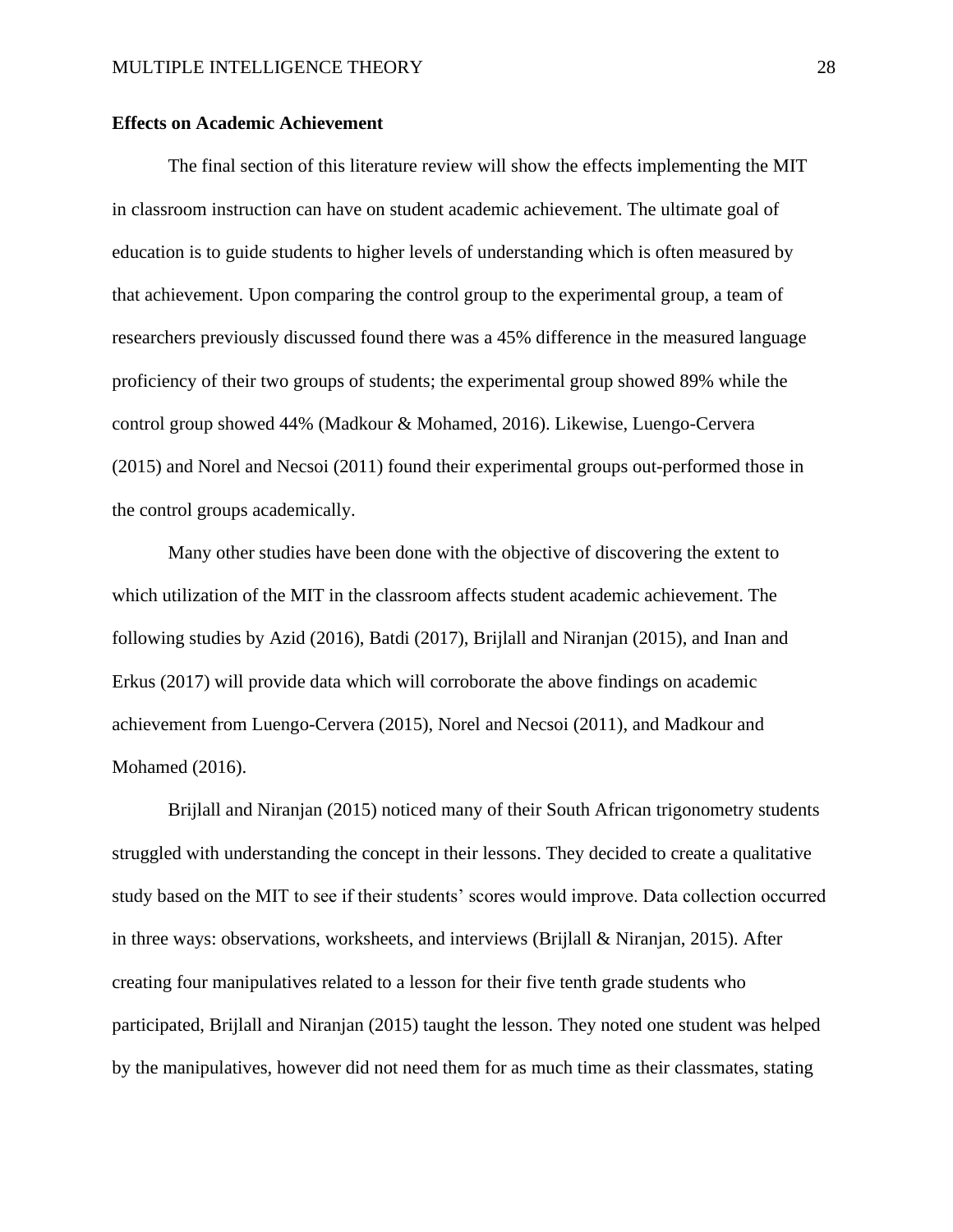## **Effects on Academic Achievement**

The final section of this literature review will show the effects implementing the MIT in classroom instruction can have on student academic achievement. The ultimate goal of education is to guide students to higher levels of understanding which is often measured by that achievement. Upon comparing the control group to the experimental group, a team of researchers previously discussed found there was a 45% difference in the measured language proficiency of their two groups of students; the experimental group showed 89% while the control group showed 44% (Madkour & Mohamed, 2016). Likewise, Luengo-Cervera (2015) and Norel and Necsoi (2011) found their experimental groups out-performed those in the control groups academically.

Many other studies have been done with the objective of discovering the extent to which utilization of the MIT in the classroom affects student academic achievement. The following studies by Azid (2016), Batdi (2017), Brijlall and Niranjan (2015), and Inan and Erkus (2017) will provide data which will corroborate the above findings on academic achievement from Luengo-Cervera (2015), Norel and Necsoi (2011), and Madkour and Mohamed (2016).

Brijlall and Niranjan (2015) noticed many of their South African trigonometry students struggled with understanding the concept in their lessons. They decided to create a qualitative study based on the MIT to see if their students' scores would improve. Data collection occurred in three ways: observations, worksheets, and interviews (Brijlall & Niranjan, 2015). After creating four manipulatives related to a lesson for their five tenth grade students who participated, Brijlall and Niranjan (2015) taught the lesson. They noted one student was helped by the manipulatives, however did not need them for as much time as their classmates, stating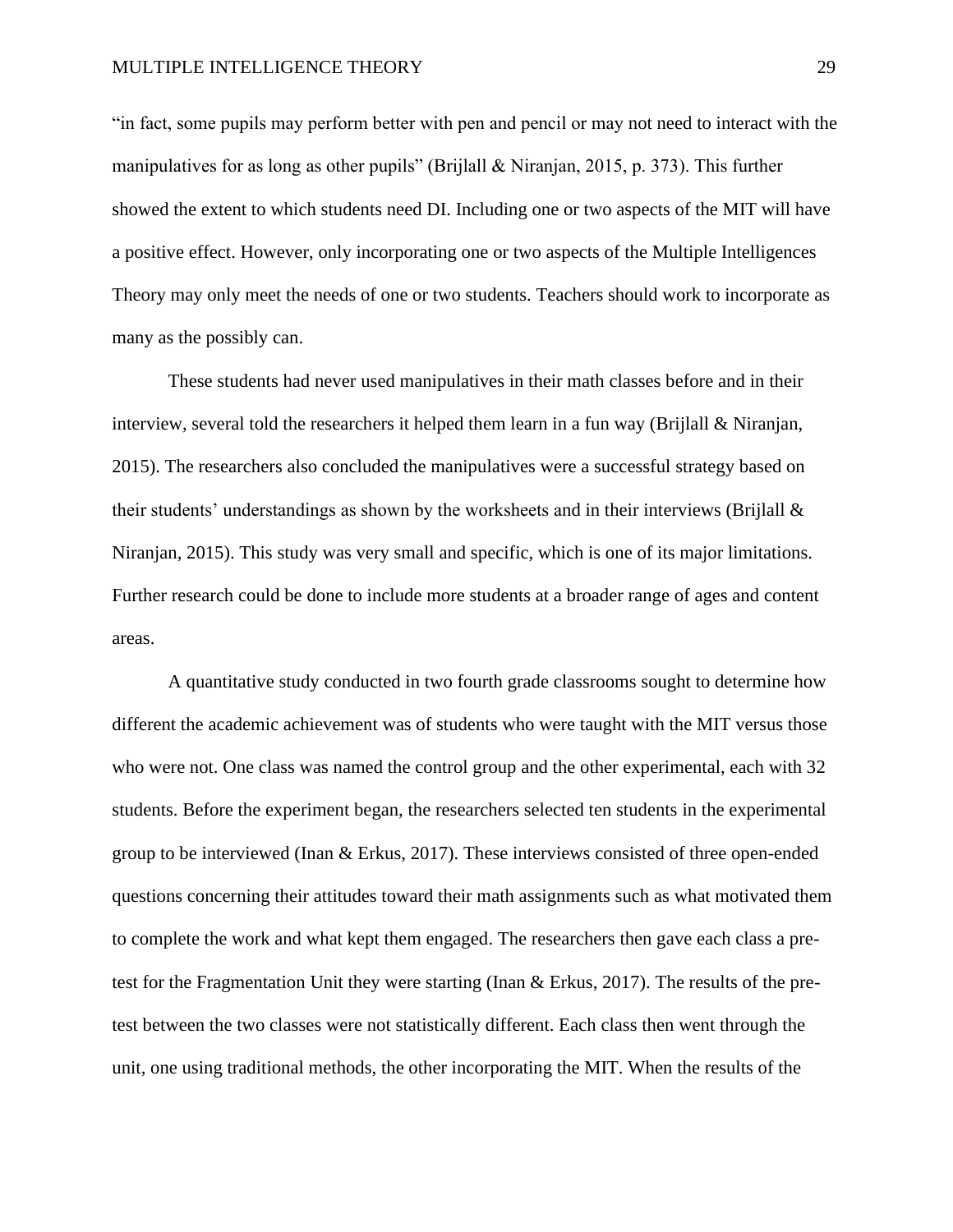#### MULTIPLE INTELLIGENCE THEORY29

"in fact, some pupils may perform better with pen and pencil or may not need to interact with the manipulatives for as long as other pupils" (Brijlall & Niranjan, 2015, p. 373). This further showed the extent to which students need DI. Including one or two aspects of the MIT will have a positive effect. However, only incorporating one or two aspects of the Multiple Intelligences Theory may only meet the needs of one or two students. Teachers should work to incorporate as many as the possibly can.

These students had never used manipulatives in their math classes before and in their interview, several told the researchers it helped them learn in a fun way (Brijlall  $\&$  Niranjan, 2015). The researchers also concluded the manipulatives were a successful strategy based on their students' understandings as shown by the worksheets and in their interviews (Brijlall & Niranjan, 2015). This study was very small and specific, which is one of its major limitations. Further research could be done to include more students at a broader range of ages and content areas.

 A quantitative study conducted in two fourth grade classrooms sought to determine how different the academic achievement was of students who were taught with the MIT versus those who were not. One class was named the control group and the other experimental, each with 32 students. Before the experiment began, the researchers selected ten students in the experimental group to be interviewed (Inan & Erkus, 2017). These interviews consisted of three open-ended questions concerning their attitudes toward their math assignments such as what motivated them to complete the work and what kept them engaged. The researchers then gave each class a pretest for the Fragmentation Unit they were starting (Inan & Erkus, 2017). The results of the pretest between the two classes were not statistically different. Each class then went through the unit, one using traditional methods, the other incorporating the MIT. When the results of the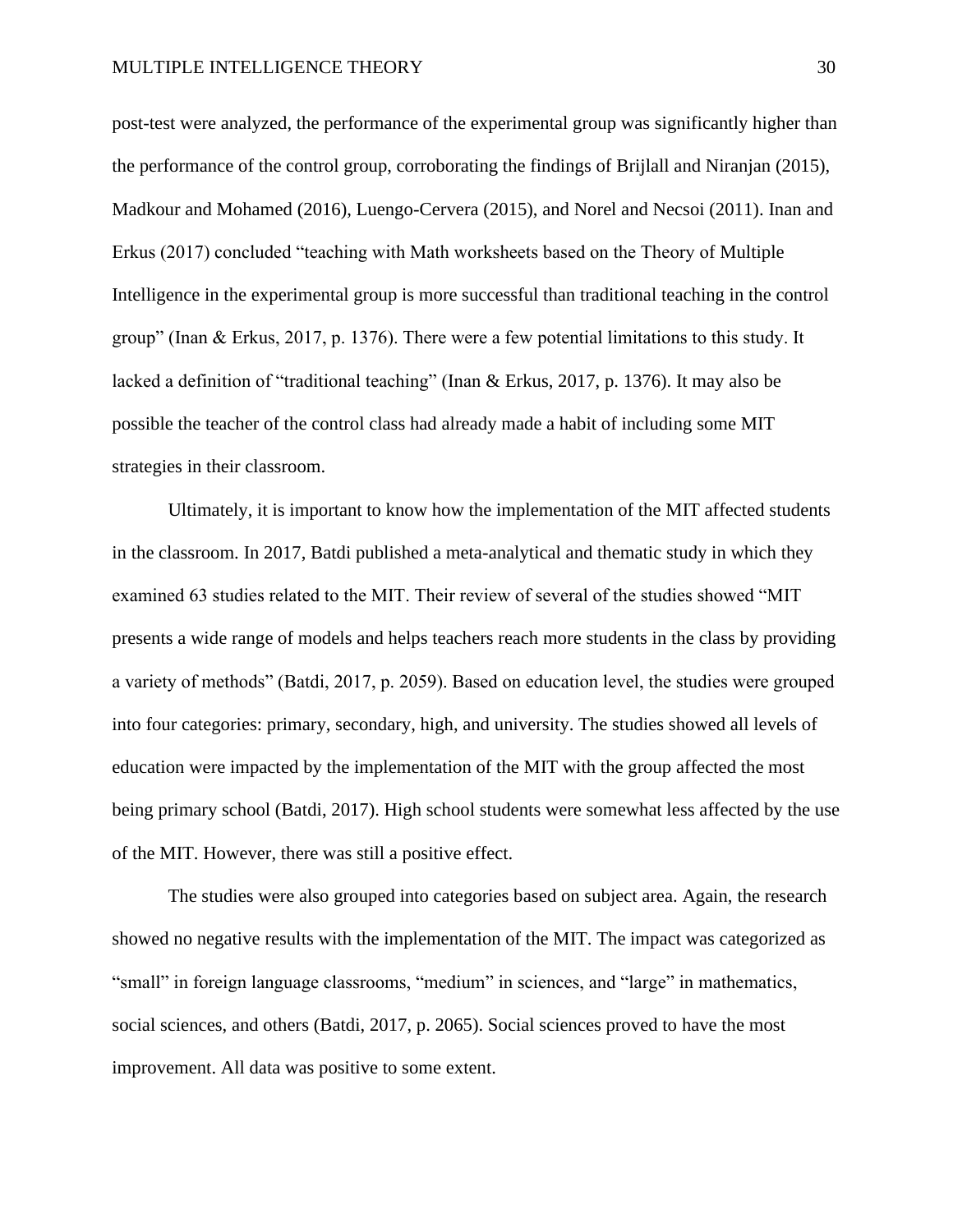post-test were analyzed, the performance of the experimental group was significantly higher than the performance of the control group, corroborating the findings of Brijlall and Niranjan (2015), Madkour and Mohamed (2016), Luengo-Cervera (2015), and Norel and Necsoi (2011). Inan and Erkus (2017) concluded "teaching with Math worksheets based on the Theory of Multiple Intelligence in the experimental group is more successful than traditional teaching in the control group" (Inan & Erkus, 2017, p. 1376). There were a few potential limitations to this study. It lacked a definition of "traditional teaching" (Inan & Erkus, 2017, p. 1376). It may also be possible the teacher of the control class had already made a habit of including some MIT strategies in their classroom.

Ultimately, it is important to know how the implementation of the MIT affected students in the classroom. In 2017, Batdi published a meta-analytical and thematic study in which they examined 63 studies related to the MIT. Their review of several of the studies showed "MIT presents a wide range of models and helps teachers reach more students in the class by providing a variety of methods" (Batdi, 2017, p. 2059). Based on education level, the studies were grouped into four categories: primary, secondary, high, and university. The studies showed all levels of education were impacted by the implementation of the MIT with the group affected the most being primary school (Batdi, 2017). High school students were somewhat less affected by the use of the MIT. However, there was still a positive effect.

 The studies were also grouped into categories based on subject area. Again, the research showed no negative results with the implementation of the MIT. The impact was categorized as "small" in foreign language classrooms, "medium" in sciences, and "large" in mathematics, social sciences, and others (Batdi, 2017, p. 2065). Social sciences proved to have the most improvement. All data was positive to some extent.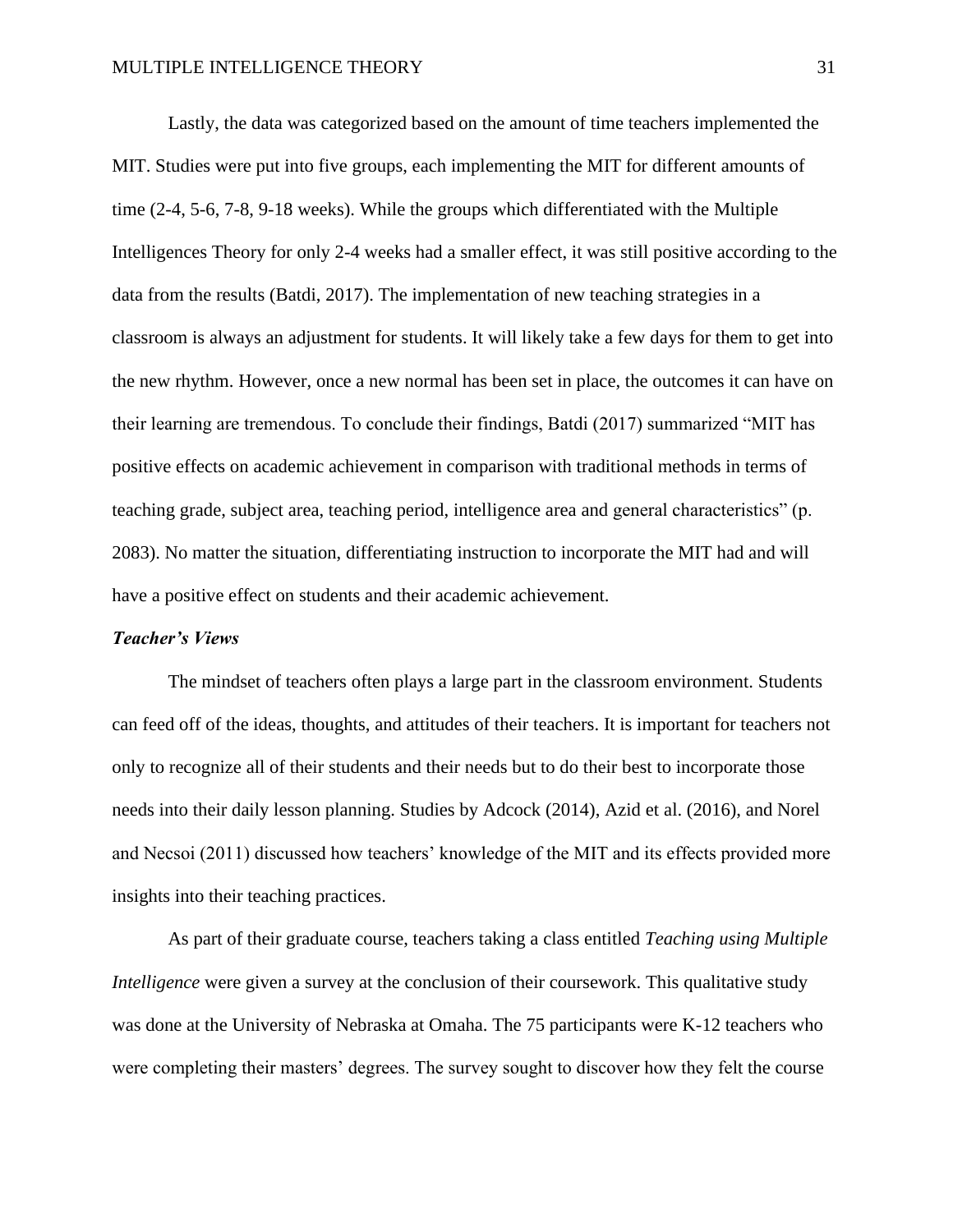Lastly, the data was categorized based on the amount of time teachers implemented the MIT. Studies were put into five groups, each implementing the MIT for different amounts of time (2-4, 5-6, 7-8, 9-18 weeks). While the groups which differentiated with the Multiple Intelligences Theory for only 2-4 weeks had a smaller effect, it was still positive according to the data from the results (Batdi, 2017). The implementation of new teaching strategies in a classroom is always an adjustment for students. It will likely take a few days for them to get into the new rhythm. However, once a new normal has been set in place, the outcomes it can have on their learning are tremendous. To conclude their findings, Batdi (2017) summarized "MIT has positive effects on academic achievement in comparison with traditional methods in terms of teaching grade, subject area, teaching period, intelligence area and general characteristics" (p. 2083). No matter the situation, differentiating instruction to incorporate the MIT had and will have a positive effect on students and their academic achievement.

## *Teacher's Views*

The mindset of teachers often plays a large part in the classroom environment. Students can feed off of the ideas, thoughts, and attitudes of their teachers. It is important for teachers not only to recognize all of their students and their needs but to do their best to incorporate those needs into their daily lesson planning. Studies by Adcock (2014), Azid et al. (2016), and Norel and Necsoi (2011) discussed how teachers' knowledge of the MIT and its effects provided more insights into their teaching practices.

As part of their graduate course, teachers taking a class entitled *Teaching using Multiple Intelligence* were given a survey at the conclusion of their coursework. This qualitative study was done at the University of Nebraska at Omaha. The 75 participants were K-12 teachers who were completing their masters' degrees. The survey sought to discover how they felt the course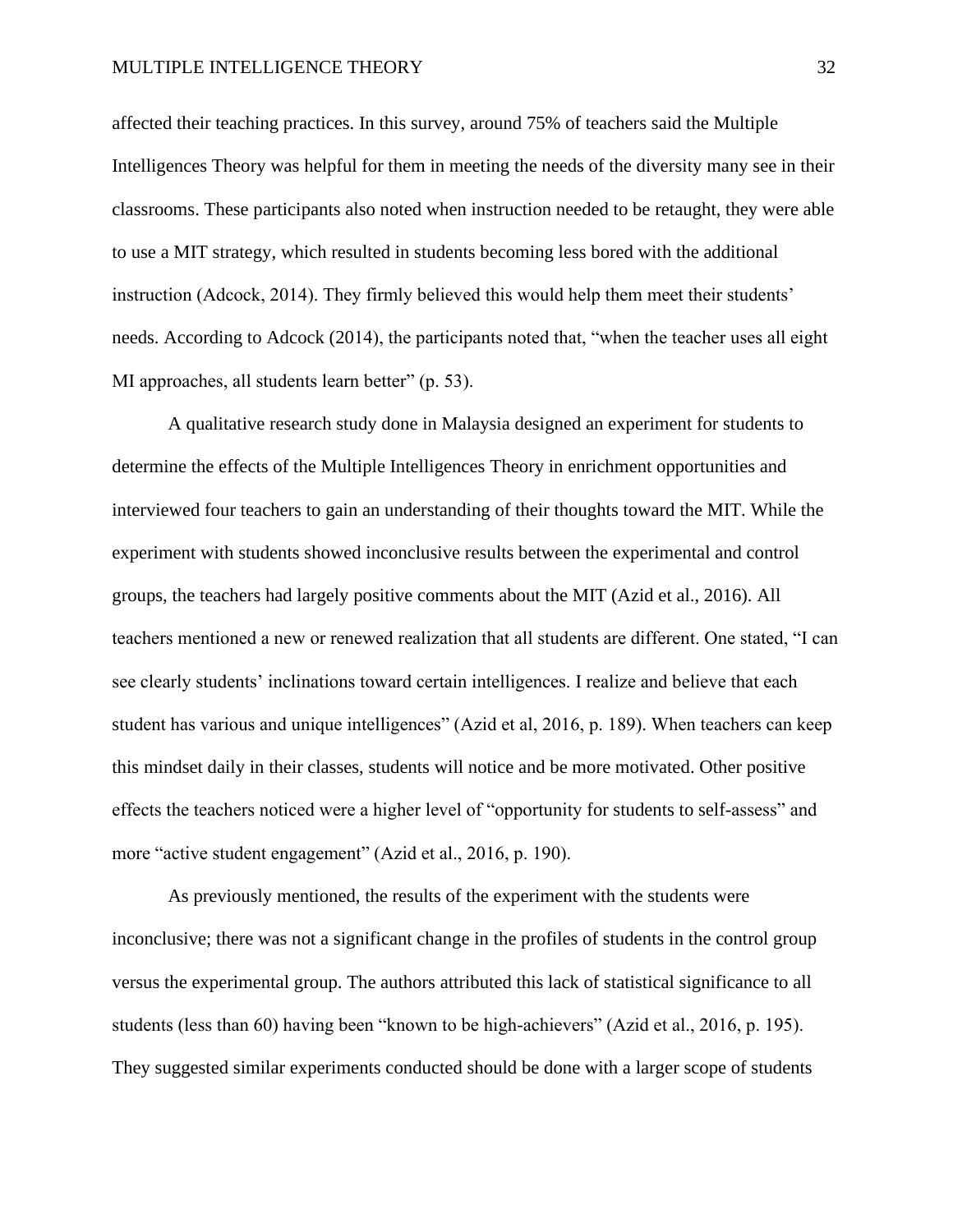affected their teaching practices. In this survey, around 75% of teachers said the Multiple Intelligences Theory was helpful for them in meeting the needs of the diversity many see in their classrooms. These participants also noted when instruction needed to be retaught, they were able to use a MIT strategy, which resulted in students becoming less bored with the additional instruction (Adcock, 2014). They firmly believed this would help them meet their students' needs. According to Adcock (2014), the participants noted that, "when the teacher uses all eight MI approaches, all students learn better" (p. 53).

A qualitative research study done in Malaysia designed an experiment for students to determine the effects of the Multiple Intelligences Theory in enrichment opportunities and interviewed four teachers to gain an understanding of their thoughts toward the MIT. While the experiment with students showed inconclusive results between the experimental and control groups, the teachers had largely positive comments about the MIT (Azid et al., 2016). All teachers mentioned a new or renewed realization that all students are different. One stated, "I can see clearly students' inclinations toward certain intelligences. I realize and believe that each student has various and unique intelligences" (Azid et al, 2016, p. 189). When teachers can keep this mindset daily in their classes, students will notice and be more motivated. Other positive effects the teachers noticed were a higher level of "opportunity for students to self-assess" and more "active student engagement" (Azid et al., 2016, p. 190).

 As previously mentioned, the results of the experiment with the students were inconclusive; there was not a significant change in the profiles of students in the control group versus the experimental group. The authors attributed this lack of statistical significance to all students (less than 60) having been "known to be high-achievers" (Azid et al., 2016, p. 195). They suggested similar experiments conducted should be done with a larger scope of students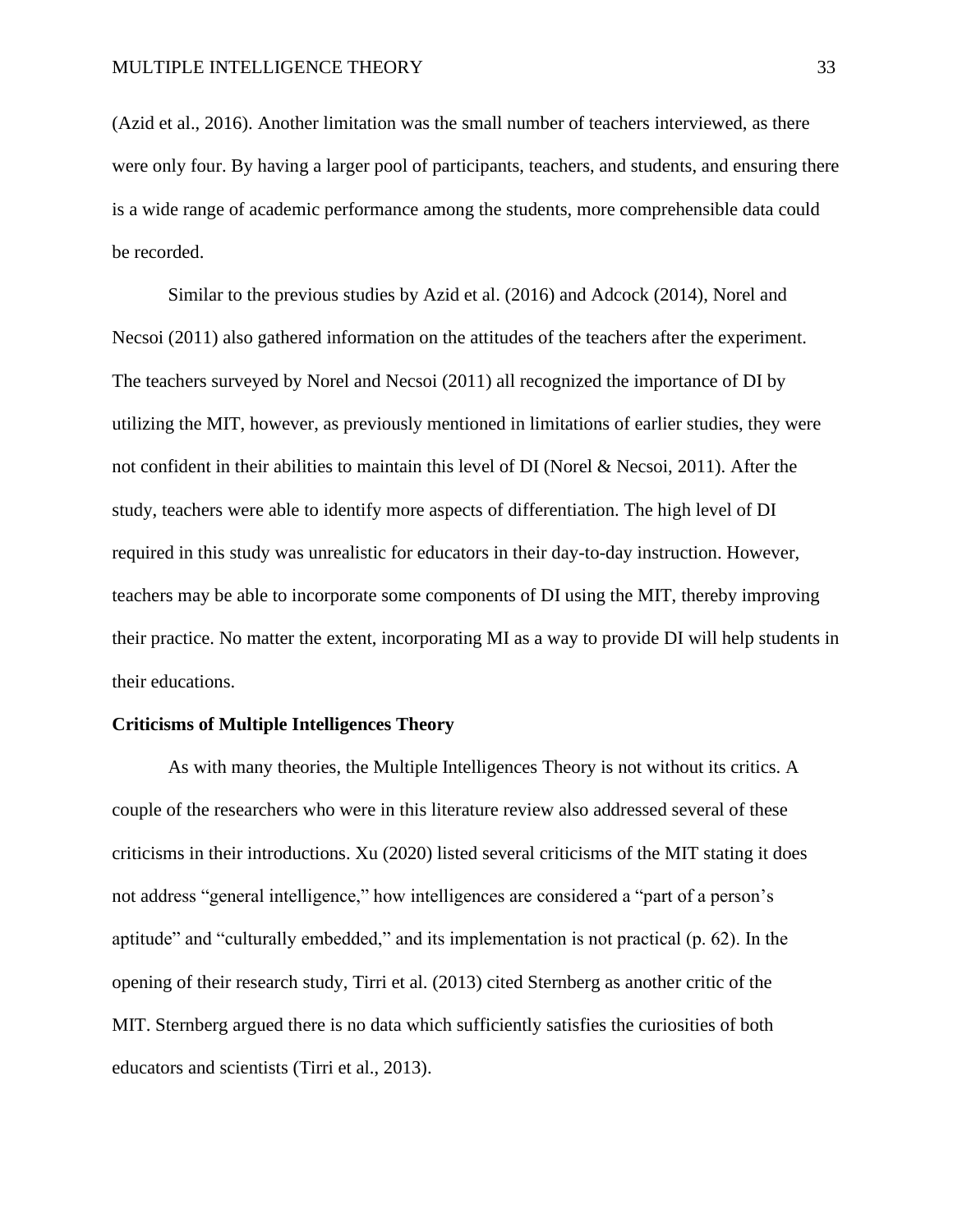(Azid et al., 2016). Another limitation was the small number of teachers interviewed, as there were only four. By having a larger pool of participants, teachers, and students, and ensuring there is a wide range of academic performance among the students, more comprehensible data could be recorded.

Similar to the previous studies by Azid et al. (2016) and Adcock (2014), Norel and Necsoi (2011) also gathered information on the attitudes of the teachers after the experiment. The teachers surveyed by Norel and Necsoi (2011) all recognized the importance of DI by utilizing the MIT, however, as previously mentioned in limitations of earlier studies, they were not confident in their abilities to maintain this level of DI (Norel & Necsoi, 2011). After the study, teachers were able to identify more aspects of differentiation. The high level of DI required in this study was unrealistic for educators in their day-to-day instruction. However, teachers may be able to incorporate some components of DI using the MIT, thereby improving their practice. No matter the extent, incorporating MI as a way to provide DI will help students in their educations.

## **Criticisms of Multiple Intelligences Theory**

As with many theories, the Multiple Intelligences Theory is not without its critics. A couple of the researchers who were in this literature review also addressed several of these criticisms in their introductions. Xu (2020) listed several criticisms of the MIT stating it does not address "general intelligence," how intelligences are considered a "part of a person's aptitude" and "culturally embedded," and its implementation is not practical (p. 62). In the opening of their research study, Tirri et al. (2013) cited Sternberg as another critic of the MIT. Sternberg argued there is no data which sufficiently satisfies the curiosities of both educators and scientists (Tirri et al., 2013).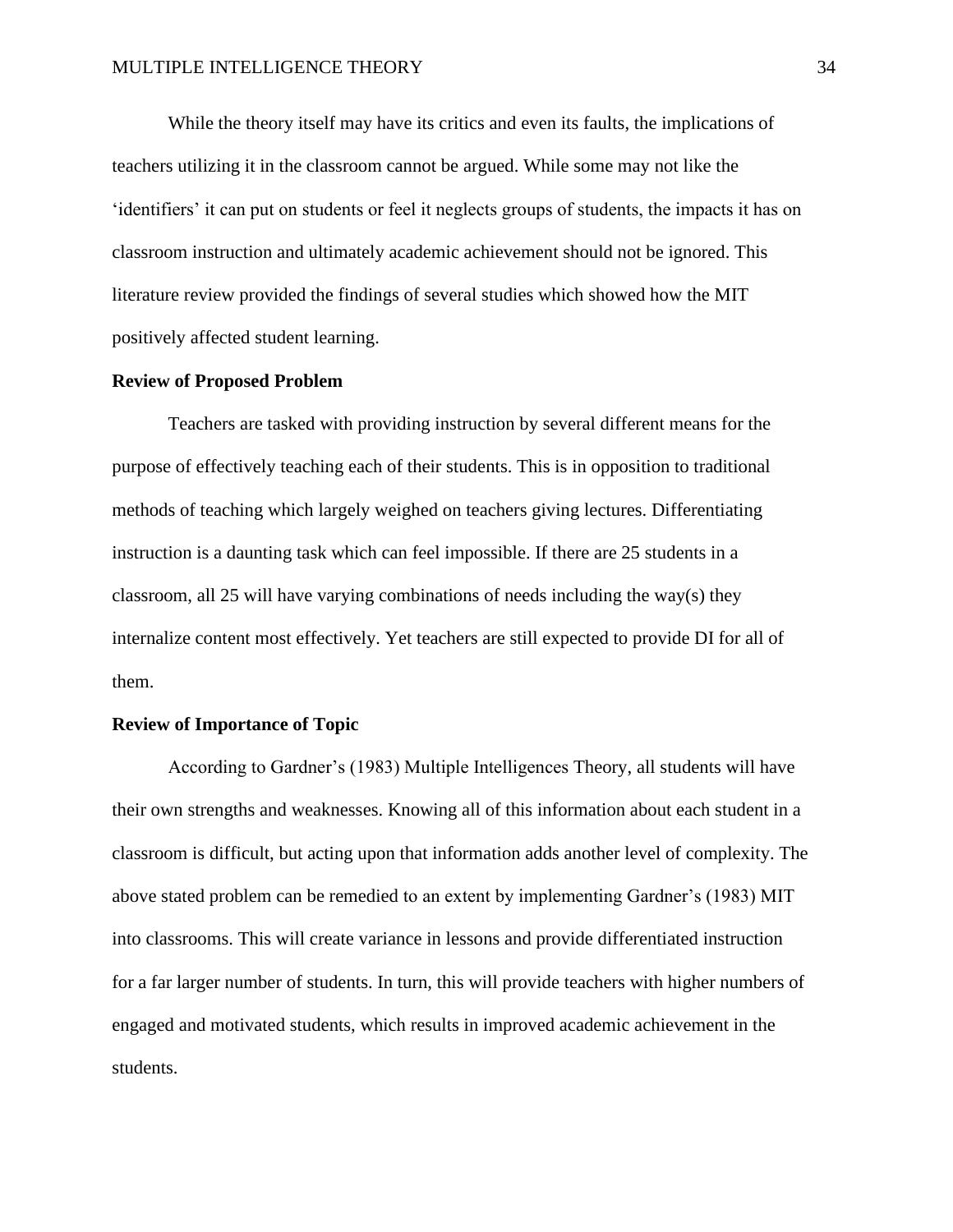While the theory itself may have its critics and even its faults, the implications of teachers utilizing it in the classroom cannot be argued. While some may not like the 'identifiers' it can put on students or feel it neglects groups of students, the impacts it has on classroom instruction and ultimately academic achievement should not be ignored. This literature review provided the findings of several studies which showed how the MIT positively affected student learning.

#### **Review of Proposed Problem**

Teachers are tasked with providing instruction by several different means for the purpose of effectively teaching each of their students. This is in opposition to traditional methods of teaching which largely weighed on teachers giving lectures. Differentiating instruction is a daunting task which can feel impossible. If there are 25 students in a classroom, all 25 will have varying combinations of needs including the way(s) they internalize content most effectively. Yet teachers are still expected to provide DI for all of them.

## **Review of Importance of Topic**

According to Gardner's (1983) Multiple Intelligences Theory, all students will have their own strengths and weaknesses. Knowing all of this information about each student in a classroom is difficult, but acting upon that information adds another level of complexity. The above stated problem can be remedied to an extent by implementing Gardner's (1983) MIT into classrooms. This will create variance in lessons and provide differentiated instruction for a far larger number of students. In turn, this will provide teachers with higher numbers of engaged and motivated students, which results in improved academic achievement in the students.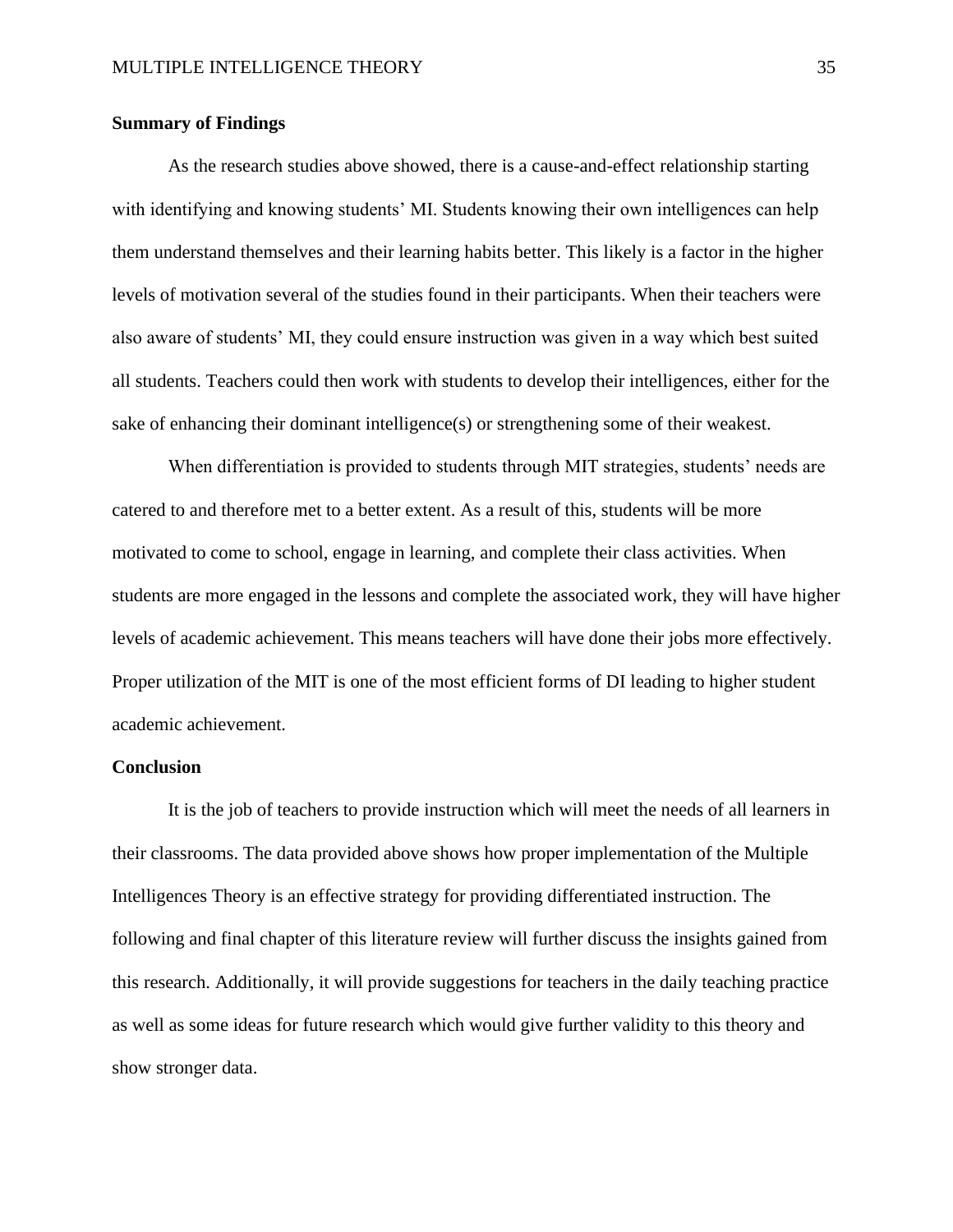## **Summary of Findings**

As the research studies above showed, there is a cause-and-effect relationship starting with identifying and knowing students' MI. Students knowing their own intelligences can help them understand themselves and their learning habits better. This likely is a factor in the higher levels of motivation several of the studies found in their participants. When their teachers were also aware of students' MI, they could ensure instruction was given in a way which best suited all students. Teachers could then work with students to develop their intelligences, either for the sake of enhancing their dominant intelligence(s) or strengthening some of their weakest.

When differentiation is provided to students through MIT strategies, students' needs are catered to and therefore met to a better extent. As a result of this, students will be more motivated to come to school, engage in learning, and complete their class activities. When students are more engaged in the lessons and complete the associated work, they will have higher levels of academic achievement. This means teachers will have done their jobs more effectively. Proper utilization of the MIT is one of the most efficient forms of DI leading to higher student academic achievement.

## **Conclusion**

It is the job of teachers to provide instruction which will meet the needs of all learners in their classrooms. The data provided above shows how proper implementation of the Multiple Intelligences Theory is an effective strategy for providing differentiated instruction. The following and final chapter of this literature review will further discuss the insights gained from this research. Additionally, it will provide suggestions for teachers in the daily teaching practice as well as some ideas for future research which would give further validity to this theory and show stronger data.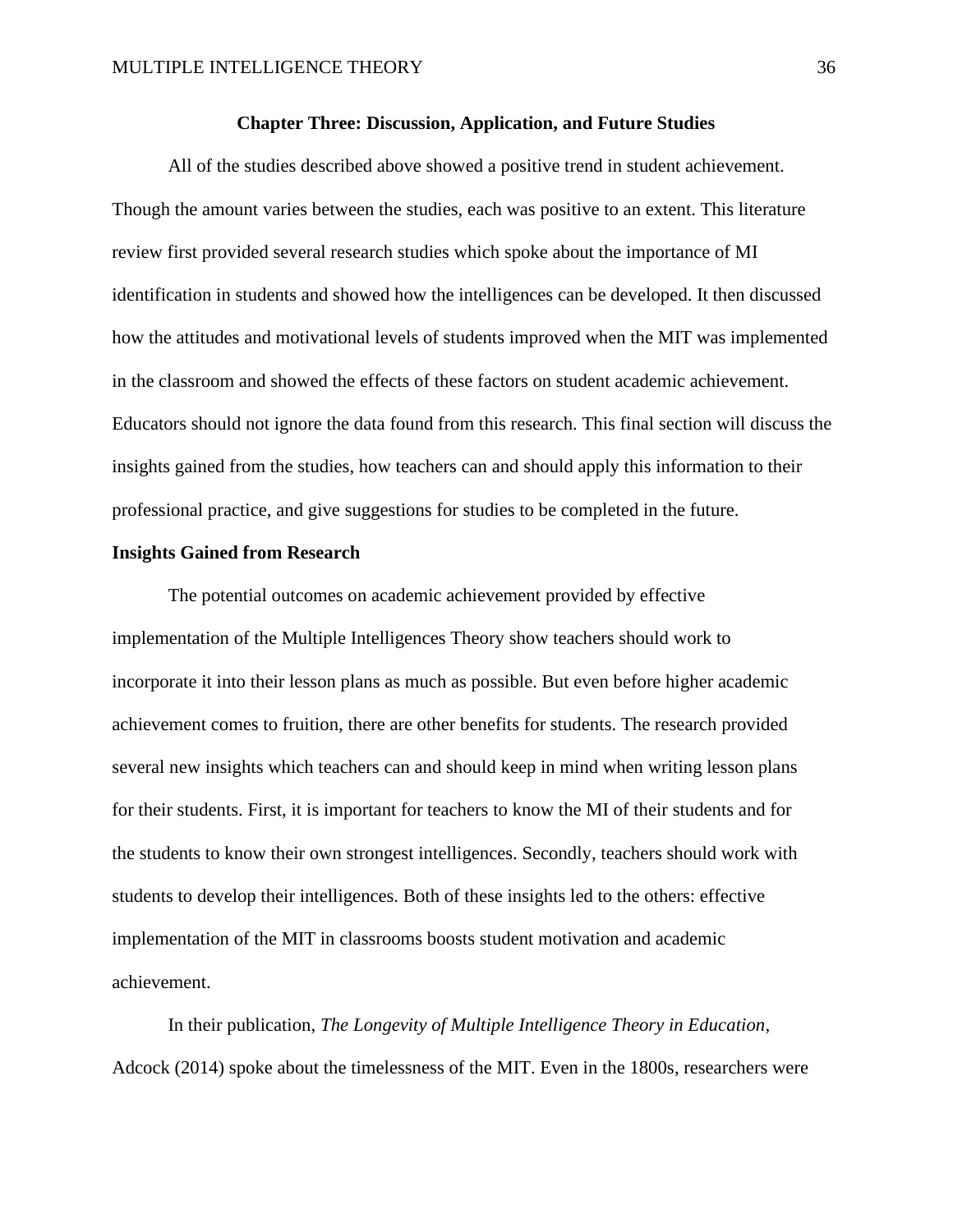#### **Chapter Three: Discussion, Application, and Future Studies**

All of the studies described above showed a positive trend in student achievement. Though the amount varies between the studies, each was positive to an extent. This literature review first provided several research studies which spoke about the importance of MI identification in students and showed how the intelligences can be developed. It then discussed how the attitudes and motivational levels of students improved when the MIT was implemented in the classroom and showed the effects of these factors on student academic achievement. Educators should not ignore the data found from this research. This final section will discuss the insights gained from the studies, how teachers can and should apply this information to their professional practice, and give suggestions for studies to be completed in the future.

#### **Insights Gained from Research**

The potential outcomes on academic achievement provided by effective implementation of the Multiple Intelligences Theory show teachers should work to incorporate it into their lesson plans as much as possible. But even before higher academic achievement comes to fruition, there are other benefits for students. The research provided several new insights which teachers can and should keep in mind when writing lesson plans for their students. First, it is important for teachers to know the MI of their students and for the students to know their own strongest intelligences. Secondly, teachers should work with students to develop their intelligences. Both of these insights led to the others: effective implementation of the MIT in classrooms boosts student motivation and academic achievement.

In their publication, *The Longevity of Multiple Intelligence Theory in Education*, Adcock (2014) spoke about the timelessness of the MIT. Even in the 1800s, researchers were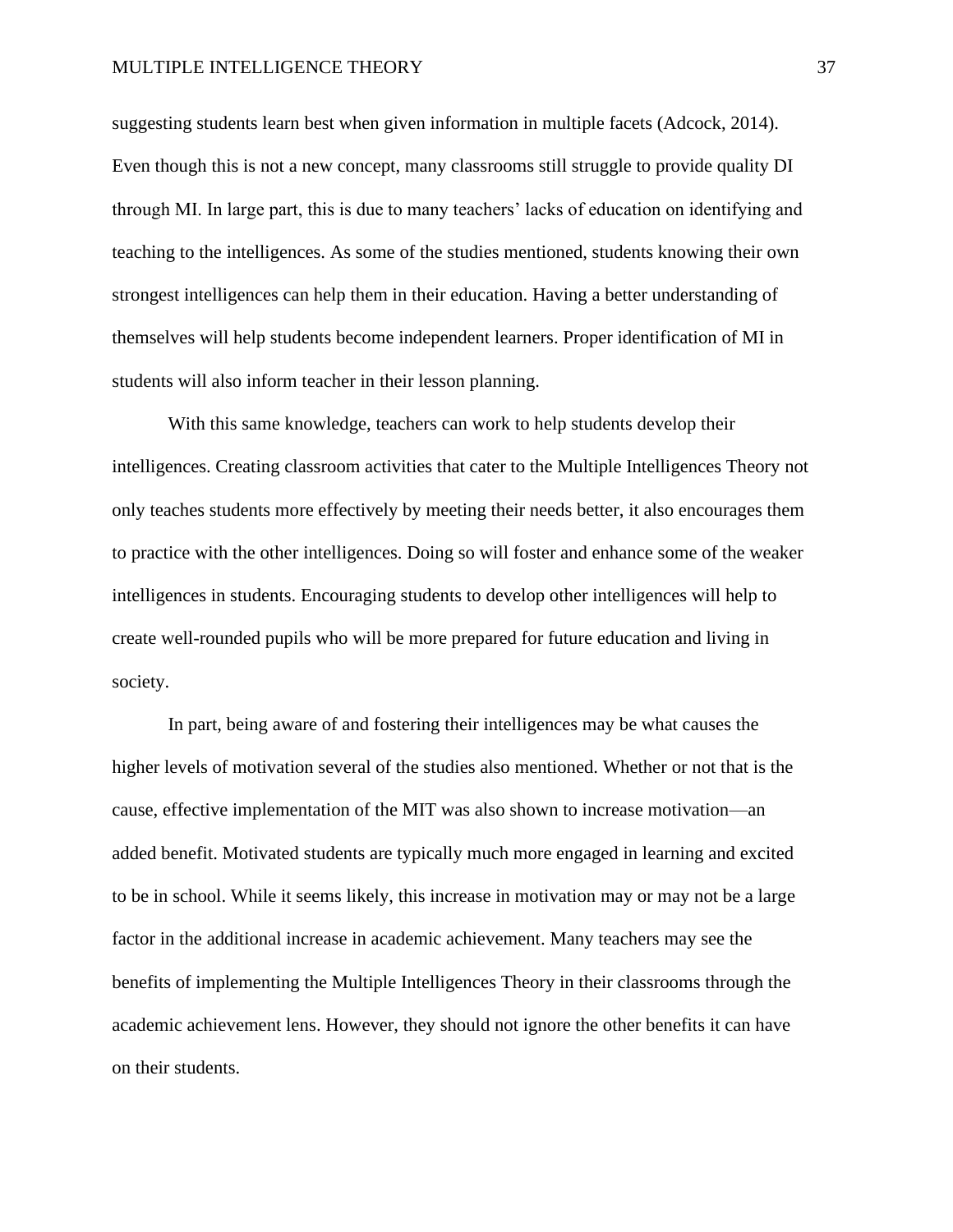#### MULTIPLE INTELLIGENCE THEORY37

suggesting students learn best when given information in multiple facets (Adcock, 2014). Even though this is not a new concept, many classrooms still struggle to provide quality DI through MI. In large part, this is due to many teachers' lacks of education on identifying and teaching to the intelligences. As some of the studies mentioned, students knowing their own strongest intelligences can help them in their education. Having a better understanding of themselves will help students become independent learners. Proper identification of MI in students will also inform teacher in their lesson planning.

With this same knowledge, teachers can work to help students develop their intelligences. Creating classroom activities that cater to the Multiple Intelligences Theory not only teaches students more effectively by meeting their needs better, it also encourages them to practice with the other intelligences. Doing so will foster and enhance some of the weaker intelligences in students. Encouraging students to develop other intelligences will help to create well-rounded pupils who will be more prepared for future education and living in society.

In part, being aware of and fostering their intelligences may be what causes the higher levels of motivation several of the studies also mentioned. Whether or not that is the cause, effective implementation of the MIT was also shown to increase motivation—an added benefit. Motivated students are typically much more engaged in learning and excited to be in school. While it seems likely, this increase in motivation may or may not be a large factor in the additional increase in academic achievement. Many teachers may see the benefits of implementing the Multiple Intelligences Theory in their classrooms through the academic achievement lens. However, they should not ignore the other benefits it can have on their students.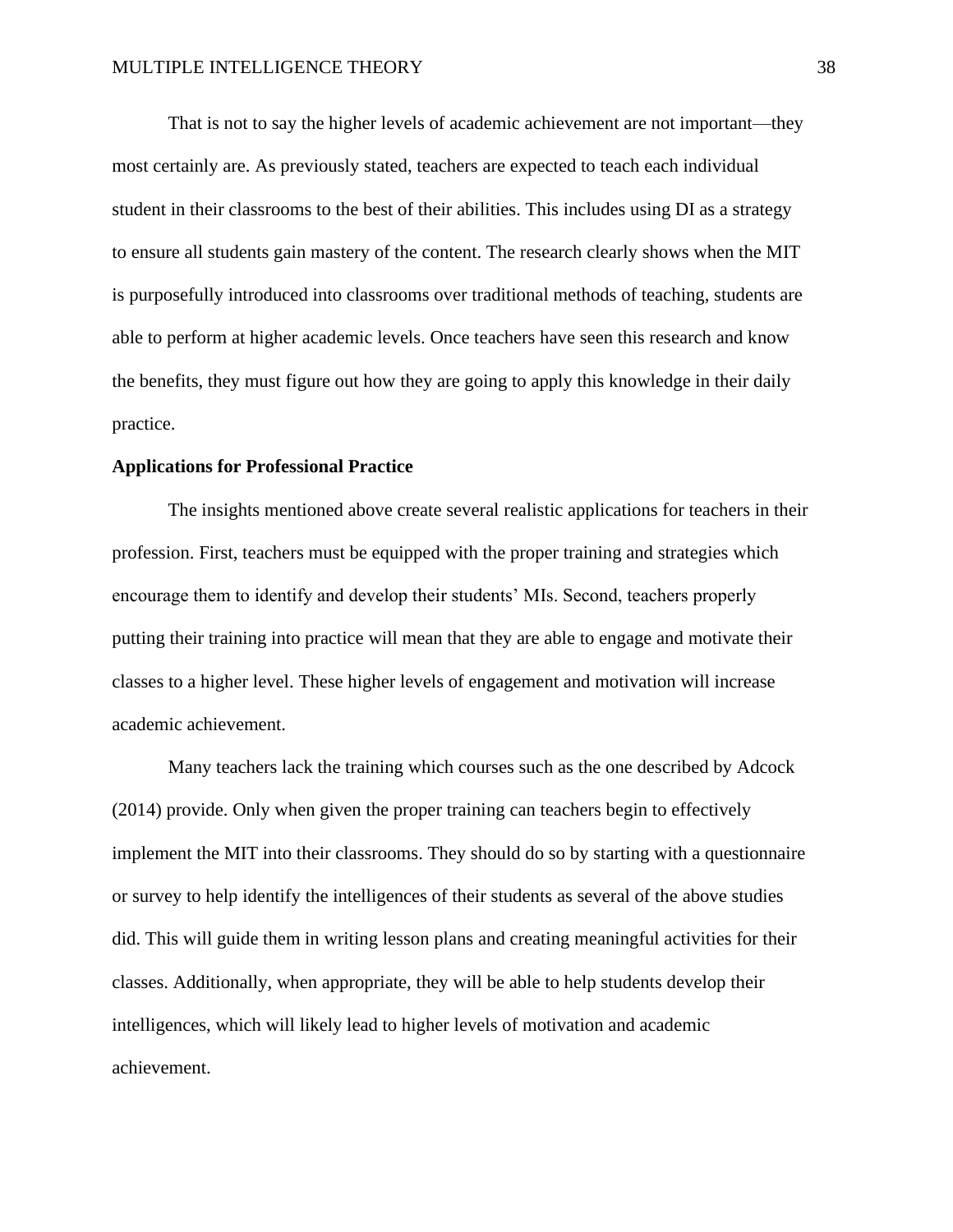That is not to say the higher levels of academic achievement are not important—they most certainly are. As previously stated, teachers are expected to teach each individual student in their classrooms to the best of their abilities. This includes using DI as a strategy to ensure all students gain mastery of the content. The research clearly shows when the MIT is purposefully introduced into classrooms over traditional methods of teaching, students are able to perform at higher academic levels. Once teachers have seen this research and know the benefits, they must figure out how they are going to apply this knowledge in their daily practice.

#### **Applications for Professional Practice**

The insights mentioned above create several realistic applications for teachers in their profession. First, teachers must be equipped with the proper training and strategies which encourage them to identify and develop their students' MIs. Second, teachers properly putting their training into practice will mean that they are able to engage and motivate their classes to a higher level. These higher levels of engagement and motivation will increase academic achievement.

Many teachers lack the training which courses such as the one described by Adcock (2014) provide. Only when given the proper training can teachers begin to effectively implement the MIT into their classrooms. They should do so by starting with a questionnaire or survey to help identify the intelligences of their students as several of the above studies did. This will guide them in writing lesson plans and creating meaningful activities for their classes. Additionally, when appropriate, they will be able to help students develop their intelligences, which will likely lead to higher levels of motivation and academic achievement.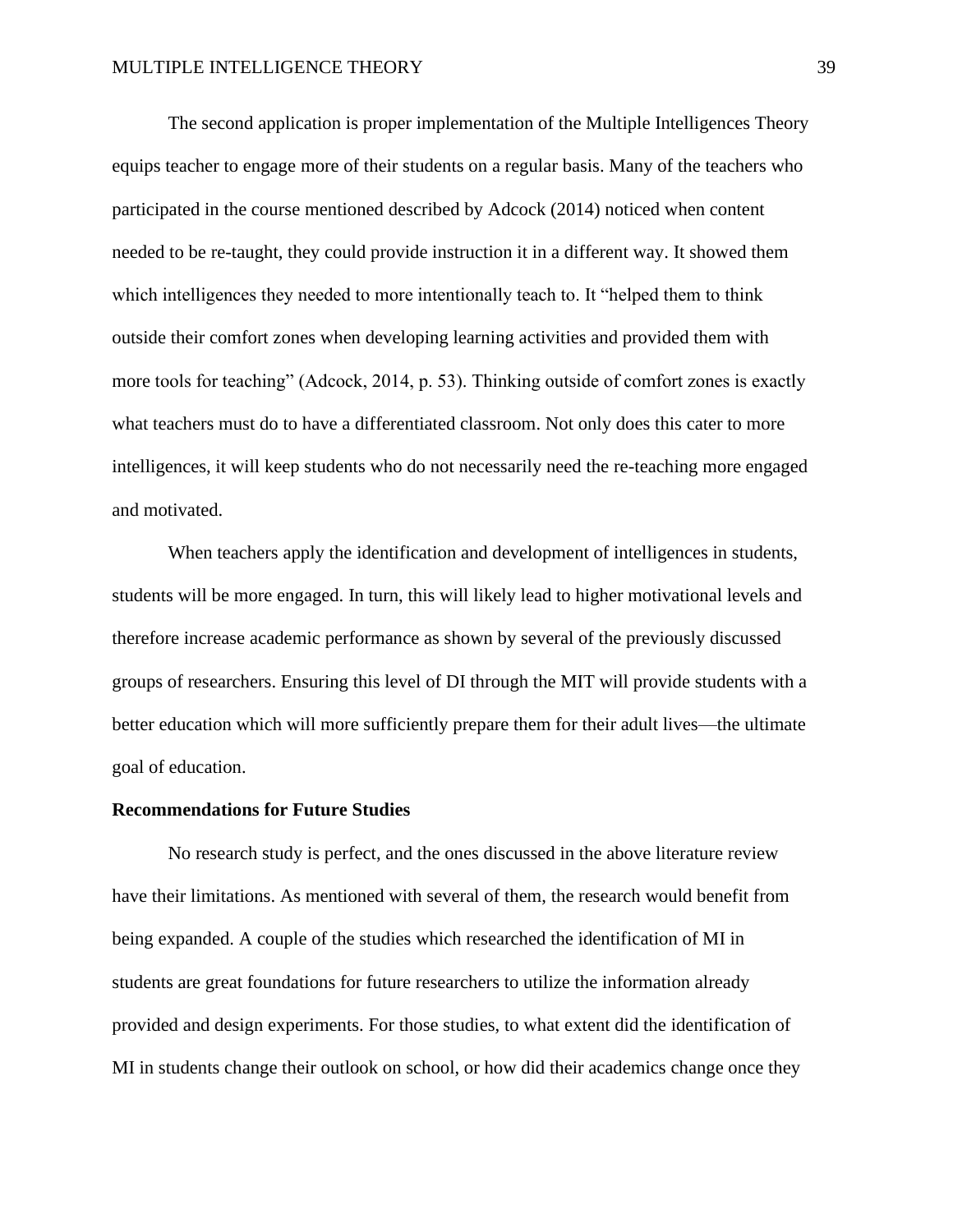The second application is proper implementation of the Multiple Intelligences Theory equips teacher to engage more of their students on a regular basis. Many of the teachers who participated in the course mentioned described by Adcock (2014) noticed when content needed to be re-taught, they could provide instruction it in a different way. It showed them which intelligences they needed to more intentionally teach to. It "helped them to think outside their comfort zones when developing learning activities and provided them with more tools for teaching" (Adcock, 2014, p. 53). Thinking outside of comfort zones is exactly what teachers must do to have a differentiated classroom. Not only does this cater to more intelligences, it will keep students who do not necessarily need the re-teaching more engaged and motivated.

When teachers apply the identification and development of intelligences in students, students will be more engaged. In turn, this will likely lead to higher motivational levels and therefore increase academic performance as shown by several of the previously discussed groups of researchers. Ensuring this level of DI through the MIT will provide students with a better education which will more sufficiently prepare them for their adult lives—the ultimate goal of education.

#### **Recommendations for Future Studies**

No research study is perfect, and the ones discussed in the above literature review have their limitations. As mentioned with several of them, the research would benefit from being expanded. A couple of the studies which researched the identification of MI in students are great foundations for future researchers to utilize the information already provided and design experiments. For those studies, to what extent did the identification of MI in students change their outlook on school, or how did their academics change once they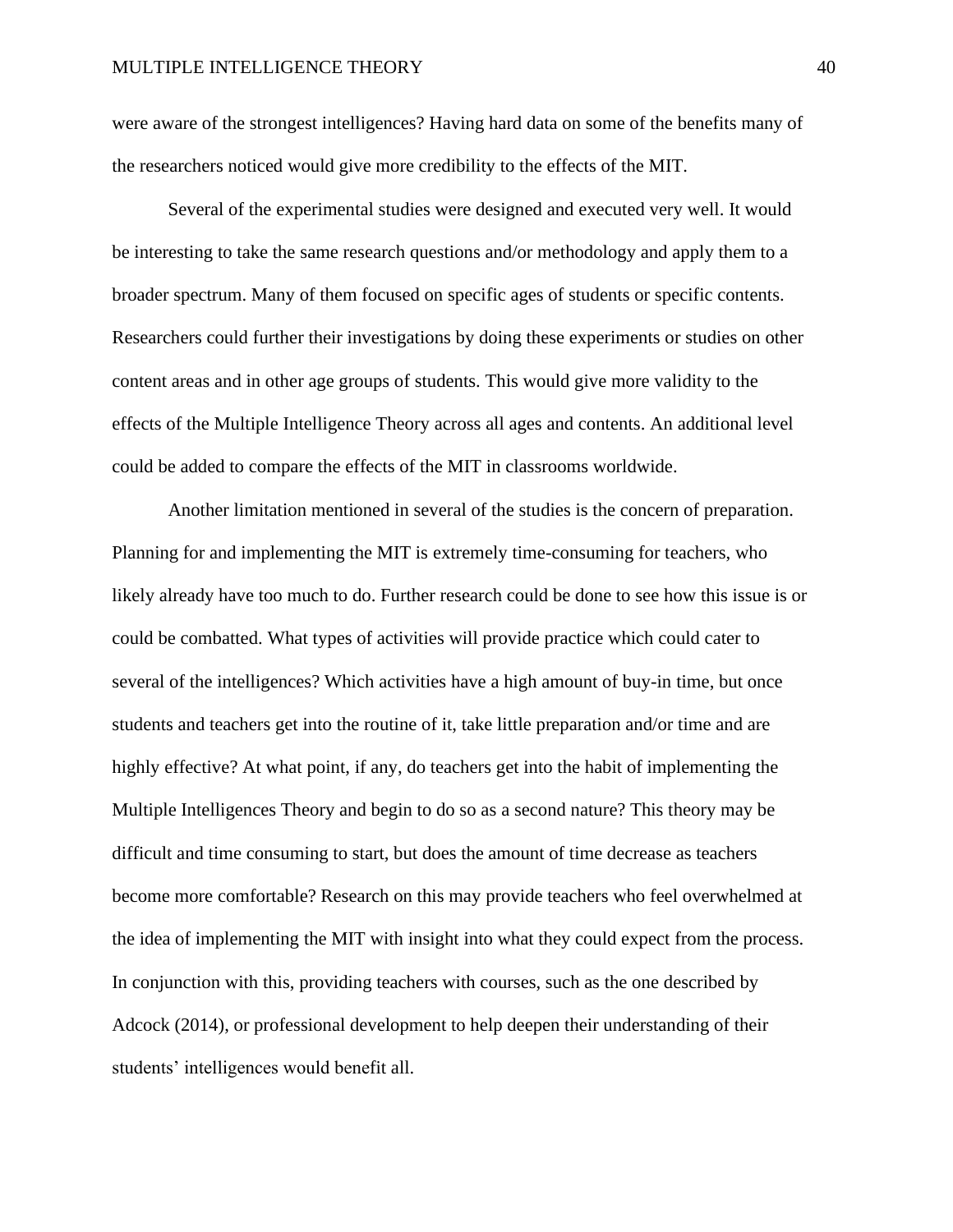were aware of the strongest intelligences? Having hard data on some of the benefits many of the researchers noticed would give more credibility to the effects of the MIT.

Several of the experimental studies were designed and executed very well. It would be interesting to take the same research questions and/or methodology and apply them to a broader spectrum. Many of them focused on specific ages of students or specific contents. Researchers could further their investigations by doing these experiments or studies on other content areas and in other age groups of students. This would give more validity to the effects of the Multiple Intelligence Theory across all ages and contents. An additional level could be added to compare the effects of the MIT in classrooms worldwide.

Another limitation mentioned in several of the studies is the concern of preparation. Planning for and implementing the MIT is extremely time-consuming for teachers, who likely already have too much to do. Further research could be done to see how this issue is or could be combatted. What types of activities will provide practice which could cater to several of the intelligences? Which activities have a high amount of buy-in time, but once students and teachers get into the routine of it, take little preparation and/or time and are highly effective? At what point, if any, do teachers get into the habit of implementing the Multiple Intelligences Theory and begin to do so as a second nature? This theory may be difficult and time consuming to start, but does the amount of time decrease as teachers become more comfortable? Research on this may provide teachers who feel overwhelmed at the idea of implementing the MIT with insight into what they could expect from the process. In conjunction with this, providing teachers with courses, such as the one described by Adcock (2014), or professional development to help deepen their understanding of their students' intelligences would benefit all.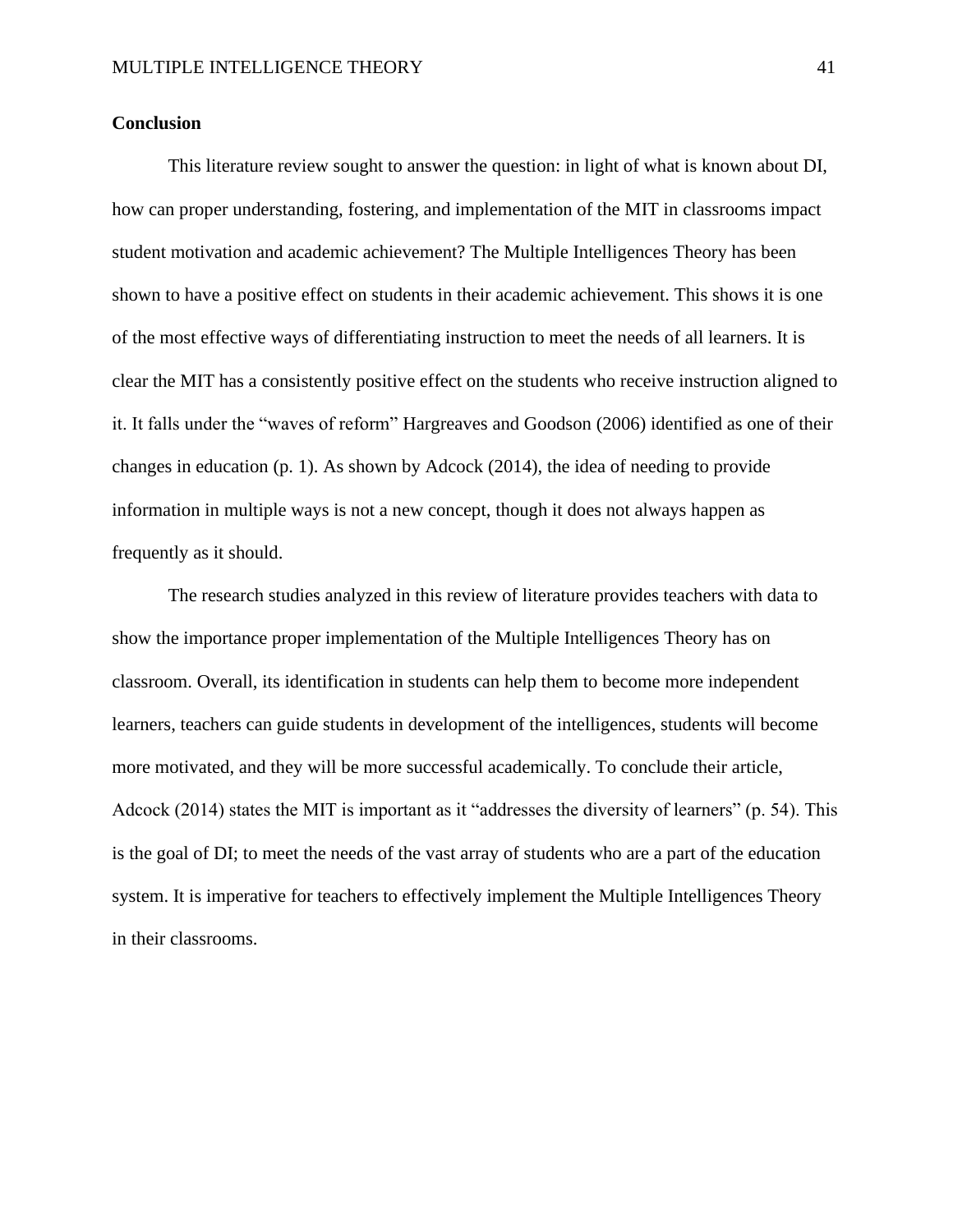## **Conclusion**

This literature review sought to answer the question: in light of what is known about DI, how can proper understanding, fostering, and implementation of the MIT in classrooms impact student motivation and academic achievement? The Multiple Intelligences Theory has been shown to have a positive effect on students in their academic achievement. This shows it is one of the most effective ways of differentiating instruction to meet the needs of all learners. It is clear the MIT has a consistently positive effect on the students who receive instruction aligned to it. It falls under the "waves of reform" Hargreaves and Goodson (2006) identified as one of their changes in education (p. 1). As shown by Adcock (2014), the idea of needing to provide information in multiple ways is not a new concept, though it does not always happen as frequently as it should.

The research studies analyzed in this review of literature provides teachers with data to show the importance proper implementation of the Multiple Intelligences Theory has on classroom. Overall, its identification in students can help them to become more independent learners, teachers can guide students in development of the intelligences, students will become more motivated, and they will be more successful academically. To conclude their article, Adcock (2014) states the MIT is important as it "addresses the diversity of learners" (p. 54). This is the goal of DI; to meet the needs of the vast array of students who are a part of the education system. It is imperative for teachers to effectively implement the Multiple Intelligences Theory in their classrooms.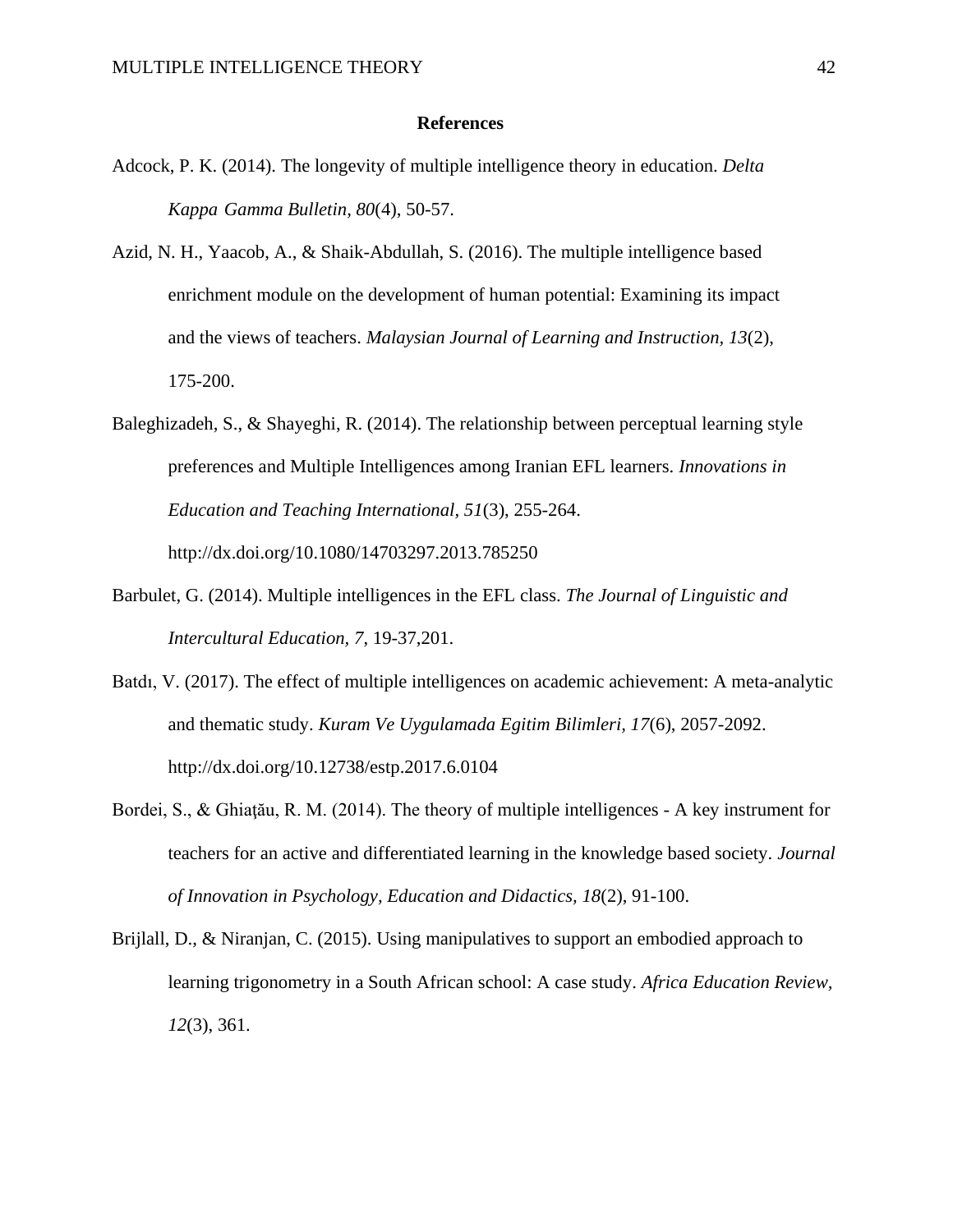#### **References**

- Adcock, P. K. (2014). The longevity of multiple intelligence theory in education. *Delta Kappa Gamma Bulletin, 80*(4), 50-57.
- Azid, N. H., Yaacob, A., & Shaik-Abdullah, S. (2016). The multiple intelligence based enrichment module on the development of human potential: Examining its impact and the views of teachers. *Malaysian Journal of Learning and Instruction, 13*(2), 175-200.
- Baleghizadeh, S., & Shayeghi, R. (2014). The relationship between perceptual learning style preferences and Multiple Intelligences among Iranian EFL learners. *Innovations in Education and Teaching International, 51*(3), 255-264. http://dx.doi.org/10.1080/14703297.2013.785250
- Barbulet, G. (2014). Multiple intelligences in the EFL class. *The Journal of Linguistic and Intercultural Education, 7*, 19-37,201.
- Batdı, V. (2017). The effect of multiple intelligences on academic achievement: A meta-analytic and thematic study. *Kuram Ve Uygulamada Egitim Bilimleri, 17*(6), 2057-2092. http://dx.doi.org/10.12738/estp.2017.6.0104
- Bordei, S., & Ghiaţău, R. M. (2014). The theory of multiple intelligences A key instrument for teachers for an active and differentiated learning in the knowledge based society. *Journal of Innovation in Psychology, Education and Didactics, 18*(2), 91-100.
- Brijlall, D., & Niranjan, C. (2015). Using manipulatives to support an embodied approach to learning trigonometry in a South African school: A case study. *Africa Education Review, 12*(3), 361.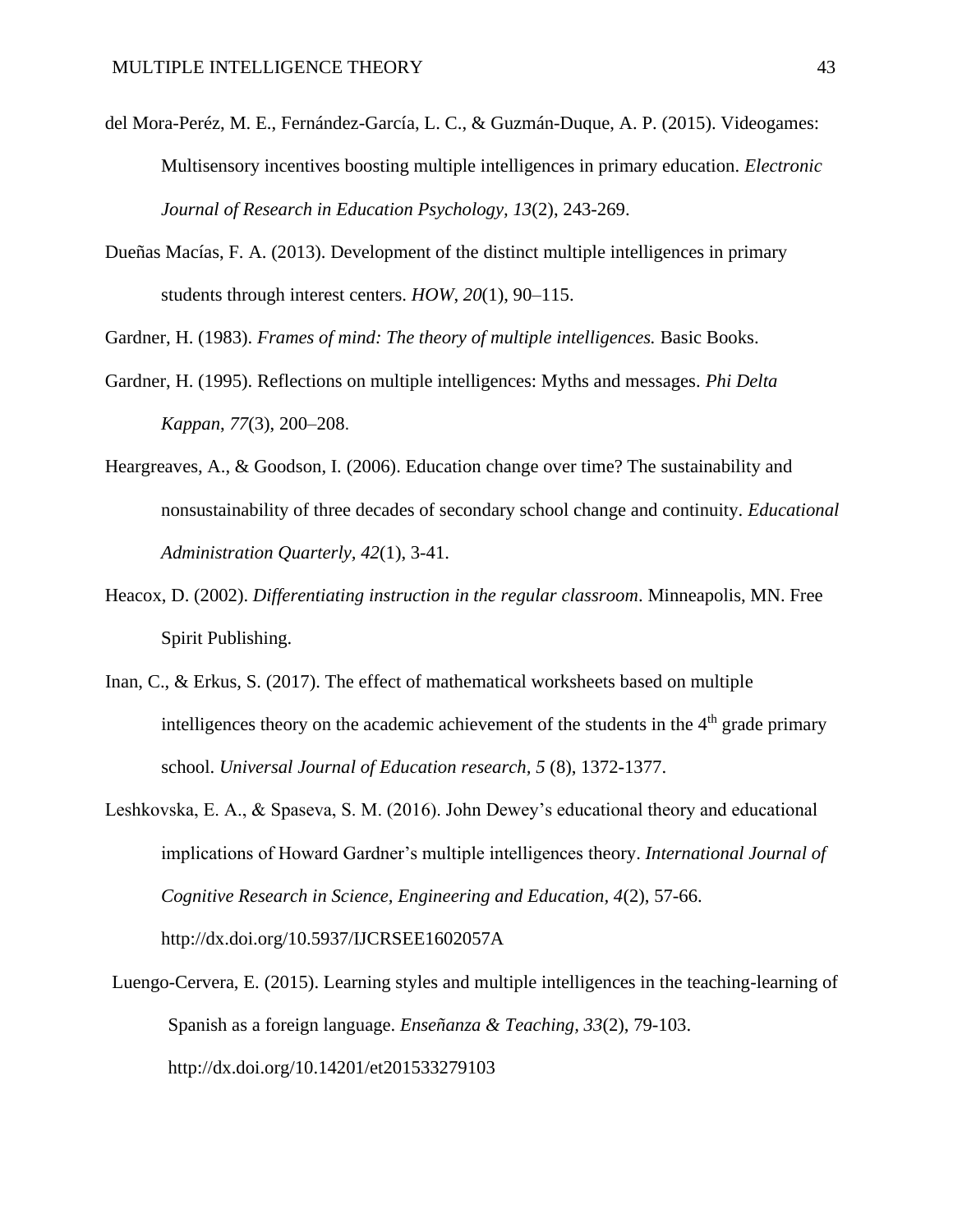- del Mora-Peréz, M. E., Fernández-García, L. C., & Guzmán-Duque, A. P. (2015). Videogames: Multisensory incentives boosting multiple intelligences in primary education. *Electronic Journal of Research in Education Psychology, 13*(2), 243-269.
- Dueñas Macías, F. A. (2013). Development of the distinct multiple intelligences in primary students through interest centers. *HOW*, *20*(1), 90–115.

Gardner, H. (1983). *Frames of mind: The theory of multiple intelligences.* Basic Books.

- Gardner, H. (1995). Reflections on multiple intelligences: Myths and messages. *Phi Delta Kappan*, *77*(3), 200–208.
- Heargreaves, A., & Goodson, I. (2006). Education change over time? The sustainability and nonsustainability of three decades of secondary school change and continuity. *Educational Administration Quarterly, 42*(1), 3-41.
- Heacox, D. (2002). *Differentiating instruction in the regular classroom*. Minneapolis, MN. Free Spirit Publishing.
- Inan, C., & Erkus, S. (2017). The effect of mathematical worksheets based on multiple intelligences theory on the academic achievement of the students in the  $4<sup>th</sup>$  grade primary school. *Universal Journal of Education research, 5* (8), 1372-1377.
- Leshkovska, E. A., & Spaseva, S. M. (2016). John Dewey's educational theory and educational implications of Howard Gardner's multiple intelligences theory. *International Journal of Cognitive Research in Science, Engineering and Education, 4*(2), 57-66. http://dx.doi.org/10.5937/IJCRSEE1602057A
- Luengo-Cervera, E. (2015). Learning styles and multiple intelligences in the teaching-learning of Spanish as a foreign language. *Enseñanza & Teaching, 33*(2), 79-103. http://dx.doi.org/10.14201/et201533279103